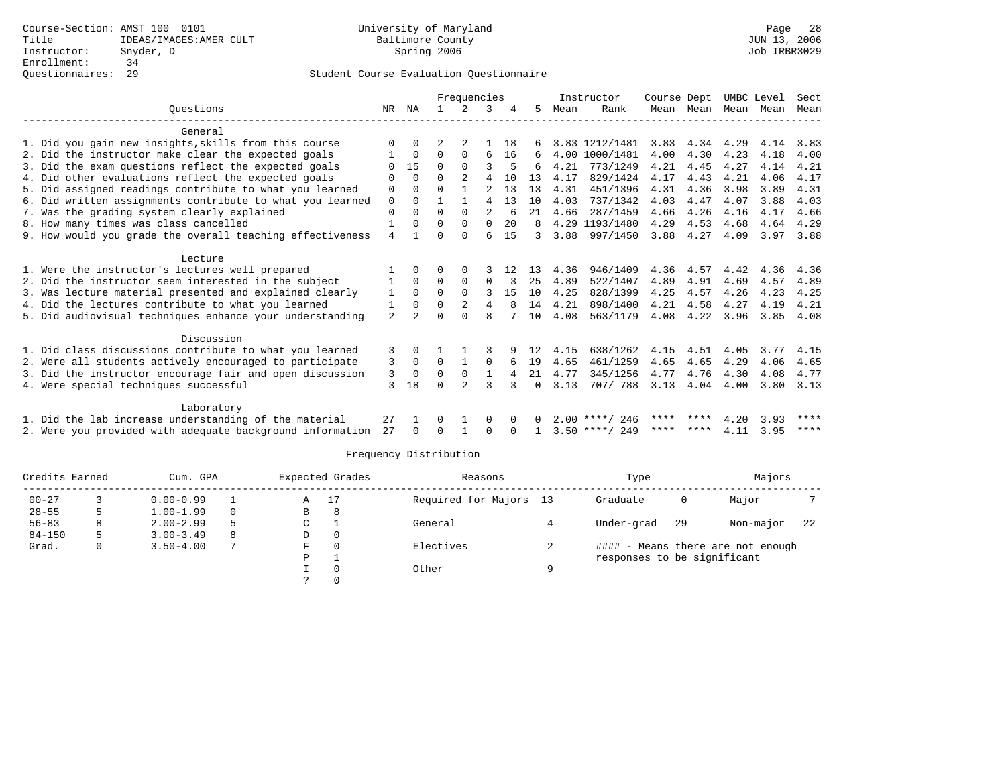|                                                           |              |                |          | Frequencies    |                |    |          |      | Instructor       | Course Dept |           |      | UMBC Level | Sect |
|-----------------------------------------------------------|--------------|----------------|----------|----------------|----------------|----|----------|------|------------------|-------------|-----------|------|------------|------|
| Ouestions                                                 | NR.          | ΝA             |          | $\mathcal{L}$  | 3              |    | 5        | Mean | Rank             |             | Mean Mean | Mean | Mean       | Mean |
| General                                                   |              |                |          |                |                |    |          |      |                  |             |           |      |            |      |
| 1. Did you gain new insights, skills from this course     | 0            | 0              |          |                |                | 18 |          |      | 3.83 1212/1481   | 3.83        | 4.34      | 4.29 | 4.14       | 3.83 |
| 2. Did the instructor make clear the expected goals       |              | 0              | 0        | $\Omega$       | 6              | 16 | 6        | 4.00 | 1000/1481        | 4.00        | 4.30      | 4.23 | 4.18       | 4.00 |
| 3. Did the exam questions reflect the expected goals      | <sup>0</sup> | 15             | $\Omega$ | $\Omega$       | 3              | 5  | 6        | 4.21 | 773/1249         | 4.21        | 4.45      | 4.27 | 4.14       | 4.21 |
| 4. Did other evaluations reflect the expected goals       | U            | $\Omega$       | U        | $\mathfrak{D}$ | 4              | 10 | 13       | 4.17 | 829/1424         | 4.17        | 4.43      | 4.21 | 4.06       | 4.17 |
| 5. Did assigned readings contribute to what you learned   | 0            | $\Omega$       | U        |                | $\mathfrak{D}$ | 13 | 13       | 4.31 | 451/1396         | 4.31        | 4.36      | 3.98 | 3.89       | 4.31 |
| 6. Did written assignments contribute to what you learned | 0            | $\Omega$       |          |                | 4              | 13 | 10       | 4.03 | 737/1342         | 4.03        | 4.47      | 4.07 | 3.88       | 4.03 |
| 7. Was the grading system clearly explained               | 0            | $\Omega$       | $\Omega$ | $\Omega$       | $\overline{a}$ | 6  | 21       | 4.66 | 287/1459         | 4.66        | 4.26      | 4.16 | 4.17       | 4.66 |
| 8. How many times was class cancelled                     |              | $\Omega$       | $\Omega$ | $\Omega$       | $\Omega$       | 20 | 8        |      | 4.29 1193/1480   | 4.29        | 4.53      | 4.68 | 4.64       | 4.29 |
| 9. How would you grade the overall teaching effectiveness | 4            |                | U        | $\Omega$       | 6              | 15 |          | 3.88 | 997/1450         | 3.88        | 4.27      | 4.09 | 3.97       | 3.88 |
| Lecture                                                   |              |                |          |                |                |    |          |      |                  |             |           |      |            |      |
| 1. Were the instructor's lectures well prepared           |              | 0              | U        | 0              |                | 12 | 13       | 4.36 | 946/1409         | 4.36        | 4.57      | 4.42 | 4.36       | 4.36 |
| 2. Did the instructor seem interested in the subject      | 1            | $\Omega$       | $\Omega$ | $\Omega$       | $\Omega$       | 3  | 25       | 4.89 | 522/1407         | 4.89        | 4.91      | 4.69 | 4.57       | 4.89 |
| 3. Was lecture material presented and explained clearly   | 1            | $\Omega$       | $\Omega$ | $\Omega$       | 3              | 15 | 10       | 4.25 | 828/1399         | 4.25        | 4.57      | 4.26 | 4.23       | 4.25 |
| 4. Did the lectures contribute to what you learned        | 1            | $\Omega$       | $\Omega$ | $\overline{a}$ | 4              | 8  | 14       | 4.21 | 898/1400         | 4.21        | 4.58      | 4.27 | 4.19       | 4.21 |
| 5. Did audiovisual techniques enhance your understanding  | 2            | $\mathfrak{D}$ |          | $\Omega$       | 8              |    | 10       | 4.08 | 563/1179         | 4.08        | 4.22      | 3.96 | 3.85       | 4.08 |
| Discussion                                                |              |                |          |                |                |    |          |      |                  |             |           |      |            |      |
| 1. Did class discussions contribute to what you learned   | 3            | 0              |          |                |                |    | 12       | 4.15 | 638/1262         | 4.15        | 4.51      | 4.05 | 3.77       | 4.15 |
| 2. Were all students actively encouraged to participate   | 3            | $\mathbf 0$    | 0        | 1              | 0              | 6  | 19       | 4.65 | 461/1259         | 4.65        | 4.65      | 4.29 | 4.06       | 4.65 |
| 3. Did the instructor encourage fair and open discussion  | 3            | $\Omega$       | 0        | 0              | 1              | 4  | 21       | 4.77 | 345/1256         | 4.77        | 4.76      | 4.30 | 4.08       | 4.77 |
| 4. Were special techniques successful                     | ζ            | 18             | U        | $\mathcal{D}$  | 3              |    | $\Omega$ | 3.13 | 707/ 788         | 3.13        | 4.04      | 4.00 | 3.80       | 3.13 |
| Laboratory                                                |              |                |          |                |                |    |          |      |                  |             |           |      |            |      |
| 1. Did the lab increase understanding of the material     | 27           |                |          |                | 0              | 0  | n.       |      | $2.00$ ****/ 246 | **** ****   |           | 4.20 | 3.93       | **** |
| 2. Were you provided with adequate background information | 27           | $\Omega$       |          |                | 0              |    |          |      | $3.50$ ****/ 249 | ****        | ****      | 4.11 | 3.95       | **** |

| Credits Earned |    | Cum. GPA      |          |   | Expected Grades | Reasons                |   | Type                        |     | Majors                            |     |
|----------------|----|---------------|----------|---|-----------------|------------------------|---|-----------------------------|-----|-----------------------------------|-----|
| $00 - 27$      |    | $0.00 - 0.99$ |          | Α |                 | Required for Majors 13 |   | Graduate                    | 0   | Major                             |     |
| $28 - 55$      |    | $1.00 - 1.99$ | $\Omega$ | В | 8               |                        |   |                             |     |                                   |     |
| $56 - 83$      | 8. | $2.00 - 2.99$ | .5       | C |                 | General                |   | Under-grad                  | -29 | Non-major                         | -22 |
| $84 - 150$     | 5. | $3.00 - 3.49$ | 8        | D | $\Omega$        |                        |   |                             |     |                                   |     |
| Grad.          | 0  | $3.50 - 4.00$ | 7        | F |                 | Electives              | ∠ |                             |     | #### - Means there are not enough |     |
|                |    |               |          | Ρ |                 |                        |   | responses to be significant |     |                                   |     |
|                |    |               |          |   |                 | Other                  | Q |                             |     |                                   |     |
|                |    |               |          |   |                 |                        |   |                             |     |                                   |     |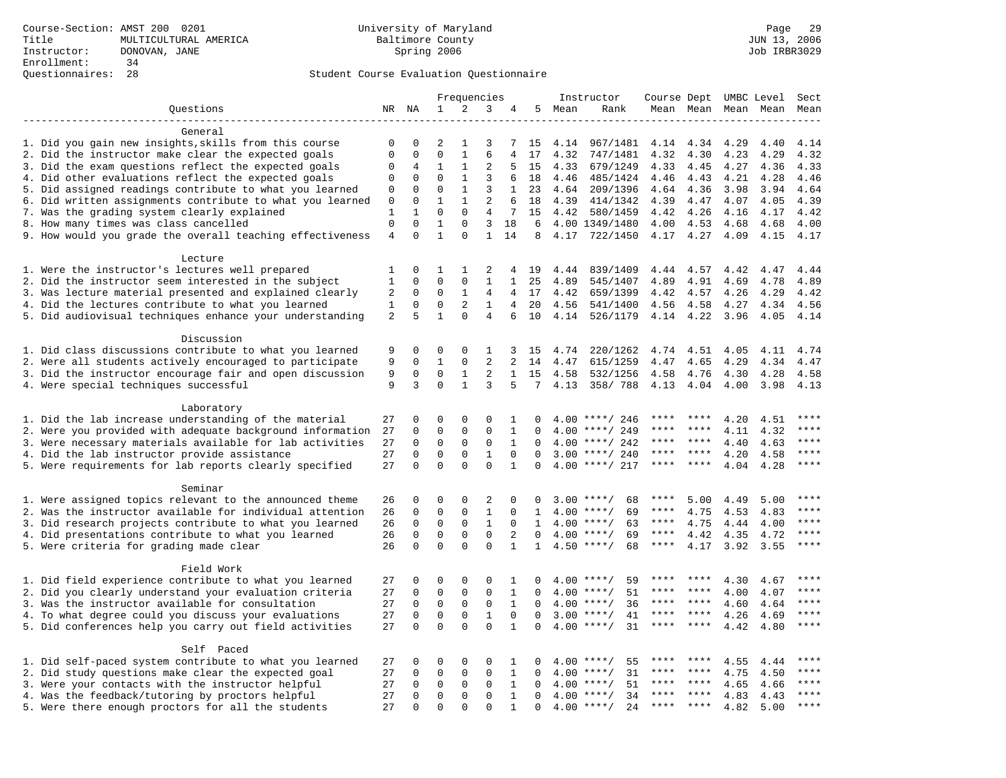# Questionnaires: 28 Student Course Evaluation Questionnaire

|                                                           | Frequencies    |                      |                         |                         |                         | Instructor        | Course Dept UMBC Level |              |                                |             | Sect      |      |           |             |
|-----------------------------------------------------------|----------------|----------------------|-------------------------|-------------------------|-------------------------|-------------------|------------------------|--------------|--------------------------------|-------------|-----------|------|-----------|-------------|
| Questions                                                 |                | NR NA                | $\mathbf{1}$            | 2                       | 3                       | 4                 | 5                      | Mean         | Rank                           |             | Mean Mean |      | Mean Mean | Mean        |
|                                                           |                |                      |                         |                         |                         |                   |                        |              |                                |             |           |      |           |             |
| General                                                   |                |                      |                         |                         |                         |                   |                        |              |                                |             |           |      |           |             |
| 1. Did you gain new insights, skills from this course     | 0              | $\mathbf 0$          | 2                       | 1                       | 3                       | 7                 | 15                     | 4.14         | 967/1481                       | 4.14        | 4.34      | 4.29 | 4.40      | 4.14        |
| 2. Did the instructor make clear the expected goals       | $\mathbf{0}$   | $\mathbf 0$          | $\mathbf 0$             | $\mathbf{1}$            | 6                       | 4                 | 17                     | 4.32         | 747/1481                       | 4.32        | 4.30      | 4.23 | 4.29      | 4.32        |
| 3. Did the exam questions reflect the expected goals      | 0              | 4                    | $\mathbf{1}$            | $\mathbf{1}$            | $\overline{2}$          | 5                 | 15                     | 4.33         | 679/1249                       | 4.33        | 4.45      | 4.27 | 4.36      | 4.33        |
| 4. Did other evaluations reflect the expected goals       | $\mathbf 0$    | $\mathbf 0$          | $\mathbf 0$             | $\mathbf{1}$            | 3                       | 6                 | 18                     | 4.46         | 485/1424                       | 4.46        | 4.43      | 4.21 | 4.28      | 4.46        |
| 5. Did assigned readings contribute to what you learned   | 0              | $\mathbf 0$          | $\mathbf 0$             | $\mathbf{1}$            | 3                       | $\mathbf{1}$      | 23                     | 4.64         | 209/1396                       | 4.64        | 4.36      | 3.98 | 3.94      | 4.64        |
| 6. Did written assignments contribute to what you learned | 0              | $\mathbf 0$          | $\mathbf{1}$            | $\mathbf{1}$            | 2                       | 6                 | 18                     | 4.39         | 414/1342                       | 4.39        | 4.47      | 4.07 | 4.05      | 4.39        |
| 7. Was the grading system clearly explained               | 1              | $\mathbf{1}$         | $\Omega$                | $\Omega$                | 4                       | 7                 | 15                     |              | 4.42 580/1459                  | 4.42        | 4.26      | 4.16 | 4.17      | 4.42        |
| 8. How many times was class cancelled                     | $\mathbf{0}$   | $\Omega$             | $\mathbf{1}$            | $\mathbf 0$             | 3                       | 18                | 6                      |              | 4.00 1349/1480                 | 4.00        | 4.53      | 4.68 | 4.68      | 4.00        |
| 9. How would you grade the overall teaching effectiveness | $\overline{4}$ | $\Omega$             | $\mathbf{1}$            | $\Omega$                | $\mathbf{1}$            | 14                | 8                      | 4.17         | 722/1450                       | 4.17 4.27   |           | 4.09 | 4.15      | 4.17        |
| Lecture                                                   |                |                      |                         |                         |                         |                   |                        |              |                                |             |           |      |           |             |
| 1. Were the instructor's lectures well prepared           | 1              | $\Omega$             | $\mathbf{1}$            | 1                       | 2                       | 4                 | 19                     | 4.44         | 839/1409                       | 4.44        | 4.57      | 4.42 | 4.47      | 4.44        |
| 2. Did the instructor seem interested in the subject      | $\mathbf{1}$   | $\mathbf 0$          | $\mathbf 0$             | $\mathbf 0$             | $\mathbf{1}$            | $\mathbf{1}$      | 25                     | 4.89         | 545/1407                       | 4.89        | 4.91      | 4.69 | 4.78      | 4.89        |
| 3. Was lecture material presented and explained clearly   | $\sqrt{2}$     | $\mathbf 0$          | 0                       | $\mathbf{1}$            | $\overline{4}$          | $\overline{4}$    | 17                     | 4.42         | 659/1399                       | 4.42        | 4.57      | 4.26 | 4.29      | 4.42        |
| 4. Did the lectures contribute to what you learned        | $\mathbf{1}$   | $\mathbf 0$          | $\mathbf 0$             | 2                       | $\mathbf{1}$            | $\overline{4}$    | 20                     | 4.56         | 541/1400                       | 4.56        | 4.58      | 4.27 | 4.34      | 4.56        |
| 5. Did audiovisual techniques enhance your understanding  | 2              | 5                    | $\mathbf{1}$            | $\Omega$                | 4                       | 6                 | 10                     | 4.14         | 526/1179                       | 4.14 4.22   |           | 3.96 | 4.05      | 4.14        |
|                                                           |                |                      |                         |                         |                         |                   |                        |              |                                |             |           |      |           |             |
| Discussion                                                |                |                      |                         |                         |                         |                   |                        |              |                                |             |           |      |           |             |
| 1. Did class discussions contribute to what you learned   | 9              | $\mathbf 0$          | 0                       | 0                       | 1                       | 3                 | 15                     | 4.74         | 220/1262                       | 4.74        | 4.51      | 4.05 | 4.11      | 4.74        |
| 2. Were all students actively encouraged to participate   | 9              | $\mathbf 0$          | 1                       | $\mathbf 0$             | 2                       | 2                 | 14                     | 4.47         | 615/1259                       | 4.47        | 4.65      | 4.29 | 4.34      | 4.47        |
| 3. Did the instructor encourage fair and open discussion  | 9              | $\mathbf 0$          | $\mathbf 0$             | 1                       | 2                       | $\mathbf{1}$      | 15                     | 4.58         | 532/1256                       | 4.58        | 4.76      | 4.30 | 4.28      | 4.58        |
| 4. Were special techniques successful                     | 9              | 3                    | $\Omega$                | $\mathbf{1}$            | 3                       | 5                 | $7\overline{ }$        | 4.13         | 358/788                        | 4.13        | 4.04      | 4.00 | 3.98      | 4.13        |
|                                                           |                |                      |                         |                         |                         |                   |                        |              |                                |             |           |      |           |             |
| Laboratory                                                |                |                      |                         |                         |                         |                   |                        |              |                                |             |           |      |           |             |
| 1. Did the lab increase understanding of the material     | 27             | $\mathbf 0$          | $\Omega$                | $\Omega$                | $\Omega$                | 1                 | $\cap$                 |              | $4.00$ ****/ 246               | ****        |           | 4.20 | 4.51      | ****        |
| 2. Were you provided with adequate background information | 27             | $\mathbf 0$          | 0                       | $\mathbf{0}$            | $\mathsf 0$             | $\mathbf{1}$      | 0                      | 4.00         | ****/ 249                      |             |           | 4.11 | 4.32      | ****        |
| 3. Were necessary materials available for lab activities  | 27             | $\mathbf 0$          | $\mathbf 0$             | $\mathsf 0$             | $\mathbf 0$             | $\mathbf{1}$      | $\mathbf 0$            |              | $4.00$ ****/ 242               | ****        | ****      | 4.40 | 4.63      | $***$       |
| 4. Did the lab instructor provide assistance              | 27             | $\Omega$             | $\mathbf 0$             | 0                       | 1                       | $\Omega$          | $\Omega$               | 3.00         | ****/ 240                      | $***$ * * * | $***$     | 4.20 | 4.58      | ****        |
| 5. Were requirements for lab reports clearly specified    | 27             | $\mathbf 0$          | $\mathbf 0$             | $\Omega$                | $\Omega$                | $\mathbf{1}$      | $\Omega$               |              | $4.00$ ****/ 217               | ****        | ****      | 4.04 | 4.28      | $***$       |
|                                                           |                |                      |                         |                         |                         |                   |                        |              |                                |             |           |      |           |             |
| Seminar                                                   |                |                      |                         |                         |                         |                   |                        |              |                                |             |           |      |           |             |
| 1. Were assigned topics relevant to the announced theme   | 26             | $\mathbf 0$          | 0                       | $\Omega$                | 2                       | $\Omega$          | <sup>0</sup>           |              | $3.00$ ****/<br>68             | ****        | 5.00      | 4.49 | 5.00      |             |
| 2. Was the instructor available for individual attention  | 26             | $\mathbf 0$          | $\mathbf 0$             | $\mathbf 0$             | $\mathbf{1}$            | 0                 | $\mathbf{1}$           |              | $4.00$ ****/<br>69             | ****        | 4.75      | 4.53 | 4.83      | ****        |
| 3. Did research projects contribute to what you learned   | 26             | $\mathbf 0$          | $\mathbf 0$             | $\mathbf 0$             | $\mathbf{1}$            | $\mathbf 0$       | 1                      |              | 63<br>$4.00$ ****/             | $***$ * *   | 4.75      | 4.44 | 4.00      | ****        |
| 4. Did presentations contribute to what you learned       | 26             | $\Omega$             | $\mathbf 0$             | $\mathbf{0}$            | $\mathbf 0$             | 2                 | $\Omega$               |              | $4.00$ ****/<br>69             | $***$ * * * | 4.42      | 4.35 | 4.72      | $***$       |
| 5. Were criteria for grading made clear                   | 26             | $\Omega$             | $\Omega$                | $\Omega$                | $\Omega$                | $\mathbf{1}$      | $\mathbf{1}$           |              | $4.50$ ****/<br>68             | ****        | 4.17      | 3.92 | 3.55      | ****        |
|                                                           |                |                      |                         |                         |                         |                   |                        |              |                                |             |           |      |           |             |
| Field Work                                                |                |                      |                         |                         |                         |                   |                        |              |                                |             |           |      |           |             |
| 1. Did field experience contribute to what you learned    | 27             | 0                    | 0                       | 0                       | 0                       | 1                 | 0                      |              | $4.00$ ****/<br>59             | ****        | ****      | 4.30 | 4.67      | $***$ * * * |
| 2. Did you clearly understand your evaluation criteria    | 27             | $\mathbf 0$          | $\mathbf 0$             | $\mathbf 0$             | $\mathsf 0$             | 1                 | $\Omega$               |              | 51<br>$4.00$ ****/             | ****        | ****      | 4.00 | 4.07      | ****        |
| 3. Was the instructor available for consultation          | 27             | $\Omega$             | $\mathbf 0$             | $\mathbf 0$             | $\mathbf 0$             | $\mathbf{1}$      | $\Omega$               |              | $4.00$ ****/<br>36             | ****        | ****      | 4.60 | 4.64      | ****        |
| 4. To what degree could you discuss your evaluations      | 27             | $\mathbf 0$          | $\mathbf 0$             | $\mathbf 0$             | $\mathbf{1}$            | $\mathbf 0$       | $\mathbf 0$            | 3.00         | 41<br>$***/$                   | ****        | ****      | 4.26 | 4.69      | $***$ * * * |
| 5. Did conferences help you carry out field activities    | 27             | $\Omega$             | $\mathbf 0$             | $\Omega$                | $\Omega$                | 1                 | $\Omega$               | 4.00         | 31<br>$***$ /                  |             | ****      | 4.42 | 4.80      | ****        |
|                                                           |                |                      |                         |                         |                         |                   |                        |              |                                |             |           |      |           |             |
| Self Paced                                                |                |                      |                         |                         |                         |                   |                        |              |                                |             |           |      |           |             |
| 1. Did self-paced system contribute to what you learned   | 27             | $\mathbf 0$          | 0                       | 0                       | 0                       | 1                 | $\Omega$               |              | 55<br>$4.00$ ****/             | ****        | ****      | 4.55 | 4.44      | ****        |
| 2. Did study questions make clear the expected goal       | 27             | $\mathbf 0$          | $\mathbf 0$             | $\mathbf 0$             | $\mathbf 0$             | 1                 | $\Omega$               | 4.00         | 31<br>$***$ /                  | ****        | ****      | 4.75 | 4.50      | ****        |
| 3. Were your contacts with the instructor helpful         | 27             | $\Omega$<br>$\Omega$ | $\mathbf 0$<br>$\Omega$ | $\mathbf 0$<br>$\Omega$ | $\mathbf 0$<br>$\Omega$ | 1<br>$\mathbf{1}$ | $\Omega$<br>$\Omega$   | 4.00<br>4.00 | $***$ /<br>51<br>$***$ /<br>34 | ****        | $***$     | 4.65 | 4.66      | ****        |
| 4. Was the feedback/tutoring by proctors helpful          | 27<br>27       | $\Omega$             | $\Omega$                | $\Omega$                | $\Omega$                | $\mathbf{1}$      |                        |              | 2.4<br>$4.00$ ****/            | ****        | ****      | 4.83 | 4.43      | ****        |
| 5. Were there enough proctors for all the students        |                |                      |                         |                         |                         |                   | $\Omega$               |              |                                |             |           | 4.82 | 5.00      |             |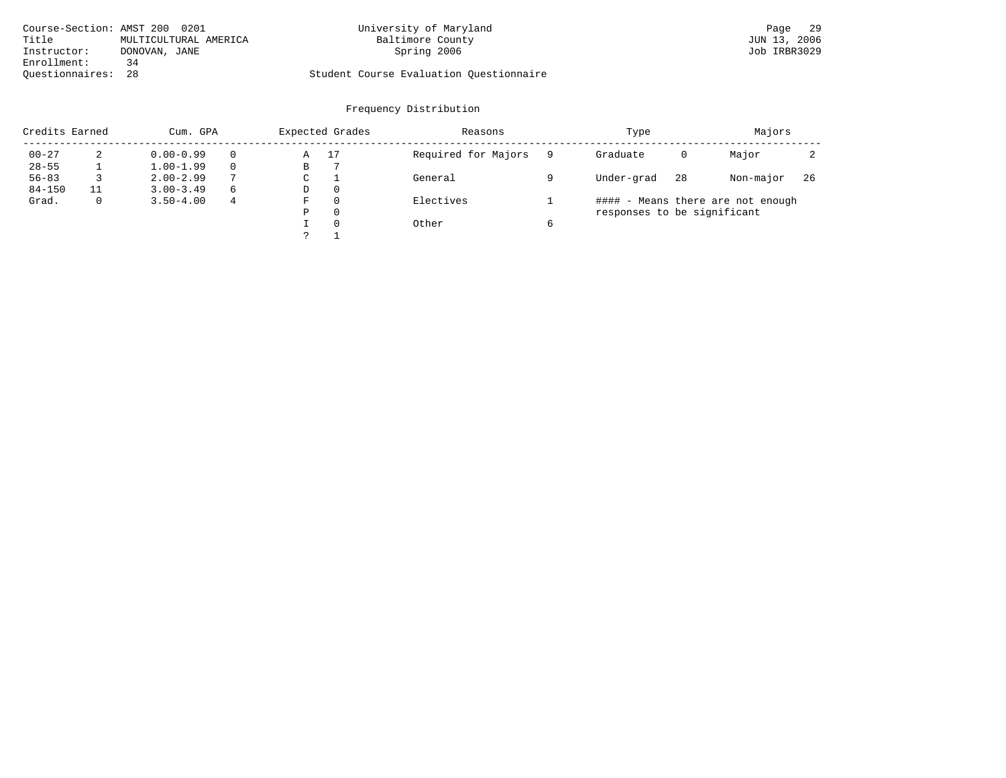|                    | Course-Section: AMST 200 0201 | University of Maryland                  | 29<br>Page   |
|--------------------|-------------------------------|-----------------------------------------|--------------|
| Title              | MULTICULTURAL AMERICA         | Baltimore County                        | JUN 13, 2006 |
| Instructor:        | DONOVAN, JANE                 | Spring 2006                             | Job IRBR3029 |
| Enrollment:        | 34                            |                                         |              |
| Ouestionnaires: 28 |                               | Student Course Evaluation Ouestionnaire |              |

| Credits Earned |              | Cum. GPA      |                    |   | Expected Grades | Reasons             |            | Type                        |           | Majors                            |  |
|----------------|--------------|---------------|--------------------|---|-----------------|---------------------|------------|-----------------------------|-----------|-----------------------------------|--|
| $00 - 27$      | 2            | $0.00 - 0.99$ |                    | Α | 17              | Required for Majors |            | Graduate                    | 0         | Major                             |  |
| $28 - 55$      |              | $1.00 - 1.99$ |                    | В |                 |                     |            |                             |           |                                   |  |
| $56 - 83$      |              | $2.00 - 2.99$ | $\mathcal{L}$<br>C |   | General         |                     | Under-grad | 28                          | Non-major | -26                               |  |
| $84 - 150$     |              | $3.00 - 3.49$ | 6                  | D | $\Omega$        |                     |            |                             |           |                                   |  |
| Grad.          | $\mathbf{0}$ | $3.50 - 4.00$ | 4                  | F | $\Omega$        | Electives           |            |                             |           | #### - Means there are not enough |  |
|                |              |               |                    | Ρ | $\Omega$        |                     |            | responses to be significant |           |                                   |  |
|                |              |               |                    |   | $\Omega$        | Other               | 6          |                             |           |                                   |  |
|                |              |               |                    |   |                 |                     |            |                             |           |                                   |  |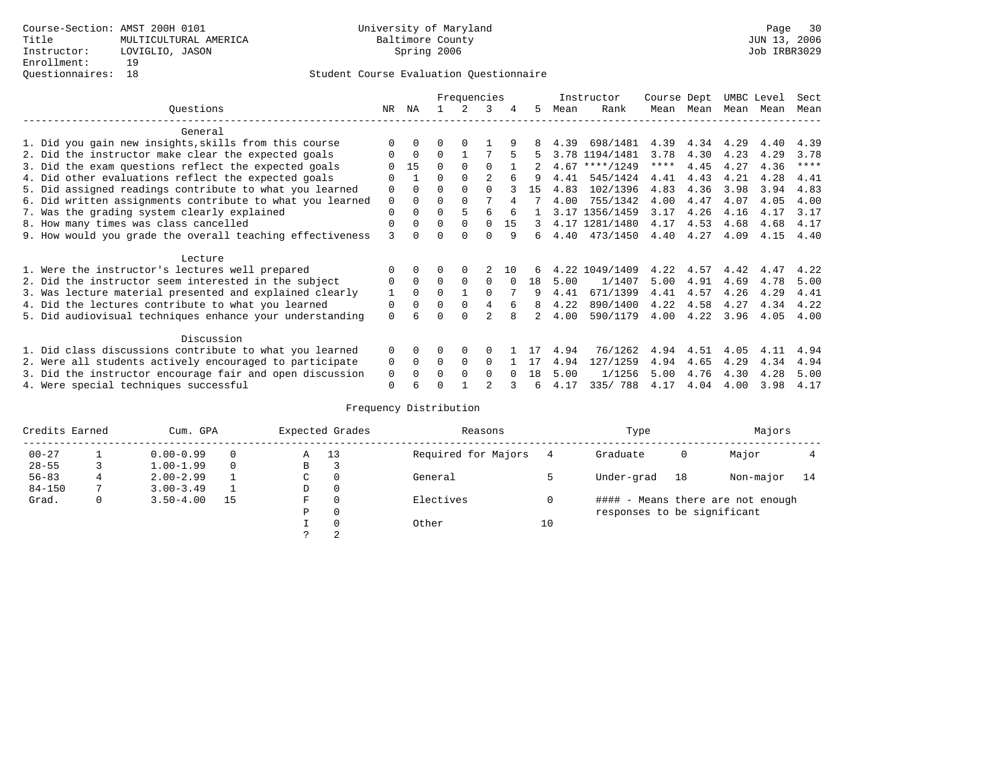# Questionnaires: 18 Student Course Evaluation Questionnaire

|                                                           |             |              |          | Frequencies  |          |          |     |      | Instructor     | Course Dept |           | UMBC Level |      | Sect        |
|-----------------------------------------------------------|-------------|--------------|----------|--------------|----------|----------|-----|------|----------------|-------------|-----------|------------|------|-------------|
| Ouestions                                                 | NR          | ΝA           |          | 2            | 3        | 4        | 5   | Mean | Rank           |             | Mean Mean | Mean       | Mean | Mean        |
| General                                                   |             |              |          |              |          |          |     |      |                |             |           |            |      |             |
| 1. Did you gain new insights, skills from this course     |             | $\Omega$     | 0        | $\Omega$     |          |          |     | 4.39 | 698/1481       | 4.39        | 4.34      | 4.29       | 4.40 | 4.39        |
| 2. Did the instructor make clear the expected goals       |             | $\Omega$     | 0        |              |          |          | 5   |      | 3.78 1194/1481 | 3.78        | 4.30      | 4.23       | 4.29 | 3.78        |
| 3. Did the exam questions reflect the expected goals      |             | 15           | $\Omega$ | $\Omega$     | $\Omega$ |          |     | 4.67 | ****/1249      | $***$ * *   | 4.45      | 4.27       | 4.36 | $***$ * * * |
| 4. Did other evaluations reflect the expected goals       |             |              | O        | $\Omega$     |          |          | 9   | 4.41 | 545/1424       | 4.41        | 4.43      | 4.21       | 4.28 | 4.41        |
| 5. Did assigned readings contribute to what you learned   | 0           | $\Omega$     | U        | $\Omega$     | $\Omega$ |          | 1.5 | 4.83 | 102/1396       | 4.83        | 4.36      | 3.98       | 3.94 | 4.83        |
| 6. Did written assignments contribute to what you learned | $\mathbf 0$ | $\Omega$     | U        | $\Omega$     | 7        |          |     | 4.00 | 755/1342       | 4.00        | 4.47      | 4.07       | 4.05 | 4.00        |
| 7. Was the grading system clearly explained               | 0           | $\Omega$     | O        | 5            | 6        |          |     |      | 3.17 1356/1459 | 3.17        | 4.26      | 4.16       | 4.17 | 3.17        |
| 8. How many times was class cancelled                     | $\Omega$    | $\Omega$     | $\Omega$ | $\Omega$     | $\Omega$ | 15       | 3   |      | 4.17 1281/1480 | 4.17        | 4.53      | 4.68       | 4.68 | 4.17        |
| 9. How would you grade the overall teaching effectiveness | 3           | <sup>n</sup> |          | <sup>n</sup> | U        | q        | б.  | 4.40 | 473/1450       | 4.40        | 4.27      | 4.09       | 4.15 | 4.40        |
| Lecture                                                   |             |              |          |              |          |          |     |      |                |             |           |            |      |             |
| 1. Were the instructor's lectures well prepared           |             | $\Omega$     |          |              |          | 10       |     |      | 4.22 1049/1409 | 4.22        | 4.57      | 4.42       | 4.47 | 4.22        |
| 2. Did the instructor seem interested in the subject      | 0           | $\Omega$     | $\Omega$ | $\Omega$     | $\Omega$ |          | 18  | 5.00 | 1/1407         | 5.00        | 4.91      | 4.69       | 4.78 | 5.00        |
| 3. Was lecture material presented and explained clearly   | 1           | $\Omega$     | 0        |              | $\Omega$ |          | 9   | 4.41 | 671/1399       | 4.41        | 4.57      | 4.26       | 4.29 | 4.41        |
| 4. Did the lectures contribute to what you learned        | 0           | $\Omega$     | $\Omega$ | $\Omega$     | 4        |          | 8   | 4.22 | 890/1400       | 4.22        | 4.58      | 4.27       | 4.34 | 4.22        |
| 5. Did audiovisual techniques enhance your understanding  | 0           | 6            |          |              |          |          |     | 4.00 | 590/1179       | 4.00        | 4.22      | 3.96       | 4.05 | 4.00        |
| Discussion                                                |             |              |          |              |          |          |     |      |                |             |           |            |      |             |
| 1. Did class discussions contribute to what you learned   | $\Omega$    | $\Omega$     | U        | $\Omega$     |          |          |     | 4.94 | 76/1262        | 4.94        | 4.51      | 4.05       | 4.11 | 4.94        |
| 2. Were all students actively encouraged to participate   | 0           | $\Omega$     | $\Omega$ | 0            | $\Omega$ |          |     | 4.94 | 127/1259       | 4.94        | 4.65      | 4.29       | 4.34 | 4.94        |
| 3. Did the instructor encourage fair and open discussion  | 0           | 0            |          | $\Omega$     | $\Omega$ | $\Omega$ | 18  | 5.00 | 1/1256         | 5.00        | 4.76      | 4.30       | 4.28 | 5.00        |
| 4. Were special techniques successful                     | 0           | 6            |          |              |          |          | 6   | 4.17 | 335/788        | 4.17        | 4.04      | 4.00       | 3.98 | 4.17        |

| Credits Earned |   | Cum. GPA      |    |             | Expected Grades | Reasons             |    | Type                        |    | Majors                            |    |
|----------------|---|---------------|----|-------------|-----------------|---------------------|----|-----------------------------|----|-----------------------------------|----|
| $00 - 27$      |   | $0.00 - 0.99$ |    | Α           | 13              | Required for Majors | 4  | Graduate                    | 0  | Major                             |    |
| $28 - 55$      | 3 | $1.00 - 1.99$ |    | В           | 3               |                     |    |                             |    |                                   |    |
| $56 - 83$      |   | $2.00 - 2.99$ |    | $\sim$<br>◡ | 0               | General             |    | Under-grad                  | 18 | Non-major                         | 14 |
| $84 - 150$     |   | $3.00 - 3.49$ |    | D           | 0               |                     |    |                             |    |                                   |    |
| Grad.          | 0 | $3.50 - 4.00$ | 15 | F           | 0               | Electives           | 0  |                             |    | #### - Means there are not enough |    |
|                |   |               |    | Ρ           | 0               |                     |    | responses to be significant |    |                                   |    |
|                |   |               |    |             | $\Omega$        | Other               | 10 |                             |    |                                   |    |
|                |   |               |    | C           | 2               |                     |    |                             |    |                                   |    |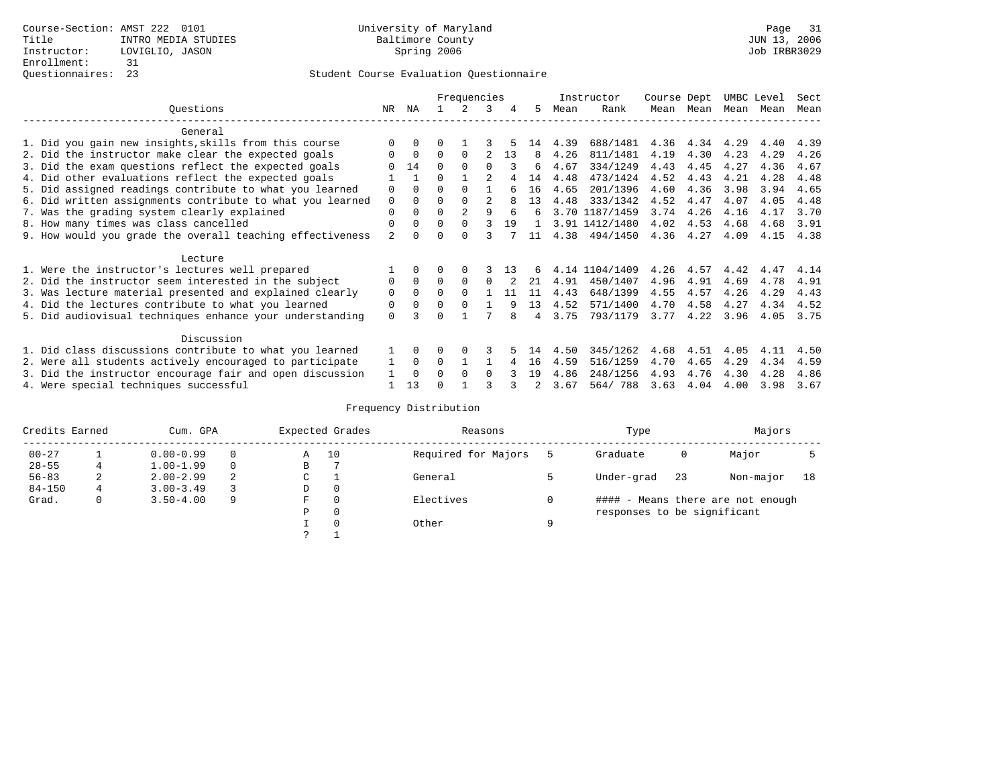# Questionnaires: 23 Student Course Evaluation Questionnaire

|                                                           |                |             |          | Frequencies    |                |     |    |      | Instructor     | Course Dept |           | UMBC Level |      | Sect |
|-----------------------------------------------------------|----------------|-------------|----------|----------------|----------------|-----|----|------|----------------|-------------|-----------|------------|------|------|
| Ouestions                                                 | NR             | ΝA          |          | 2              | 3              | 4   | 5. | Mean | Rank           |             | Mean Mean | Mean       | Mean | Mean |
| General                                                   |                |             |          |                |                |     |    |      |                |             |           |            |      |      |
| 1. Did you gain new insights, skills from this course     |                | $\Omega$    | 0        |                |                |     | 14 | 4.39 | 688/1481       | 4.36        | 4.34      | 4.29       | 4.40 | 4.39 |
| 2. Did the instructor make clear the expected goals       | O              | $\Omega$    | $\Omega$ | $\Omega$       |                | 13  | 8  | 4.26 | 811/1481       | 4.19        | 4.30      | 4.23       | 4.29 | 4.26 |
| 3. Did the exam questions reflect the expected goals      |                | 14          | 0        | $\Omega$       | U              |     | 6  | 4.67 | 334/1249       | 4.43        | 4.45      | 4.27       | 4.36 | 4.67 |
| 4. Did other evaluations reflect the expected goals       |                |             | U        |                |                |     | 14 | 4.48 | 473/1424       | 4.52        | 4.43      | 4.21       | 4.28 | 4.48 |
| 5. Did assigned readings contribute to what you learned   | 0              | $\Omega$    | O        | $\Omega$       |                | б   | 16 | 4.65 | 201/1396       | 4.60        | 4.36      | 3.98       | 3.94 | 4.65 |
| 6. Did written assignments contribute to what you learned | $\mathbf 0$    | $\Omega$    | O        | $\Omega$       | $\mathfrak{D}$ | 8   | 13 | 4.48 | 333/1342       | 4.52        | 4.47      | 4.07       | 4.05 | 4.48 |
| 7. Was the grading system clearly explained               | 0              | $\Omega$    | U        | $\overline{a}$ | q              | 6   | 6  |      | 3.70 1187/1459 | 3.74        | 4.26      | 4.16       | 4.17 | 3.70 |
| 8. How many times was class cancelled                     | 0              | $\Omega$    | $\Omega$ | $\Omega$       |                | 19  |    |      | 3.91 1412/1480 | 4.02        | 4.53      | 4.68       | 4.68 | 3.91 |
| 9. How would you grade the overall teaching effectiveness | $\overline{2}$ | $\cap$      | U        | $\cap$         |                |     | 11 | 4.38 | 494/1450       | 4.36        | 4.27      | 4.09       | 4.15 | 4.38 |
| Lecture                                                   |                |             |          |                |                |     |    |      |                |             |           |            |      |      |
| 1. Were the instructor's lectures well prepared           |                |             |          |                |                | 1 3 |    |      | 4.14 1104/1409 | 4.26        | 4.57      | 4.42       | 4.47 | 4.14 |
| 2. Did the instructor seem interested in the subject      | 0              | $\Omega$    | $\Omega$ | $\Omega$       | $\Omega$       |     | 21 | 4.91 | 450/1407       | 4.96        | 4.91      | 4.69       | 4.78 | 4.91 |
| 3. Was lecture material presented and explained clearly   | 0              | $\Omega$    | $\Omega$ | $\Omega$       |                | 11  | 11 | 4.43 | 648/1399       | 4.55        | 4.57      | 4.26       | 4.29 | 4.43 |
| 4. Did the lectures contribute to what you learned        | 0              | $\mathbf 0$ | U        | $\Omega$       |                | 9   | 13 | 4.52 | 571/1400       | 4.70        | 4.58      | 4.27       | 4.34 | 4.52 |
| 5. Did audiovisual techniques enhance your understanding  | $\Omega$       |             |          |                |                |     | 4  | 3.75 | 793/1179       | 3.77        | 4.22      | 3.96       | 4.05 | 3.75 |
| Discussion                                                |                |             |          |                |                |     |    |      |                |             |           |            |      |      |
| 1. Did class discussions contribute to what you learned   |                | $\Omega$    |          | $\Omega$       | 3              |     | 14 | 4.50 | 345/1262       | 4.68        | 4.51      | 4.05       | 4.11 | 4.50 |
| 2. Were all students actively encouraged to participate   |                | $\Omega$    | 0        |                |                | 4   | 16 | 4.59 | 516/1259       | 4.70        | 4.65      | 4.29       | 4.34 | 4.59 |
| 3. Did the instructor encourage fair and open discussion  |                | $\Omega$    | 0        | $\Omega$       | <sup>0</sup>   |     | 19 | 4.86 | 248/1256       | 4.93        | 4.76      | 4.30       | 4.28 | 4.86 |
| 4. Were special techniques successful                     |                | 13          |          |                |                |     |    | 3.67 | 564/788        | 3.63        | 4.04      | 4.00       | 3.98 | 3.67 |

| Credits Earned |             | Cum. GPA      |                  |   | Expected Grades | Reasons             |            | Type                        |           | Majors                            |  |
|----------------|-------------|---------------|------------------|---|-----------------|---------------------|------------|-----------------------------|-----------|-----------------------------------|--|
| $00 - 27$      |             | $0.00 - 0.99$ |                  | Α | 10              | Required for Majors |            | Graduate                    | 0         | Major                             |  |
| $28 - 55$      | 4           | $1.00 - 1.99$ |                  | В |                 |                     |            |                             |           |                                   |  |
| $56 - 83$      | 2           | $2.00 - 2.99$ | 2<br>$\sim$<br>◡ |   | General         |                     | Under-grad | 23                          | Non-major | 18                                |  |
| $84 - 150$     | $4^{\circ}$ | $3.00 - 3.49$ |                  | D | 0               |                     |            |                             |           |                                   |  |
| Grad.          | 0           | $3.50 - 4.00$ | 9                | F | 0               | Electives           | 0          |                             |           | #### - Means there are not enough |  |
|                |             |               |                  | Ρ | 0               |                     |            | responses to be significant |           |                                   |  |
|                |             |               |                  |   | $\Omega$        | Other               | Q          |                             |           |                                   |  |
|                |             |               |                  | C |                 |                     |            |                             |           |                                   |  |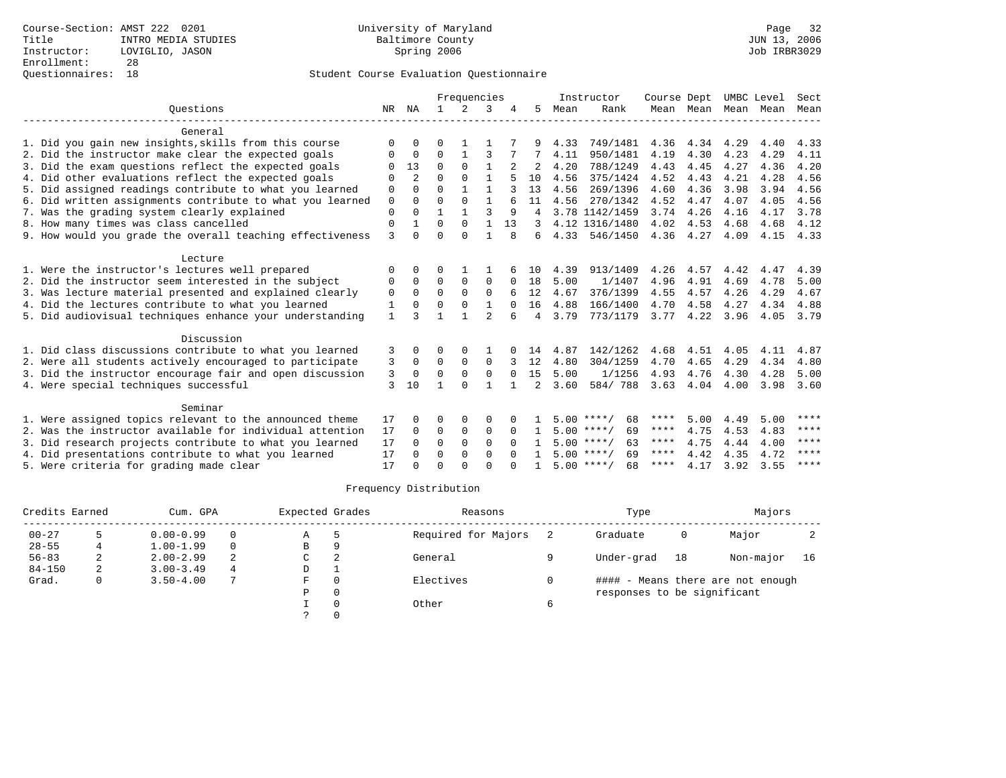# Questionnaires: 18 Student Course Evaluation Questionnaire

|              |                |              | Frequencies    |                |              |                |      | Instructor | Course Dept                                                                                                            |      |                                          | UMBC Level | Sect |
|--------------|----------------|--------------|----------------|----------------|--------------|----------------|------|------------|------------------------------------------------------------------------------------------------------------------------|------|------------------------------------------|------------|------|
| NR           | NA             | $\mathbf{1}$ | $\mathfrak{D}$ | 3              |              | 5              | Mean | Rank       |                                                                                                                        |      | Mean                                     | Mean       | Mean |
|              |                |              |                |                |              |                |      |            |                                                                                                                        |      |                                          |            |      |
| $\Omega$     | $\Omega$       | O            |                |                |              |                | 4.33 | 749/1481   | 4.36                                                                                                                   | 4.34 | 4.29                                     | 4.40       | 4.33 |
| O            | $\mathbf 0$    | $\Omega$     | 1              | 3              |              |                | 4.11 | 950/1481   | 4.19                                                                                                                   | 4.30 | 4.23                                     | 4.29       | 4.11 |
|              | 13             | $\Omega$     | $\Omega$       | $\mathbf{1}$   |              |                | 4.20 | 788/1249   | 4.43                                                                                                                   | 4.45 | 4.27                                     | 4.36       | 4.20 |
| O            | $\overline{a}$ | $\cap$       | $\Omega$       | 1              |              | 10             | 4.56 | 375/1424   | 4.52                                                                                                                   | 4.43 | 4.21                                     | 4.28       | 4.56 |
| 0            | $\Omega$       | $\Omega$     | $\mathbf{1}$   | $\mathbf{1}$   |              | 13             | 4.56 | 269/1396   | 4.60                                                                                                                   | 4.36 | 3.98                                     | 3.94       | 4.56 |
| $\mathbf 0$  | $\Omega$       | $\Omega$     | $\Omega$       | $\mathbf{1}$   |              | 11             | 4.56 | 270/1342   | 4.52                                                                                                                   | 4.47 | 4.07                                     | 4.05       | 4.56 |
| $\mathbf{0}$ | $\Omega$       | $\mathbf{1}$ | $\mathbf{1}$   | ς              | 9            | 4              |      |            | 3.74                                                                                                                   | 4.26 | 4.16                                     | 4.17       | 3.78 |
| $\mathbf 0$  |                | 0            | $\Omega$       | $\mathbf{1}$   | 13           |                |      |            | 4.02                                                                                                                   | 4.53 | 4.68                                     | 4.68       | 4.12 |
| 3            | $\cap$         | $\Omega$     | $\cap$         | $\mathbf{1}$   | 8            | 6              |      | 546/1450   | 4.36                                                                                                                   |      | 4.09                                     | 4.15       | 4.33 |
|              |                |              |                |                |              |                |      |            |                                                                                                                        |      |                                          |            |      |
| O            | O              | O            |                |                |              | 1 O            | 4.39 | 913/1409   | 4.26                                                                                                                   | 4.57 | 4.42                                     | 4.47       | 4.39 |
| 0            | $\Omega$       | $\Omega$     | $\Omega$       | $\Omega$       | $\Omega$     | 18             | 5.00 | 1/1407     | 4.96                                                                                                                   | 4.91 | 4.69                                     | 4.78       | 5.00 |
| 0            | $\Omega$       | $\Omega$     | $\mathbf 0$    | $\mathbf 0$    | б            | 12             | 4.67 | 376/1399   | 4.55                                                                                                                   | 4.57 | 4.26                                     | 4.29       | 4.67 |
| 1            | $\Omega$       | $\Omega$     | $\Omega$       | $\mathbf{1}$   | $\Omega$     | 16             | 4.88 | 166/1400   | 4.70                                                                                                                   | 4.58 | 4.27                                     | 4.34       | 4.88 |
| $\mathbf{1}$ | ζ              | 1            | $\mathbf{1}$   | $\mathfrak{D}$ |              | 4              | 3.79 | 773/1179   |                                                                                                                        |      | 3.96                                     | 4.05       | 3.79 |
|              |                |              |                |                |              |                |      |            |                                                                                                                        |      |                                          |            |      |
| 3            | $\Omega$       | O            | $\Omega$       | 1              |              | 14             | 4.87 | 142/1262   | 4.68                                                                                                                   | 4.51 | 4.05                                     | 4.11       | 4.87 |
| 3            | $\mathbf 0$    | $\mathbf 0$  | $\mathbf 0$    | $\mathbf 0$    |              | 12             | 4.80 | 304/1259   | 4.70                                                                                                                   | 4.65 | 4.29                                     | 4.34       | 4.80 |
| 3            | $\Omega$       | $\Omega$     | $\Omega$       | $\Omega$       | $\Omega$     | 15             | 5.00 | 1/1256     | 4.93                                                                                                                   | 4.76 | 4.30                                     | 4.28       | 5.00 |
| 3            | 10             | 1            | $\Omega$       | $\mathbf{1}$   | $\mathbf{1}$ | $\mathfrak{D}$ | 3.60 | 584/788    | 3.63                                                                                                                   |      | 4.00                                     | 3.98       | 3.60 |
|              |                |              |                |                |              |                |      |            |                                                                                                                        |      |                                          |            |      |
|              | U              | O            | $\Omega$       | $\Omega$       |              |                |      | 68         | ****                                                                                                                   | 5.00 | 4.49                                     |            | **** |
| 17           | $\Omega$       | $\Omega$     | $\Omega$       | $\Omega$       | $\Omega$     | $\mathbf{1}$   |      | 69         | ****                                                                                                                   | 4.75 | 4.53                                     | 4.83       | **** |
| 17           | $\Omega$       | $\Omega$     | $\Omega$       | $\Omega$       | $\Omega$     |                |      | 63         | ****                                                                                                                   | 4.75 | 4.44                                     | 4.00       | **** |
| 17           | $\Omega$       | $\Omega$     | $\Omega$       | $\Omega$       | $\cap$       | $\mathbf{1}$   |      | 69         | $***$ * *                                                                                                              | 4.42 | 4.35                                     | 4.72       | **** |
| 17           |                | $\Omega$     | $\cap$         | $\cap$         |              |                |      | 68         | ****                                                                                                                   | 4.17 | 3.92                                     | 3.55       | **** |
|              | 17             |              |                |                |              |                |      |            | 3.78 1142/1459<br>4.12 1316/1480<br>4.33<br>5.00 ****/<br>$5.00$ ****/<br>$5.00$ ****/<br>$5.00$ ****/<br>$5.00$ ****/ |      | Mean Mean<br>4.27<br>$3.77$ 4.22<br>4.04 |            | 5.00 |

| Credits Earned |   | Cum. GPA      |          | Expected Grades |   | Reasons             | Type                        |    | Majors                            |    |
|----------------|---|---------------|----------|-----------------|---|---------------------|-----------------------------|----|-----------------------------------|----|
| $00 - 27$      |   | $0.00 - 0.99$ | $\Omega$ | Α               |   | Required for Majors | Graduate                    | 0  | Major                             |    |
| $28 - 55$      |   | $1.00 - 1.99$ | $\Omega$ | B               | 9 |                     |                             |    |                                   |    |
| $56 - 83$      | ∠ | $2.00 - 2.99$ | 2        | C               | 2 | General             | Under-grad                  | 18 | Non-major                         | 16 |
| $84 - 150$     | 2 | $3.00 - 3.49$ | 4        | D               |   |                     |                             |    |                                   |    |
| Grad.          | 0 | $3.50 - 4.00$ | 7        | F               |   | Electives           |                             |    | #### - Means there are not enough |    |
|                |   |               |          | P               |   |                     | responses to be significant |    |                                   |    |
|                |   |               |          |                 |   | Other               |                             |    |                                   |    |
|                |   |               |          |                 |   |                     |                             |    |                                   |    |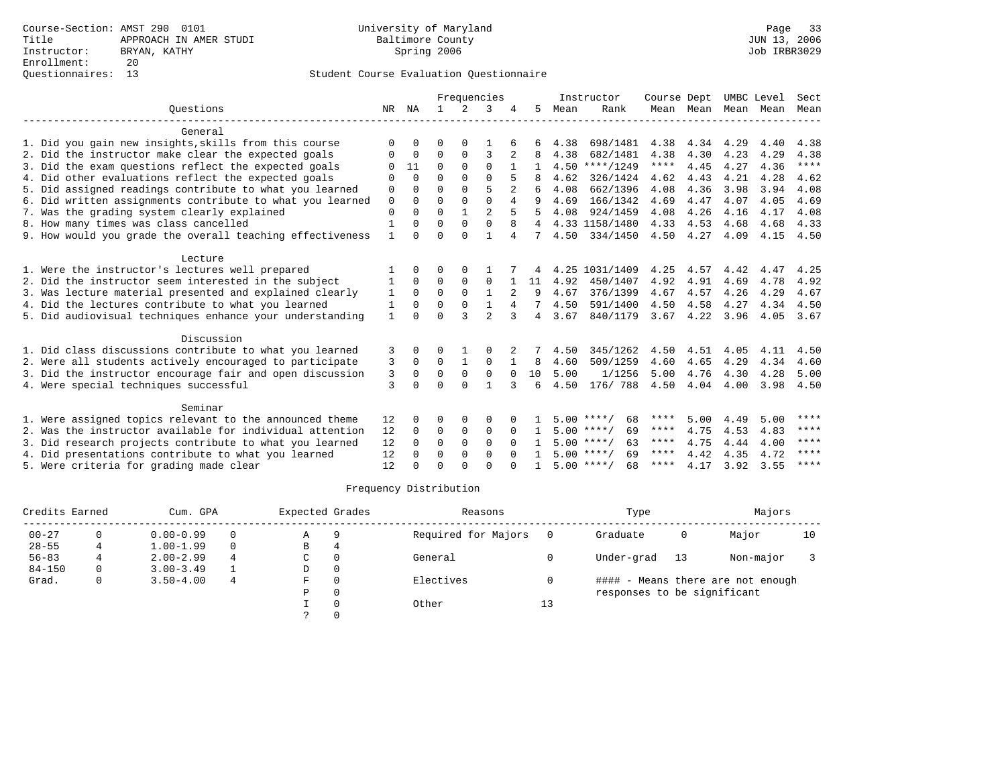|                                                           |              |              |              |                | Frequencies    |                |                |      | Instructor         | Course Dept |           | UMBC Level |      | Sect  |
|-----------------------------------------------------------|--------------|--------------|--------------|----------------|----------------|----------------|----------------|------|--------------------|-------------|-----------|------------|------|-------|
| Ouestions                                                 | NR           | ΝA           | $\mathbf{1}$ | $\overline{2}$ | 3              |                | 5.             | Mean | Rank               |             | Mean Mean | Mean       | Mean | Mean  |
| General                                                   |              |              |              |                |                |                |                |      |                    |             |           |            |      |       |
| 1. Did you gain new insights, skills from this course     | $\Omega$     | O            | O            | $\Omega$       |                |                |                | 4.38 | 698/1481           | 4.38        | 4.34      | 4.29       | 4.40 | 4.38  |
| 2. Did the instructor make clear the expected goals       | $\Omega$     | $\Omega$     | $\Omega$     | $\Omega$       | 3              | 2              | я              | 4.38 | 682/1481           | 4.38        | 4.30      | 4.23       | 4.29 | 4.38  |
| 3. Did the exam questions reflect the expected goals      | ∩            | 11           | $\Omega$     | $\Omega$       | $\Omega$       |                |                | 4.50 | $***/1249$         | $***$ * * * | 4.45      | 4.27       | 4.36 | $***$ |
| 4. Did other evaluations reflect the expected goals       | ∩            | $\Omega$     | $\Omega$     | $\Omega$       | $\cap$         |                |                | 4.62 | 326/1424           | 4.62        | 4.43      | 4.21       | 4.28 | 4.62  |
| 5. Did assigned readings contribute to what you learned   | 0            | O            | $\Omega$     | $\Omega$       | 5              |                | 6              | 4.08 | 662/1396           | 4.08        | 4.36      | 3.98       | 3.94 | 4.08  |
| 6. Did written assignments contribute to what you learned | $\mathsf 0$  | $\Omega$     | $\Omega$     | $\Omega$       | $\Omega$       | $\overline{4}$ | 9              | 4.69 | 166/1342           | 4.69        | 4.47      | 4.07       | 4.05 | 4.69  |
| 7. Was the grading system clearly explained               | $\Omega$     | $\Omega$     | $\Omega$     | $\mathbf{1}$   | $\overline{a}$ | 5              | 5              | 4.08 | 924/1459           | 4.08        | 4.26      | 4.16       | 4.17 | 4.08  |
| 8. How many times was class cancelled                     | $\mathbf{1}$ | $\Omega$     | $\Omega$     | $\Omega$       | $\Omega$       | 8              |                |      | 4.33 1158/1480     | 4.33        | 4.53      | 4.68       | 4.68 | 4.33  |
| 9. How would you grade the overall teaching effectiveness | 1            | $\cap$       | $\cap$       | $\cap$         | 1              | 4              | 7              | 4.50 | 334/1450           | 4.50        | 4.27      | 4.09       | 4.15 | 4.50  |
| Lecture                                                   |              |              |              |                |                |                |                |      |                    |             |           |            |      |       |
| 1. Were the instructor's lectures well prepared           |              | 0            | O            |                |                |                |                |      | 4.25 1031/1409     | 4.25        | 4.57      | 4.42       | 4.47 | 4.25  |
| 2. Did the instructor seem interested in the subject      | 1            | $\Omega$     | $\Omega$     | $\Omega$       | $\Omega$       |                | 11             | 4.92 | 450/1407           | 4.92        | 4.91      | 4.69       | 4.78 | 4.92  |
| 3. Was lecture material presented and explained clearly   | 1            | $\Omega$     | $\Omega$     | $\Omega$       | $\mathbf{1}$   |                | 9              | 4.67 | 376/1399           | 4.67        | 4.57      | 4.26       | 4.29 | 4.67  |
| 4. Did the lectures contribute to what you learned        | 1            | $\Omega$     | $\Omega$     | $\Omega$       | $\mathbf{1}$   | 4              | 7              | 4.50 | 591/1400           | 4.50        | 4.58      | 4.27       | 4.34 | 4.50  |
| 5. Did audiovisual techniques enhance your understanding  | $\mathbf{1}$ | $\cap$       | $\Omega$     | 3              | $\mathfrak{D}$ | 3              | $\overline{4}$ | 3.67 | 840/1179           | 3.67        | 4.22      | 3.96       | 4.05 | 3.67  |
| Discussion                                                |              |              |              |                |                |                |                |      |                    |             |           |            |      |       |
| 1. Did class discussions contribute to what you learned   | 3            | 0            | 0            |                | 0              | 2              |                | 4.50 | 345/1262           | 4.50        | 4.51      | 4.05       | 4.11 | 4.50  |
| 2. Were all students actively encouraged to participate   | 3            | $\Omega$     | $\Omega$     | $\mathbf{1}$   | $\Omega$       |                | 8              | 4.60 | 509/1259           | 4.60        | 4.65      | 4.29       | 4.34 | 4.60  |
| 3. Did the instructor encourage fair and open discussion  | 3            | $\Omega$     | $\Omega$     | $\mathbf 0$    | $\mathbf 0$    | $\Omega$       | 10             | 5.00 | 1/1256             | 5.00        | 4.76      | 4.30       | 4.28 | 5.00  |
| 4. Were special techniques successful                     | 3            | <sup>n</sup> | $\cap$       | $\cap$         | $\mathbf{1}$   | 3              | 6              | 4.50 | 176/ 788           | 4.50        | 4.04      | 4.00       | 3.98 | 4.50  |
| Seminar                                                   |              |              |              |                |                |                |                |      |                    |             |           |            |      |       |
| 1. Were assigned topics relevant to the announced theme   | 12           | 0            | O            | $\Omega$       | $\mathbf 0$    |                |                |      | 68<br>$5.00$ ****/ | ****        | 5.00      | 4.49       | 5.00 | ****  |
| 2. Was the instructor available for individual attention  | 12           | $\Omega$     | $\Omega$     | $\Omega$       | $\Omega$       | $\Omega$       | 1.             |      | $5.00$ ****/<br>69 | ****        | 4.75      | 4.53       | 4.83 | ****  |
| 3. Did research projects contribute to what you learned   | 12           | $\Omega$     | $\mathbf 0$  | $\Omega$       | $\Omega$       | $\Omega$       |                |      | $5.00$ ****/<br>63 | $***$ * * * | 4.75      | 4.44       | 4.00 | ****  |
| 4. Did presentations contribute to what you learned       | 12           | $\Omega$     | $\Omega$     | $\Omega$       | $\Omega$       | $\Omega$       |                |      | $5.00$ ****/<br>69 | $***$ * *   | 4.42      | 4.35       | 4.72 | ****  |
| 5. Were criteria for grading made clear                   | 12           |              | U            | ∩              | $\cap$         |                |                |      | $5.00$ ****/<br>68 | ****        | 4.17      | 3.92       | 3.55 | ****  |

|            | Credits Earned<br>Cum. GPA |               |          | Expected Grades |          | Reasons             |    | Type                        |    | Majors                            |    |
|------------|----------------------------|---------------|----------|-----------------|----------|---------------------|----|-----------------------------|----|-----------------------------------|----|
| $00 - 27$  |                            | $0.00 - 0.99$ |          | Α               | g        | Required for Majors |    | Graduate                    | 0  | Major                             | 10 |
| $28 - 55$  |                            | $1.00 - 1.99$ | $\Omega$ | В               |          |                     |    |                             |    |                                   |    |
| $56 - 83$  | 4                          | $2.00 - 2.99$ | 4        | C.              | 0        | General             |    | Under-grad                  | 13 | Non-major                         |    |
| $84 - 150$ |                            | $3.00 - 3.49$ |          | D               | 0        |                     |    |                             |    |                                   |    |
| Grad.      | 0                          | $3.50 - 4.00$ | 4        | F               | $\Omega$ | Electives           |    |                             |    | #### - Means there are not enough |    |
|            |                            |               |          | Ρ               | 0        |                     |    | responses to be significant |    |                                   |    |
|            |                            |               |          |                 | $\Omega$ | Other               | 13 |                             |    |                                   |    |
|            |                            |               |          |                 |          |                     |    |                             |    |                                   |    |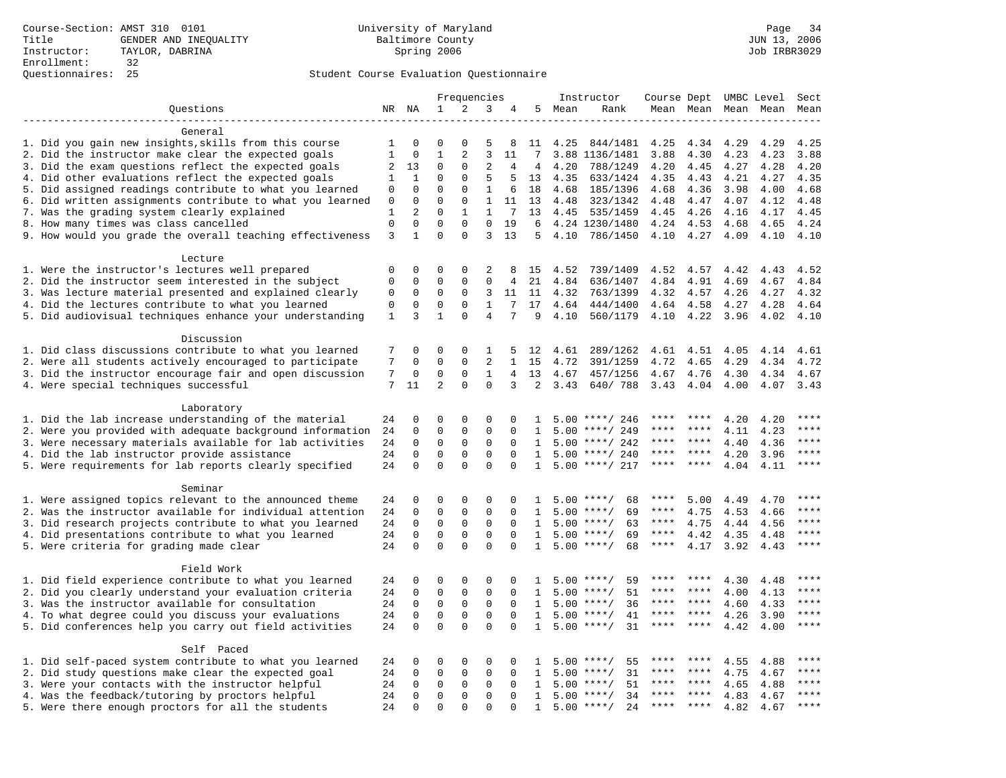|                                                           |                   |              |                |              | Frequencies    |                |              |        | Instructor         | Course Dept UMBC Level |           |                     |      | Sect        |
|-----------------------------------------------------------|-------------------|--------------|----------------|--------------|----------------|----------------|--------------|--------|--------------------|------------------------|-----------|---------------------|------|-------------|
| Questions                                                 |                   | NR NA        | 1              | 2            | 3              | 4              |              | 5 Mean | Rank               |                        |           | Mean Mean Mean Mean |      | Mean        |
|                                                           |                   |              |                |              |                |                |              |        |                    |                        |           |                     |      |             |
| General                                                   |                   |              |                |              |                |                |              |        |                    |                        |           |                     |      |             |
| 1. Did you gain new insights, skills from this course     | 1                 | 0            | $\Omega$       | 0            | 5              | 8              | 11           | 4.25   | 844/1481           | 4.25                   | 4.34      | 4.29                | 4.29 | 4.25        |
| 2. Did the instructor make clear the expected goals       | $\mathbf{1}$<br>2 | $\mathbf{0}$ | $\mathbf 1$    | 2            | $\overline{3}$ | 11             | 7            |        | 3.88 1136/1481     | 3.88                   | 4.30      | 4.23                | 4.23 | 3.88        |
| 3. Did the exam questions reflect the expected goals      |                   | 13           | $\Omega$       | $\Omega$     | $\overline{2}$ | 4              | 4            | 4.20   | 788/1249           | 4.20                   | 4.45      | 4.27                | 4.28 | 4.20        |
| 4. Did other evaluations reflect the expected goals       | 1                 | 1            | $\Omega$       | $\Omega$     | 5              | 5              | 13           | 4.35   | 633/1424           | 4.35                   | 4.43      | 4.21                | 4.27 | 4.35        |
| 5. Did assigned readings contribute to what you learned   | $\mathbf 0$       | $\mathbf 0$  | $\Omega$       | $\Omega$     | $\mathbf{1}$   | 6              | 18           | 4.68   | 185/1396           | 4.68                   | 4.36      | 3.98                | 4.00 | 4.68        |
| 6. Did written assignments contribute to what you learned | $\mathbf 0$       | $\mathbf{0}$ | $\mathbf 0$    | $\mathbf{0}$ | $\mathbf{1}$   | 11             | 13           | 4.48   | 323/1342           | 4.48                   | 4.47      | 4.07                | 4.12 | 4.48        |
| 7. Was the grading system clearly explained               | $\mathbf{1}$      | 2            | $\Omega$       | $\mathbf{1}$ | $\mathbf{1}$   | 7              | 13           | 4.45   | 535/1459           | 4.45                   | 4.26      | 4.16                | 4.17 | 4.45        |
| 8. How many times was class cancelled                     | $\mathbf{0}$      | $\mathbf 0$  | $\mathbf 0$    | $\mathbf 0$  | $\mathbf 0$    | 19             | 6            |        | 4.24 1230/1480     | 4.24                   | 4.53      | 4.68                | 4.65 | 4.24        |
| 9. How would you grade the overall teaching effectiveness | 3                 | 1            | $\Omega$       | $\Omega$     | 3              | 13             | 5            | 4.10   | 786/1450           | 4.10                   | 4.27      | 4.09                | 4.10 | 4.10        |
|                                                           |                   |              |                |              |                |                |              |        |                    |                        |           |                     |      |             |
| Lecture                                                   | $\Omega$          | $\Omega$     | $\Omega$       | $\Omega$     | 2              | 8              |              | 4.52   | 739/1409           | 4.52                   | 4.57      | 4.42                | 4.43 | 4.52        |
| 1. Were the instructor's lectures well prepared           | $\mathbf 0$       | $\mathbf 0$  | 0              | $\Omega$     | $\Omega$       |                | 15           | 4.84   |                    |                        | 4.91      |                     |      | 4.84        |
| 2. Did the instructor seem interested in the subject      |                   |              | 0              |              | 3              | 4              | 21           | 4.32   | 636/1407           | 4.84                   |           | 4.69                | 4.67 | 4.32        |
| 3. Was lecture material presented and explained clearly   | 0                 | 0            |                | 0            |                | 11             | 11           |        | 763/1399           | 4.32                   | 4.57      | 4.26                | 4.27 |             |
| 4. Did the lectures contribute to what you learned        | $\mathbf 0$       | $\mathbf 0$  | $\mathbf 0$    | $\mathbf{0}$ | $\mathbf{1}$   | 7              | 17           | 4.64   | 444/1400           | 4.64                   | 4.58      | 4.27                | 4.28 | 4.64        |
| 5. Did audiovisual techniques enhance your understanding  | 1                 | 3            | $\mathbf{1}$   | $\Omega$     | $\overline{4}$ | 7              | 9            | 4.10   | 560/1179           | 4.10                   | 4.22      | 3.96                | 4.02 | 4.10        |
| Discussion                                                |                   |              |                |              |                |                |              |        |                    |                        |           |                     |      |             |
| 1. Did class discussions contribute to what you learned   | 7                 | $\mathbf 0$  | 0              | $\mathbf 0$  | 1              | 5              | 12           | 4.61   | 289/1262           | 4.61                   | 4.51      | 4.05                | 4.14 | 4.61        |
| 2. Were all students actively encouraged to participate   | 7                 | $\Omega$     | $\Omega$       | $\Omega$     | $\overline{2}$ | $\mathbf{1}$   | 15           | 4.72   | 391/1259           | 4.72                   | 4.65      | 4.29                | 4.34 | 4.72        |
| 3. Did the instructor encourage fair and open discussion  | 7                 | $\mathbf 0$  | 0              | $\mathsf 0$  | $\mathbf{1}$   | $\overline{4}$ | 13           | 4.67   | 457/1256           | 4.67                   | 4.76      | 4.30                | 4.34 | 4.67        |
|                                                           | 7                 | 11           | $\overline{a}$ | $\mathbf{0}$ | $\mathbf 0$    | 3              | 2            | 3.43   | 640/788            | 3.43                   | 4.04      |                     | 4.07 | 3.43        |
| 4. Were special techniques successful                     |                   |              |                |              |                |                |              |        |                    |                        |           | 4.00                |      |             |
| Laboratory                                                |                   |              |                |              |                |                |              |        |                    |                        |           |                     |      |             |
| 1. Did the lab increase understanding of the material     | 24                | $\mathbf 0$  | 0              | $\mathbf 0$  | $\mathbf 0$    | 0              | 1.           |        | $5.00$ ****/ 246   |                        |           | 4.20                | 4.20 | ****        |
| 2. Were you provided with adequate background information | 24                | $\mathbf 0$  | 0              | $\mathbf 0$  | $\mathbf 0$    | $\Omega$       | 1            | 5.00   | ****/ 249          |                        |           | 4.11                | 4.23 | ****        |
| 3. Were necessary materials available for lab activities  | 24                | $\mathbf 0$  | $\mathbf 0$    | $\mathbf 0$  | $\mathbf 0$    | $\Omega$       | $\mathbf{1}$ |        | $5.00$ ****/ 242   | ****                   | $***$ *   | 4.40                | 4.36 | ****        |
| 4. Did the lab instructor provide assistance              | 24                | $\Omega$     | $\Omega$       | $\Omega$     | $\Omega$       | $\Omega$       | $\mathbf{1}$ |        | $5.00$ ****/ 240   | ****                   | $***$ *   | 4.20                | 3.96 | ****        |
| 5. Were requirements for lab reports clearly specified    | 24                | $\mathbf 0$  | $\mathbf 0$    | $\mathbf 0$  | $\mathbf 0$    | $\Omega$       | $\mathbf{1}$ |        | $5.00$ ****/ 217   | ****                   | $* * * *$ | 4.04                | 4.11 | ****        |
|                                                           |                   |              |                |              |                |                |              |        |                    |                        |           |                     |      |             |
| Seminar                                                   |                   |              |                |              |                |                |              |        |                    |                        |           |                     |      |             |
| 1. Were assigned topics relevant to the announced theme   | 24                | 0            | 0              | $\mathbf 0$  | 0              | $\Omega$       | -1.          |        | $5.00$ ****/<br>68 | ****                   | 5.00      | 4.49                | 4.70 | $***$       |
| 2. Was the instructor available for individual attention  | 24                | $\mathbf 0$  | $\mathbf 0$    | $\mathbf 0$  | $\mathbf{0}$   | 0              | 1            |        | $5.00$ ****/<br>69 | $***$ * *              | 4.75      | 4.53                | 4.66 | ****        |
| 3. Did research projects contribute to what you learned   | 24                | $\mathbf 0$  | $\mathbf 0$    | $\mathbf 0$  | $\mathbf 0$    | $\Omega$       | 1            |        | $5.00$ ****/<br>63 | $***$ * *              | 4.75      | 4.44                | 4.56 | ****        |
| 4. Did presentations contribute to what you learned       | 24                | $\Omega$     | $\mathbf 0$    | $\mathbf 0$  | $\mathbf 0$    | $\Omega$       | $\mathbf{1}$ |        | $5.00$ ****/<br>69 | $***$ * *              | 4.42      | 4.35                | 4.48 | $***$       |
| 5. Were criteria for grading made clear                   | 24                | $\Omega$     | $\Omega$       | $\Omega$     | $\Omega$       | $\Omega$       | $\mathbf{1}$ |        | $5.00$ ****/<br>68 | ****                   | 4.17      | 3.92                | 4.43 | ****        |
|                                                           |                   |              |                |              |                |                |              |        |                    |                        |           |                     |      |             |
| Field Work                                                |                   |              |                |              |                |                |              |        |                    |                        |           |                     |      |             |
| 1. Did field experience contribute to what you learned    | 24                | 0            | 0              | $\mathbf 0$  | 0              | 0              | 1            |        | 59<br>$5.00$ ****/ | ****                   | ****      | 4.30                | 4.48 | ****        |
| 2. Did you clearly understand your evaluation criteria    | 24                | $\mathbf 0$  | $\mathbf 0$    | $\mathbf 0$  | 0              | $\Omega$       | 1            | 5.00   | 51<br>$***$ /      | ****                   | ****      | 4.00                | 4.13 | * * * *     |
| 3. Was the instructor available for consultation          | 24                | $\mathbf 0$  | $\mathbf 0$    | $\mathbf 0$  | $\mathbf 0$    | $\Omega$       | $\mathbf{1}$ |        | 36<br>$5.00$ ****/ | ****                   | ****      | 4.60                | 4.33 | ****        |
| 4. To what degree could you discuss your evaluations      | 24                | $\mathbf 0$  | $\mathbf 0$    | $\mathbf 0$  | $\mathbf 0$    | $\Omega$       | $\mathbf{1}$ | 5.00   | $***$ /<br>41      | ****                   | ****      | 4.26                | 3.90 | ****        |
| 5. Did conferences help you carry out field activities    | 24                | $\Omega$     | $\Omega$       | $\Omega$     | $\Omega$       | $\Omega$       | $\mathbf{1}$ | 5.00   | $***$ /<br>31      | ****                   | ****      | 4.42                | 4.00 | ****        |
|                                                           |                   |              |                |              |                |                |              |        |                    |                        |           |                     |      |             |
| Self Paced                                                |                   |              |                |              |                |                |              |        |                    |                        |           |                     |      |             |
| 1. Did self-paced system contribute to what you learned   | 24                | 0            | 0              | 0            | 0              | 0              | 1            | 5.00   | 55<br>$***$ /      |                        |           | 4.55                | 4.88 | $***$ * * * |
| 2. Did study questions make clear the expected goal       | 24                | $\mathbf 0$  | 0              | $\mathbf 0$  | $\mathbf{0}$   | 0              | 1            | 5.00   | 31<br>$***/$       | ****                   | ****      | 4.75                | 4.67 | ****        |
| 3. Were your contacts with the instructor helpful         | 24                | $\Omega$     | 0              | $\mathbf 0$  | $\Omega$       | $\Omega$       | 1            | 5.00   | $* * * * /$<br>51  | ****                   | ****      | 4.65                | 4.88 | $***$ * * * |
| 4. Was the feedback/tutoring by proctors helpful          | 24                | $\mathbf 0$  | $\mathbf 0$    | $\mathbf 0$  | $\Omega$       | $\Omega$       | $\mathbf{1}$ |        | $5.00$ ****/<br>34 | ****                   | ****      | 4.83                | 4.67 | ****        |
| 5. Were there enough proctors for all the students        | 24                | $\Omega$     | $\Omega$       | $\Omega$     | $\Omega$       | $\Omega$       | $\mathbf{1}$ |        | $5.00$ ****/<br>24 | ****                   |           | 4.82                | 4.67 | ****        |
|                                                           |                   |              |                |              |                |                |              |        |                    |                        |           |                     |      |             |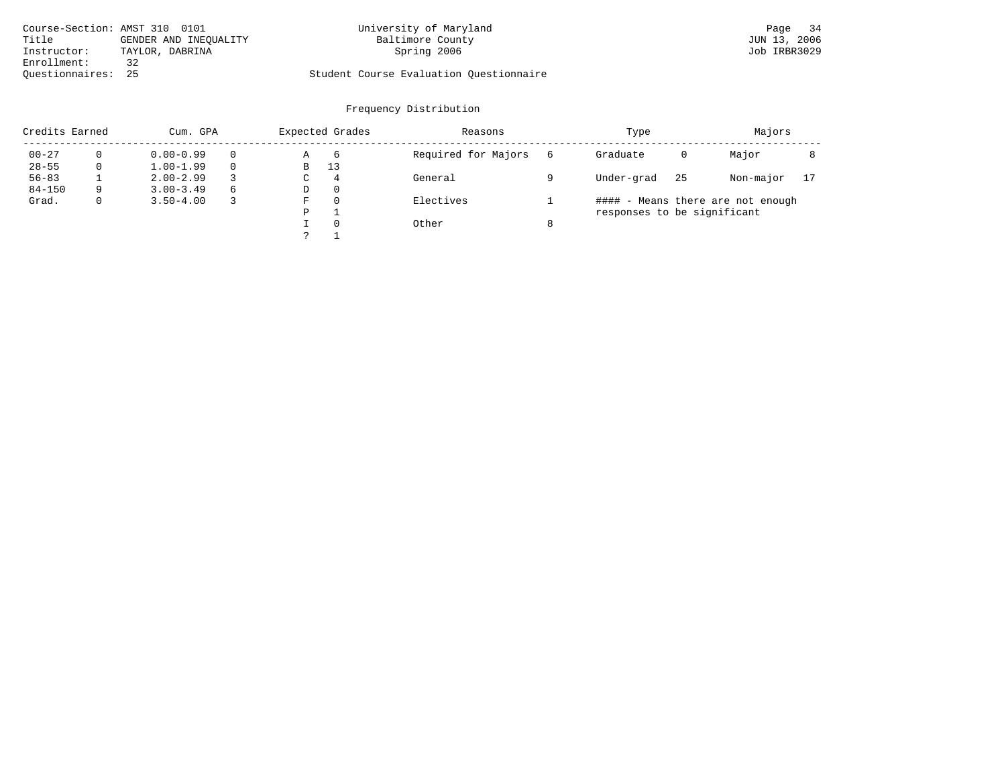| Course-Section: AMST 310 0101 |                       | University of Maryland                  | Page 34      |
|-------------------------------|-----------------------|-----------------------------------------|--------------|
| Title                         | GENDER AND INEOUALITY | Baltimore County                        | JUN 13, 2006 |
| Instructor:                   | TAYLOR, DABRINA       | Spring 2006                             | Job IRBR3029 |
| Enrollment:                   |                       |                                         |              |
| Ouestionnaires: 25            |                       | Student Course Evaluation Questionnaire |              |

| Credits Earned |   | Cum. GPA      |                                           |   | Expected Grades | Reasons   |   | Type                        | Majors |                                   |    |
|----------------|---|---------------|-------------------------------------------|---|-----------------|-----------|---|-----------------------------|--------|-----------------------------------|----|
| $00 - 27$      |   | $0.00 - 0.99$ | Required for Majors<br>$\Omega$<br>6<br>Α |   | 6               | Graduate  | 0 | Major                       |        |                                   |    |
| $28 - 55$      |   | $1.00 - 1.99$ | $\Omega$                                  | B | 13              |           |   |                             |        |                                   |    |
| $56 - 83$      |   | $2.00 - 2.99$ |                                           | C | $\overline{4}$  | General   |   | Under-grad                  | 25     | Non-major                         | 17 |
| $84 - 150$     | q | $3.00 - 3.49$ | 6                                         | D | -0              |           |   |                             |        |                                   |    |
| Grad.          |   | $3.50 - 4.00$ |                                           | F | $\Omega$        | Electives |   |                             |        | #### - Means there are not enough |    |
|                |   |               |                                           | P |                 |           |   | responses to be significant |        |                                   |    |
|                |   |               |                                           |   | $\Omega$        | Other     |   |                             |        |                                   |    |
|                |   |               |                                           |   |                 |           |   |                             |        |                                   |    |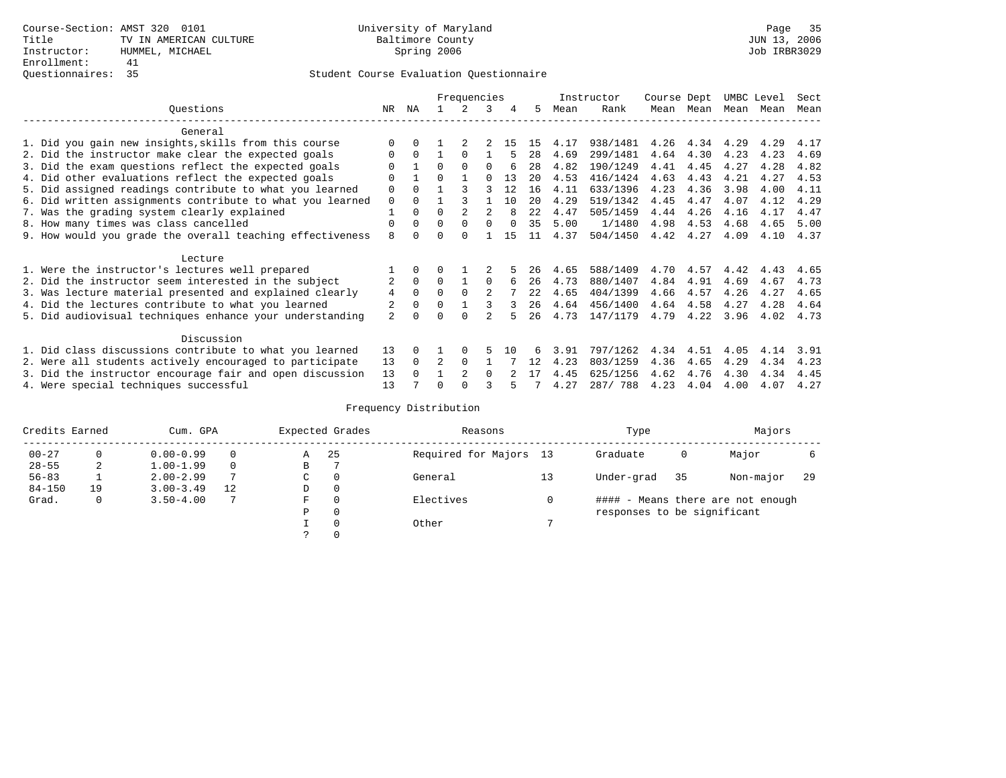|                                                           | Frequencies    |              |                |               | Instructor | Course Dept |      |      | UMBC Level | Sect |           |           |      |      |
|-----------------------------------------------------------|----------------|--------------|----------------|---------------|------------|-------------|------|------|------------|------|-----------|-----------|------|------|
| Ouestions                                                 | NR.            | ΝA           |                |               | 3          |             | 5.   | Mean | Rank       |      | Mean Mean | Mean Mean |      | Mean |
| General                                                   |                |              |                |               |            |             |      |      |            |      |           |           |      |      |
| 1. Did you gain new insights, skills from this course     |                |              |                |               |            | 15          | 15   | 4.17 | 938/1481   | 4.26 | 4.34      | 4.29      | 4.29 | 4.17 |
| 2. Did the instructor make clear the expected goals       | O              | $\Omega$     |                | $\Omega$      |            |             | 28   | 4.69 | 299/1481   | 4.64 | 4.30      | 4.23      | 4.23 | 4.69 |
| 3. Did the exam questions reflect the expected goals      | O              |              | $\Omega$       | $\Omega$      | $\Omega$   |             | 28   | 4.82 | 190/1249   | 4.41 | 4.45      | 4.27      | 4.28 | 4.82 |
| 4. Did other evaluations reflect the expected goals       | $\Omega$       |              | $\Omega$       |               | $\cap$     | 13          | 20   | 4.53 | 416/1424   | 4.63 | 4.43      | 4.21      | 4.27 | 4.53 |
| 5. Did assigned readings contribute to what you learned   | $\mathbf 0$    | $\Omega$     |                |               |            | 12          | 16   | 4.11 | 633/1396   | 4.23 | 4.36      | 3.98      | 4.00 | 4.11 |
| 6. Did written assignments contribute to what you learned | $\mathbf 0$    | $\Omega$     |                |               |            | 10          | 20   | 4.29 | 519/1342   | 4.45 | 4.47      | 4.07      | 4.12 | 4.29 |
| 7. Was the grading system clearly explained               |                | $\Omega$     | $\Omega$       |               |            | 8           | 2.2. | 4.47 | 505/1459   | 4.44 | 4.26      | 4.16      | 4.17 | 4.47 |
| 8. How many times was class cancelled                     | $\mathbf 0$    | $\Omega$     | $\Omega$       | $\Omega$      | $\Omega$   |             | 35   | 5.00 | 1/1480     | 4.98 | 4.53      | 4.68      | 4.65 | 5.00 |
| 9. How would you grade the overall teaching effectiveness | 8              | <sup>n</sup> | U              | $\cap$        |            | 15          | 11   | 4.37 | 504/1450   | 4.42 | 4.27      | 4.09      | 4.10 | 4.37 |
| Lecture                                                   |                |              |                |               |            |             |      |      |            |      |           |           |      |      |
| 1. Were the instructor's lectures well prepared           |                |              |                |               |            |             | 26   | 4.65 | 588/1409   | 4.70 | 4.57      | 4.42      | 4.43 | 4.65 |
| 2. Did the instructor seem interested in the subject      | 2              | $\Omega$     | $\Omega$       |               | $\Omega$   |             | 26   | 4.73 | 880/1407   | 4.84 | 4.91      | 4.69      | 4.67 | 4.73 |
| 3. Was lecture material presented and explained clearly   | $\overline{4}$ | $\Omega$     |                |               |            |             | 2.2. | 4.65 | 404/1399   | 4.66 | 4.57      | 4.26      | 4.27 | 4.65 |
| 4. Did the lectures contribute to what you learned        |                | $\Omega$     | $\Omega$       |               |            |             | 26   | 4.64 | 456/1400   | 4.64 | 4.58      | 4.27      | 4.28 | 4.64 |
| 5. Did audiovisual techniques enhance your understanding  | $\overline{a}$ | <sup>n</sup> |                | ∩             |            |             | 26   | 4.73 | 147/1179   | 4.79 | 4.22      | 3.96      | 4.02 | 4.73 |
| Discussion                                                |                |              |                |               |            |             |      |      |            |      |           |           |      |      |
| 1. Did class discussions contribute to what you learned   | 13             |              |                |               |            | 1 N         |      | 3.91 | 797/1262   | 4.34 | 4.51      | 4.05      | 4.14 | 3.91 |
| 2. Were all students actively encouraged to participate   | 13             | $\Omega$     | $\overline{a}$ | $\Omega$      |            |             | 12   | 4.23 | 803/1259   | 4.36 | 4.65      | 4.29      | 4.34 | 4.23 |
| 3. Did the instructor encourage fair and open discussion  | 13             | $\cap$       |                | $\mathcal{D}$ | $\cap$     |             | 17   | 4.45 | 625/1256   | 4.62 | 4.76      | 4.30      | 4.34 | 4.45 |
| 4. Were special techniques successful                     | 13             |              | O              |               |            |             |      | 4.27 | 287/788    | 4.23 | 4.04      | 4.00      | 4.07 | 4.27 |

| Credits Earned |          |               | Expected Grades<br>Cum. GPA<br>Reasons |             |          |                        |    | Type                        |      | Majors                            |     |  |
|----------------|----------|---------------|----------------------------------------|-------------|----------|------------------------|----|-----------------------------|------|-----------------------------------|-----|--|
| $00 - 27$      | $\Omega$ | $0.00 - 0.99$ |                                        | Α           | 25       | Required for Majors 13 |    | Graduate                    | 0    | Major                             |     |  |
| $28 - 55$      | 2        | $1.00 - 1.99$ |                                        | В           |          |                        |    |                             |      |                                   |     |  |
| $56 - 83$      |          | $2.00 - 2.99$ |                                        | $\sim$<br>◡ | 0        | General                | 13 | Under-grad                  | - 35 | Non-major                         | -29 |  |
| $84 - 150$     | 19       | $3.00 - 3.49$ | 12                                     | D           | 0        |                        |    |                             |      |                                   |     |  |
| Grad.          | 0        | $3.50 - 4.00$ |                                        | F           | 0        | Electives              | 0  |                             |      | #### - Means there are not enough |     |  |
|                |          |               |                                        | Ρ           | 0        |                        |    | responses to be significant |      |                                   |     |  |
|                |          |               |                                        |             | $\Omega$ | Other                  |    |                             |      |                                   |     |  |
|                |          |               |                                        |             |          |                        |    |                             |      |                                   |     |  |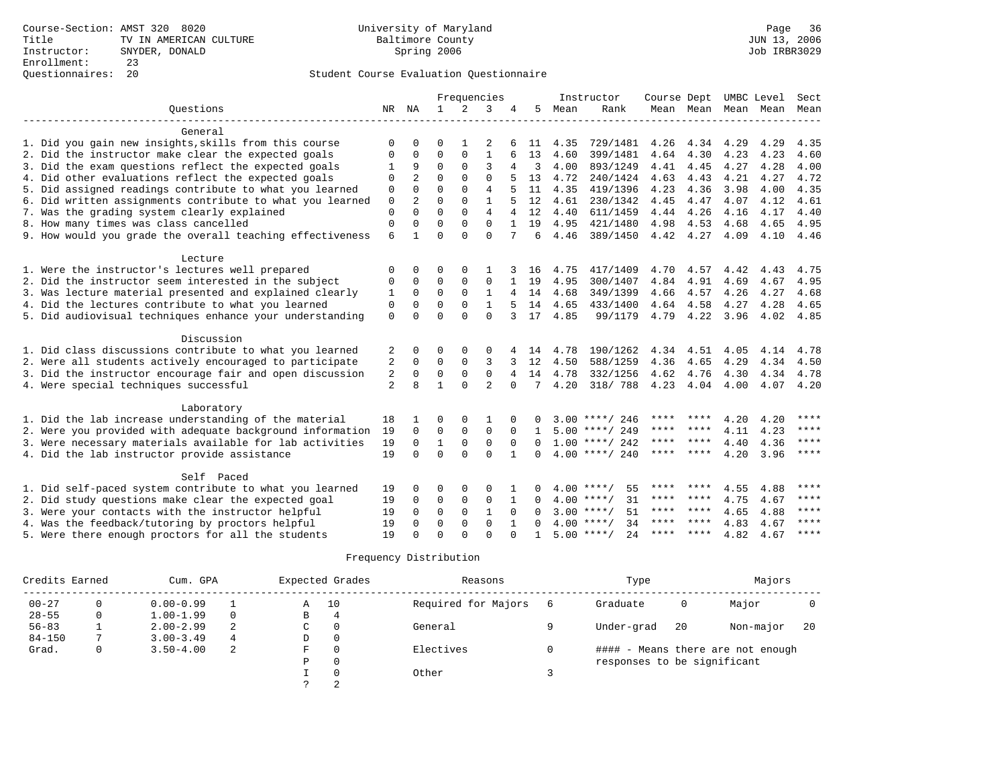|                                                           | Frequencies    |                      |              |                            | Instructor                 | Course Dept<br>UMBC Level |               |      | Sect                                 |      |      |                     |              |             |
|-----------------------------------------------------------|----------------|----------------------|--------------|----------------------------|----------------------------|---------------------------|---------------|------|--------------------------------------|------|------|---------------------|--------------|-------------|
| Ouestions                                                 | NR             | NA                   | $\mathbf{1}$ | 2                          | 3                          |                           | 5             | Mean | Rank                                 |      |      | Mean Mean Mean Mean |              | Mean        |
|                                                           |                |                      |              |                            |                            |                           |               |      |                                      |      |      |                     |              |             |
| General                                                   |                |                      |              |                            |                            |                           |               |      |                                      |      |      |                     |              |             |
| 1. Did you gain new insights, skills from this course     | $\Omega$       | <sup>0</sup>         | O            |                            |                            |                           | 11            | 4.35 | 729/1481                             | 4.26 | 4.34 | 4.29                | 4.29         | 4.35        |
| 2. Did the instructor make clear the expected goals       | 0              | $\Omega$             | $\Omega$     | 0                          | $\mathbf{1}$               | 6                         | 13            | 4.60 | 399/1481                             | 4.64 | 4.30 | 4.23                | 4.23         | 4.60        |
| 3. Did the exam questions reflect the expected goals      |                | 9                    | 0            | 0                          | 3                          | 4                         | 3             | 4.00 | 893/1249                             | 4.41 | 4.45 | 4.27                | 4.28         | 4.00        |
| 4. Did other evaluations reflect the expected goals       | $\Omega$       | $\overline{2}$       | $\Omega$     | $\Omega$                   | $\Omega$                   |                           | 13            | 4.72 | 240/1424                             | 4.63 | 4.43 | 4.21                | 4.27         | 4.72        |
| 5. Did assigned readings contribute to what you learned   | 0              | $\Omega$             | 0            | 0                          | 4                          |                           | 11            | 4.35 | 419/1396                             | 4.23 | 4.36 | 3.98                | 4.00         | 4.35        |
| 6. Did written assignments contribute to what you learned | $\mathbb O$    | 2                    | $\Omega$     | $\Omega$                   | $\mathbf{1}$               |                           | 12            | 4.61 | 230/1342                             | 4.45 | 4.47 | 4.07                | 4.12         | 4.61        |
| 7. Was the grading system clearly explained               | $\mathbf 0$    | $\Omega$             | $\Omega$     | $\Omega$                   | $\overline{4}$             | 4                         | 12            | 4.40 | 611/1459                             | 4.44 | 4.26 | 4.16                | 4.17         | 4.40        |
| 8. How many times was class cancelled                     | $\mathbf{0}$   | $\Omega$             | $\Omega$     | $\Omega$                   | $\Omega$                   | $\mathbf{1}$              | 19            | 4.95 | 421/1480                             | 4.98 | 4.53 | 4.68                | 4.65         | 4.95        |
| 9. How would you grade the overall teaching effectiveness | 6              | 1                    | $\Omega$     | $\Omega$                   | $\Omega$                   | 7                         | 6             | 4.46 | 389/1450                             | 4.42 | 4.27 | 4.09                | 4.10         | 4.46        |
|                                                           |                |                      |              |                            |                            |                           |               |      |                                      |      |      |                     |              |             |
| Lecture                                                   |                |                      |              |                            |                            |                           |               |      |                                      |      |      |                     |              |             |
| 1. Were the instructor's lectures well prepared           | 0              | 0                    | 0            | $\Omega$                   |                            |                           | 16            | 4.75 | 417/1409                             | 4.70 | 4.57 | 4.42                | 4.43         | 4.75        |
| 2. Did the instructor seem interested in the subject      | 0              | 0                    | $\Omega$     | 0                          | $\mathbf 0$                |                           | 19            | 4.95 | 300/1407                             | 4.84 | 4.91 | 4.69                | 4.67         | 4.95        |
| 3. Was lecture material presented and explained clearly   | 1              | $\Omega$             | $\Omega$     | $\Omega$                   | 1                          |                           | 14            | 4.68 | 349/1399                             | 4.66 | 4.57 | 4.26                | 4.27         | 4.68        |
| 4. Did the lectures contribute to what you learned        | 0              | $\Omega$             | $\Omega$     | 0                          | $\mathbf{1}$               |                           | 14            | 4.65 | 433/1400                             | 4.64 | 4.58 | 4.27                | 4.28         | 4.65        |
| 5. Did audiovisual techniques enhance your understanding  | $\mathbf 0$    | $\Omega$             | $\Omega$     | $\Omega$                   | $\Omega$                   | 3                         | 17            | 4.85 | 99/1179                              | 4.79 | 4.22 | 3.96                | 4.02         | 4.85        |
|                                                           |                |                      |              |                            |                            |                           |               |      |                                      |      |      |                     |              |             |
| Discussion                                                |                |                      |              |                            |                            |                           |               |      |                                      |      |      |                     |              |             |
| 1. Did class discussions contribute to what you learned   | 2              | 0                    | $\Omega$     | $\Omega$                   | 0                          |                           | 14            | 4.78 | 190/1262                             | 4.34 | 4.51 | 4.05                | 4.14         | 4.78        |
| 2. Were all students actively encouraged to participate   | 2              | 0                    | $\Omega$     | $\Omega$                   | 3                          | 3                         | 12            | 4.50 | 588/1259                             | 4.36 | 4.65 | 4.29                | 4.34         | 4.50        |
| 3. Did the instructor encourage fair and open discussion  | 2              | 0                    | $\mathbf 0$  | $\mathbf 0$                | $\mathbf 0$                | 4                         | 14            | 4.78 | 332/1256                             | 4.62 | 4.76 | 4.30                | 4.34         | 4.78        |
| 4. Were special techniques successful                     | $\overline{2}$ | $\mathsf{R}$         | 1            | $\Omega$                   | $\overline{a}$             | $\Omega$                  | 7             | 4.20 | 318/ 788                             | 4.23 | 4.04 | 4.00                | 4.07         | 4.20        |
|                                                           |                |                      |              |                            |                            |                           |               |      |                                      |      |      |                     |              |             |
| Laboratory                                                |                |                      | $\Omega$     |                            |                            |                           |               |      |                                      | **** |      |                     |              | ****        |
| 1. Did the lab increase understanding of the material     | 18             |                      | $\Omega$     | $\Omega$                   | 1                          | $\Omega$                  | n             |      | $3.00$ ****/ 246<br>$5.00$ ****/ 249 | **** | **** | 4.20                | 4.20         | ****        |
| 2. Were you provided with adequate background information | 19<br>19       | $\Omega$<br>$\Omega$ | $\mathbf{1}$ | $\mathbf 0$<br>$\mathbf 0$ | $\mathbf 0$<br>$\mathbf 0$ | $\Omega$<br>$\Omega$      | 1<br>$\Omega$ |      | $1.00$ ****/ 242                     | **** | **** | 4.11<br>4.40        | 4.23<br>4.36 | ****        |
| 3. Were necessary materials available for lab activities  |                | $\cap$               | $\Omega$     | $\Omega$                   | $\Omega$                   | $\mathbf{1}$              | $\cap$        |      | $4.00$ ****/ 240                     | **** | **** | 4.20                | 3.96         | $* * * * *$ |
| 4. Did the lab instructor provide assistance              | 19             |                      |              |                            |                            |                           |               |      |                                      |      |      |                     |              |             |
| Self Paced                                                |                |                      |              |                            |                            |                           |               |      |                                      |      |      |                     |              |             |
| 1. Did self-paced system contribute to what you learned   | 19             | 0                    | 0            | $\Omega$                   | $\Omega$                   |                           | 0             |      | $4.00$ ****/<br>55                   | **** |      | 4.55                | 4.88         | ****        |
| 2. Did study questions make clear the expected goal       | 19             | 0                    | 0            | 0                          | $\mathbf 0$                | 1                         | $\Omega$      |      | $4.00$ ****/<br>31                   | **** | **** | 4.75                | 4.67         | ****        |
| 3. Were your contacts with the instructor helpful         | 19             | $\Omega$             | $\Omega$     | $\Omega$                   | $\mathbf{1}$               | $\Omega$                  | <sup>0</sup>  |      | $3.00$ ****/<br>51                   | **** | **** | 4.65                | 4.88         | ****        |
| 4. Was the feedback/tutoring by proctors helpful          | 19             | <sup>0</sup>         | 0            | $\Omega$                   | $\Omega$                   | $\mathbf{1}$              | <sup>0</sup>  |      | $4.00$ ****/<br>34                   | **** | **** | 4.83                | 4.67         | $***$ * * * |
| 5. Were there enough proctors for all the students        | 19             | O                    | $\Omega$     | $\Omega$                   | $\Omega$                   | ∩                         | 1             |      | $5.00$ ****/<br>2.4                  | **** | **** | 4.82                | 4.67         | ****        |
|                                                           |                |                      |              |                            |                            |                           |               |      |                                      |      |      |                     |              |             |

|            | Credits Earned |               |          | Cum. GPA |          |                     |   | Expected Grades             | Reasons |                                   | Type | Majors |  |
|------------|----------------|---------------|----------|----------|----------|---------------------|---|-----------------------------|---------|-----------------------------------|------|--------|--|
| $00 - 27$  |                | $0.00 - 0.99$ |          | Α        | 10       | Required for Majors | 6 | Graduate                    | 0       | Major                             |      |        |  |
| $28 - 55$  |                | $1.00 - 1.99$ | $\Omega$ | в        | 4        |                     |   |                             |         |                                   |      |        |  |
| $56 - 83$  |                | $2.00 - 2.99$ | 2        | C        |          | General             |   | Under-grad                  | 20      | Non-major                         | 20   |        |  |
| $84 - 150$ |                | $3.00 - 3.49$ | 4        | D        | $\Omega$ |                     |   |                             |         |                                   |      |        |  |
| Grad.      | 0              | $3.50 - 4.00$ | 2        | F.       |          | Electives           |   |                             |         | #### - Means there are not enough |      |        |  |
|            |                |               |          | Ρ        |          |                     |   | responses to be significant |         |                                   |      |        |  |
|            |                |               |          |          |          | Other               |   |                             |         |                                   |      |        |  |
|            |                |               |          |          |          |                     |   |                             |         |                                   |      |        |  |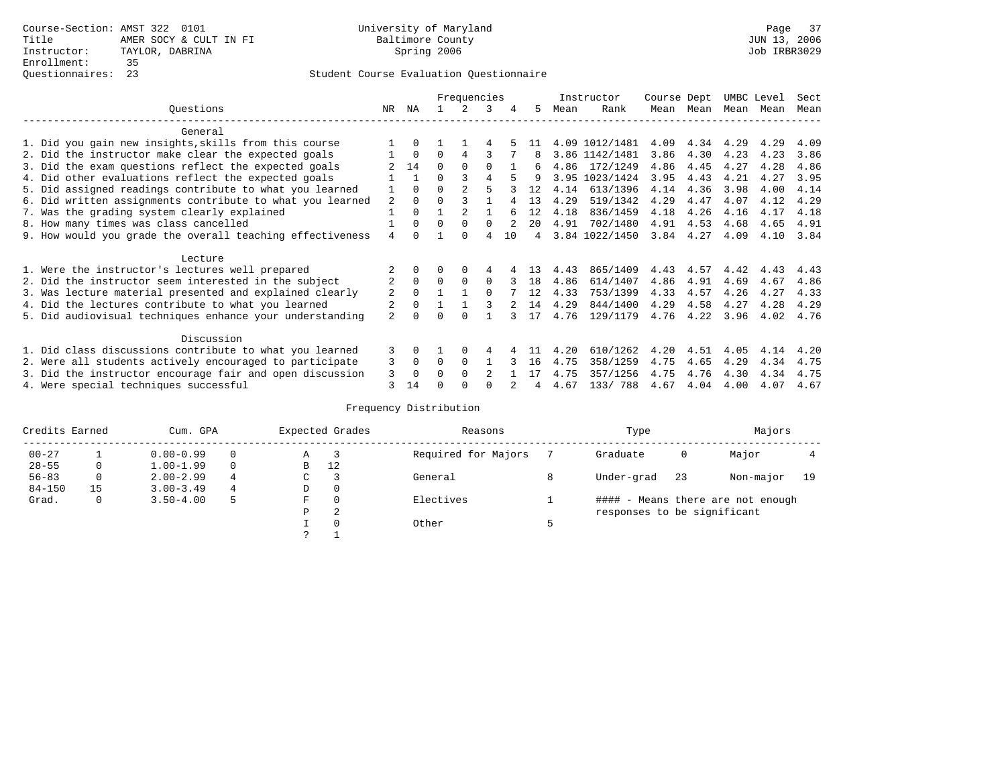# Questionnaires: 23 Student Course Evaluation Questionnaire

|                                                           |                | Frequencies  |          |          |                | Instructor | Course Dept    |      | UMBC Level     |      | Sect |      |      |      |
|-----------------------------------------------------------|----------------|--------------|----------|----------|----------------|------------|----------------|------|----------------|------|------|------|------|------|
| Ouestions                                                 | NR.            | ΝA           |          |          | 3              | 4          | 5.             | Mean | Rank           | Mean | Mean | Mean | Mean | Mean |
| General                                                   |                |              |          |          |                |            |                |      |                |      |      |      |      |      |
| 1. Did you gain new insights, skills from this course     |                | $\Omega$     |          |          |                |            |                |      | 4.09 1012/1481 | 4.09 | 4.34 | 4.29 | 4.29 | 4.09 |
| 2. Did the instructor make clear the expected goals       |                | $\Omega$     | $\Omega$ | 4        | ς              |            | 8              |      | 3.86 1142/1481 | 3.86 | 4.30 | 4.23 | 4.23 | 3.86 |
| 3. Did the exam questions reflect the expected goals      |                | 14           | $\Omega$ | $\Omega$ | $\Omega$       |            | 6              | 4.86 | 172/1249       | 4.86 | 4.45 | 4.27 | 4.28 | 4.86 |
| 4. Did other evaluations reflect the expected goals       |                |              | $\Omega$ |          | 4              |            | q              |      | 3.95 1023/1424 | 3.95 | 4.43 | 4.21 | 4.27 | 3.95 |
| 5. Did assigned readings contribute to what you learned   |                | $\Omega$     | $\Omega$ |          |                |            | 12             | 4.14 | 613/1396       | 4.14 | 4.36 | 3.98 | 4.00 | 4.14 |
| 6. Did written assignments contribute to what you learned | 2              | $\Omega$     |          |          |                |            | 13             | 4.29 | 519/1342       | 4.29 | 4.47 | 4.07 | 4.12 | 4.29 |
| 7. Was the grading system clearly explained               |                | $\Omega$     |          |          |                |            | 12             | 4.18 | 836/1459       | 4.18 | 4.26 | 4.16 | 4.17 | 4.18 |
| 8. How many times was class cancelled                     |                | $\Omega$     | $\Omega$ | $\Omega$ | $\Omega$       |            | $20^{\circ}$   | 4.91 | 702/1480       | 4.91 | 4.53 | 4.68 | 4.65 | 4.91 |
| 9. How would you grade the overall teaching effectiveness | $\overline{4}$ | <sup>n</sup> |          | $\cap$   | 4              | 10         | $\overline{4}$ |      | 3.84 1022/1450 | 3.84 | 4.27 | 4.09 | 4.10 | 3.84 |
| Lecture                                                   |                |              |          |          |                |            |                |      |                |      |      |      |      |      |
| 1. Were the instructor's lectures well prepared           |                |              |          |          | 4              |            | 13             | 4.43 | 865/1409       | 4.43 | 4.57 | 4.42 | 4.43 | 4.43 |
| 2. Did the instructor seem interested in the subject      | $\overline{2}$ | $\Omega$     | $\Omega$ | $\Omega$ | $\Omega$       |            | 18             | 4.86 | 614/1407       | 4.86 | 4.91 | 4.69 | 4.67 | 4.86 |
| 3. Was lecture material presented and explained clearly   | 2              | $\Omega$     |          |          | $\Omega$       |            | 12             | 4.33 | 753/1399       | 4.33 | 4.57 | 4.26 | 4.27 | 4.33 |
| 4. Did the lectures contribute to what you learned        |                | $\Omega$     |          |          |                |            | 14             | 4.29 | 844/1400       | 4.29 | 4.58 | 4.27 | 4.28 | 4.29 |
| 5. Did audiovisual techniques enhance your understanding  | $\overline{a}$ | ∩            |          |          |                |            | 17             | 4.76 | 129/1179       | 4.76 | 4.22 | 3.96 | 4.02 | 4.76 |
| Discussion                                                |                |              |          |          |                |            |                |      |                |      |      |      |      |      |
| 1. Did class discussions contribute to what you learned   | 3              | $\Omega$     |          | $\Omega$ | 4              |            |                | 4.20 | 610/1262       | 4.20 | 4.51 | 4.05 | 4.14 | 4.20 |
| 2. Were all students actively encouraged to participate   | 3              | $\Omega$     | $\Omega$ | $\Omega$ |                |            | 16             | 4.75 | 358/1259       | 4.75 | 4.65 | 4.29 | 4.34 | 4.75 |
| 3. Did the instructor encourage fair and open discussion  | 3              | $\Omega$     | 0        | $\Omega$ | $\mathfrak{D}$ |            |                | 4.75 | 357/1256       | 4.75 | 4.76 | 4.30 | 4.34 | 4.75 |
| 4. Were special techniques successful                     | 3              | 14           |          |          |                |            |                | 4.67 | 133/788        | 4.67 | 4.04 | 4.00 | 4.07 | 4.67 |

| Credits Earned | Cum. GPA |               |                          | Expected Grades | Reasons  | Type      | Majors                      |    |                                   |    |
|----------------|----------|---------------|--------------------------|-----------------|----------|-----------|-----------------------------|----|-----------------------------------|----|
| $00 - 27$      |          | $0.00 - 0.99$ | Required for Majors<br>Α |                 | Graduate | 0         | Major                       |    |                                   |    |
| $28 - 55$      | 0        | $1.00 - 1.99$ | $\Omega$                 | В               | 12       |           |                             |    |                                   |    |
| $56 - 83$      | 0        | $2.00 - 2.99$ | 4                        | C.              |          | General   | Under-grad                  | 23 | Non-major                         | 19 |
| $84 - 150$     | 15       | $3.00 - 3.49$ | 4                        | D               | 0        |           |                             |    |                                   |    |
| Grad.          | 0        | $3.50 - 4.00$ |                          | F               | $\Omega$ | Electives |                             |    | #### - Means there are not enough |    |
|                |          |               |                          | Ρ               | 2        |           | responses to be significant |    |                                   |    |
|                |          |               |                          |                 | $\Omega$ | Other     |                             |    |                                   |    |
|                |          |               |                          |                 |          |           |                             |    |                                   |    |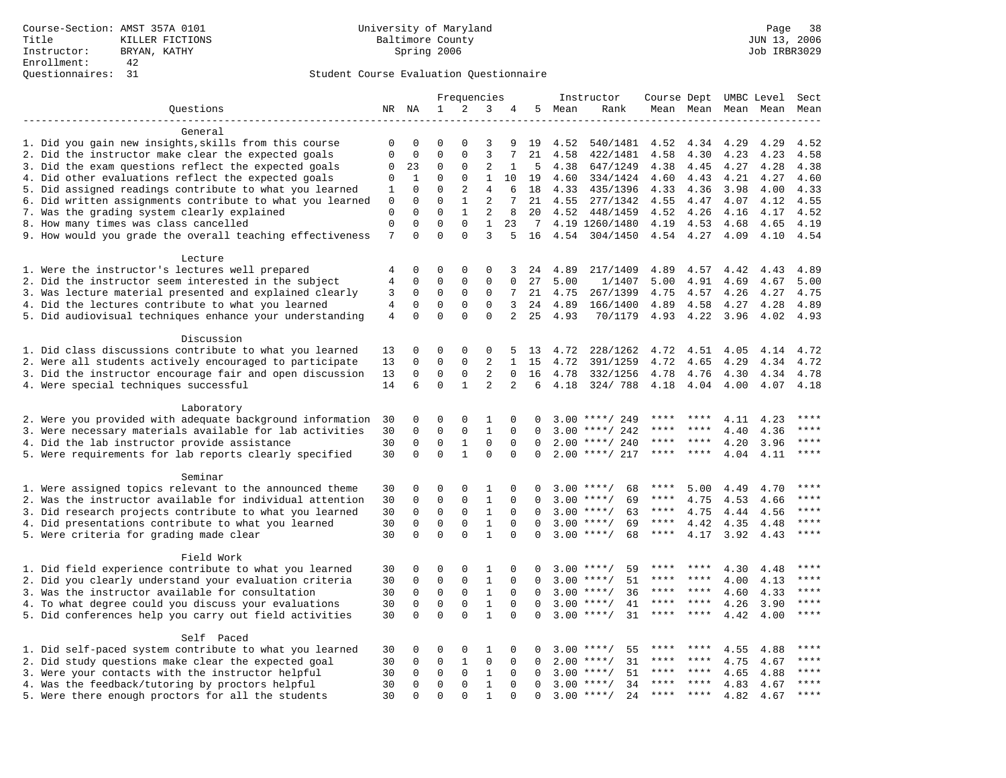|                                                                         |                |              |             |              | Frequencies                  |                |             |      | Instructor                   | Course Dept UMBC Level Sect |                     |      |      |             |
|-------------------------------------------------------------------------|----------------|--------------|-------------|--------------|------------------------------|----------------|-------------|------|------------------------------|-----------------------------|---------------------|------|------|-------------|
| Questions                                                               |                | NR NA        | 1           | 2            | 3                            | 4              | 5           | Mean | Rank                         |                             | Mean Mean Mean Mean |      |      | Mean        |
|                                                                         |                |              |             |              |                              |                |             |      |                              |                             |                     |      |      |             |
| General                                                                 |                |              |             |              |                              |                |             |      |                              |                             |                     |      |      |             |
| 1. Did you gain new insights, skills from this course                   | 0              | $\Omega$     | $\Omega$    | O            | 3                            | 9              | 19          | 4.52 | 540/1481                     | 4.52                        | 4.34                | 4.29 | 4.29 | 4.52        |
| 2. Did the instructor make clear the expected goals                     | $\mathbf{0}$   | $\mathbf{0}$ | $\mathbf 0$ | $\mathbf{0}$ | $\overline{3}$               | 7              | 21          | 4.58 | 422/1481                     | 4.58                        | 4.30                | 4.23 | 4.23 | 4.58        |
| 3. Did the exam questions reflect the expected goals                    | 0              | 23           | 0           | 0            | 2                            | 1              | 5           | 4.38 | 647/1249                     | 4.38                        | 4.45                | 4.27 | 4.28 | 4.38        |
| 4. Did other evaluations reflect the expected goals                     | $\mathbf 0$    | $\mathbf{1}$ | $\mathbf 0$ | $\mathbf 0$  | $\mathbf{1}$                 | 10             | 19          | 4.60 | 334/1424                     | 4.60                        | 4.43                | 4.21 | 4.27 | 4.60        |
| 5. Did assigned readings contribute to what you learned                 | 1              | $\mathbf 0$  | $\mathbf 0$ | 2            | 4                            | 6              | 18          | 4.33 | 435/1396                     | 4.33                        | 4.36                | 3.98 | 4.00 | 4.33        |
| 6. Did written assignments contribute to what you learned               | 0              | $\Omega$     | $\Omega$    | $\mathbf{1}$ | $\overline{2}$               | 7              | 21          | 4.55 | 277/1342                     | 4.55                        | 4.47                | 4.07 | 4.12 | 4.55        |
| 7. Was the grading system clearly explained                             | $\mathbf{0}$   | $\mathbf{0}$ | $\Omega$    | $\mathbf{1}$ | $\overline{2}$               | 8              | 20          | 4.52 | 448/1459                     | 4.52                        | 4.26                | 4.16 | 4.17 | 4.52        |
| 8. How many times was class cancelled                                   | $\mathbf 0$    | 0            | $\mathbf 0$ | $\mathbf 0$  | $\mathbf{1}$                 | 23             | $7\,$       |      | 4.19 1260/1480               | 4.19                        | 4.53                | 4.68 | 4.65 | 4.19        |
| 9. How would you grade the overall teaching effectiveness               | 7              | $\Omega$     | $\Omega$    | $\Omega$     | 3                            |                | 16          | 4.54 | 304/1450                     |                             | 4.54 4.27           | 4.09 | 4.10 | 4.54        |
| Lecture                                                                 |                |              |             |              |                              |                |             |      |                              |                             |                     |      |      |             |
| 1. Were the instructor's lectures well prepared                         | 4              | $\Omega$     | 0           | $\Omega$     | $\Omega$                     | 3              | 24          | 4.89 | 217/1409                     | 4.89                        | 4.57                | 4.42 | 4.43 | 4.89        |
| 2. Did the instructor seem interested in the subject                    | 4              | $\mathbf 0$  | $\mathbf 0$ | $\mathbf 0$  | $\mathbf{0}$                 | $\mathbf 0$    | 27          | 5.00 | 1/1407                       | 5.00                        | 4.91                | 4.69 | 4.67 | 5.00        |
| 3. Was lecture material presented and explained clearly                 | 3              | $\mathbf 0$  | $\mathbf 0$ | $\mathbf{0}$ | $\mathbf 0$                  | 7              | 21          | 4.75 | 267/1399                     | 4.75                        | 4.57                | 4.26 | 4.27 | 4.75        |
| 4. Did the lectures contribute to what you learned                      | $\overline{4}$ | $\mathbf 0$  | 0           | $\mathbf 0$  | $\mathbf 0$                  | 3              | 24          | 4.89 | 166/1400                     | 4.89                        | 4.58                | 4.27 | 4.28 | 4.89        |
| 5. Did audiovisual techniques enhance your understanding                | $\overline{4}$ | $\mathbf 0$  | $\mathbf 0$ | $\Omega$     | $\mathbf{0}$                 | $\overline{2}$ | 25          | 4.93 | 70/1179                      |                             | 4.93 4.22           | 3.96 | 4.02 | 4.93        |
|                                                                         |                |              |             |              |                              |                |             |      |                              |                             |                     |      |      |             |
| Discussion                                                              |                |              |             |              |                              |                |             |      |                              |                             |                     |      |      |             |
| 1. Did class discussions contribute to what you learned                 | 13             | 0            | 0           | 0            | 0                            | 5              | 13          | 4.72 | 228/1262                     | 4.72                        | 4.51                | 4.05 | 4.14 | 4.72        |
| 2. Were all students actively encouraged to participate                 | 13             | $\mathbf{0}$ | $\mathbf 0$ | $\mathbf{0}$ | $\overline{2}$               | $\mathbf{1}$   | 15          | 4.72 | 391/1259                     | 4.72                        | 4.65                | 4.29 | 4.34 | 4.72        |
| 3. Did the instructor encourage fair and open discussion                | 13             | $\mathbf 0$  | 0           | $\mathsf 0$  | 2                            | 0              | 16          | 4.78 | 332/1256                     | 4.78                        | 4.76                | 4.30 | 4.34 | 4.78        |
| 4. Were special techniques successful                                   | 14             | 6            | $\Omega$    | $\mathbf{1}$ | $\overline{2}$               | 2              | 6           | 4.18 | 324/788                      | 4.18                        | 4.04                | 4.00 | 4.07 | 4.18        |
|                                                                         |                |              |             |              |                              |                |             |      |                              |                             |                     |      |      |             |
| Laboratory<br>2. Were you provided with adequate background information | 30             | $\mathbf 0$  | 0           | $\mathbf 0$  | 1                            | 0              | $\Omega$    | 3.00 | ****/ 249                    |                             |                     | 4.11 | 4.23 | ****        |
| 3. Were necessary materials available for lab activities                | 30             | $\mathbf 0$  | $\mathbf 0$ | $\mathbf{0}$ | $\mathbf{1}$                 | $\mathbf 0$    | $\mathbf 0$ | 3.00 | ****/ 242                    | ****                        | ****                | 4.40 | 4.36 | $***$ * * * |
| 4. Did the lab instructor provide assistance                            | 30             | $\Omega$     | $\mathbf 0$ | $\mathbf{1}$ | $\mathbf 0$                  | $\Omega$       | $\Omega$    | 2.00 | ****/ 240                    | ****                        | $* * * *$           | 4.20 | 3.96 | $***$       |
| 5. Were requirements for lab reports clearly specified                  | 30             | $\Omega$     | $\Omega$    | $\mathbf{1}$ | $\Omega$                     | $\Omega$       | $\Omega$    |      | $2.00$ ****/ 217             | ****                        | $***$ *             | 4.04 | 4.11 | $***$       |
|                                                                         |                |              |             |              |                              |                |             |      |                              |                             |                     |      |      |             |
| Seminar                                                                 |                |              |             |              |                              |                |             |      |                              |                             |                     |      |      |             |
| 1. Were assigned topics relevant to the announced theme                 | 30             | 0            | 0           | $\mathbf 0$  | 1                            | 0              | 0           |      | $3.00$ ****/<br>68           | ****                        | 5.00                | 4.49 | 4.70 | ****        |
| 2. Was the instructor available for individual attention                | 30             | $\Omega$     | $\mathbf 0$ | $\Omega$     | $1\,$                        | $\Omega$       | $\Omega$    |      | $3.00$ ****/<br>69           | ****                        | 4.75                | 4.53 | 4.66 | $***$       |
| 3. Did research projects contribute to what you learned                 | 30             | $\mathbf 0$  | $\mathbf 0$ | $\mathbf{0}$ | $\mathbf{1}$                 | $\Omega$       | $\Omega$    |      | $3.00$ ****/<br>63           | $***$ * *                   | 4.75                | 4.44 | 4.56 | ****        |
| 4. Did presentations contribute to what you learned                     | 30             | $\mathbf 0$  | $\mathbf 0$ | $\mathbf{0}$ | $\mathbf{1}$                 | $\mathbf 0$    | $\Omega$    | 3.00 | 69<br>$***/$                 | $***$ * *                   | 4.42                | 4.35 | 4.48 | $***$       |
| 5. Were criteria for grading made clear                                 | 30             | $\Omega$     | $\Omega$    | $\Omega$     | $\mathbf{1}$                 | $\Omega$       | $\Omega$    |      | $3.00$ ****/<br>68           | ****                        | 4.17                | 3.92 | 4.43 | ****        |
|                                                                         |                |              |             |              |                              |                |             |      |                              |                             |                     |      |      |             |
| Field Work                                                              |                | $\mathbf{0}$ | $\mathbf 0$ | $\mathbf{0}$ |                              |                |             |      |                              |                             | ****                |      |      | ****        |
| 1. Did field experience contribute to what you learned                  | 30             | $\mathbf 0$  | $\mathbf 0$ | $\mathbf{0}$ | 1<br>$\mathbf{1}$            | 0<br>0         | $\Omega$    |      | $3.00$ ****/<br>59<br>51     | ****                        | ****                | 4.30 | 4.48 | $***$       |
| 2. Did you clearly understand your evaluation criteria                  | 30             | $\Omega$     | $\Omega$    | $\Omega$     |                              |                |             |      | $3.00$ ****/<br>$3.00$ ****/ | ****                        | ****                | 4.00 | 4.13 | $***$       |
| 3. Was the instructor available for consultation                        | 30             |              |             |              | $\mathbf{1}$                 | $\Omega$       | $\Omega$    |      | 36<br>$***$ /                | $***$                       | ****                | 4.60 | 4.33 | $***$       |
| 4. To what degree could you discuss your evaluations                    | 30             | $\mathbf 0$  | $\mathbf 0$ | $\mathbf 0$  | $\mathbf{1}$<br>$\mathbf{1}$ | $\mathbf 0$    | $\Omega$    | 3.00 | 41                           |                             |                     | 4.26 | 3.90 |             |
| 5. Did conferences help you carry out field activities                  | 30             | $\Omega$     | $\mathbf 0$ | $\Omega$     |                              | $\Omega$       | $\Omega$    | 3.00 | 31<br>$***$ /                |                             |                     | 4.42 | 4.00 | ****        |
| Self Paced                                                              |                |              |             |              |                              |                |             |      |                              |                             |                     |      |      |             |
| 1. Did self-paced system contribute to what you learned                 | 30             | $\Omega$     | $\Omega$    | $\Omega$     | $\mathbf{1}$                 | $\Omega$       |             | 3.00 | $***$ /<br>55                |                             |                     | 4.55 | 4.88 | $***$       |
| 2. Did study questions make clear the expected goal                     | 30             | $\mathbf 0$  | $\mathbf 0$ | $\mathbf{1}$ | $\mathbf{0}$                 | $\mathbf 0$    | $\Omega$    | 2.00 | 31<br>$***$ /                | ****                        | ****                | 4.75 | 4.67 | ****        |
| 3. Were your contacts with the instructor helpful                       | 30             | $\mathbf 0$  | 0           | $\mathsf 0$  | $\mathbf{1}$                 | $\mathbf 0$    | 0           | 3.00 | 51<br>$***$ /                |                             |                     | 4.65 | 4.88 | ****        |
| 4. Was the feedback/tutoring by proctors helpful                        | 30             | $\Omega$     | $\mathbf 0$ | $\Omega$     | $\mathbf{1}$                 | $\Omega$       | $\Omega$    | 3.00 | $***$ /<br>34                | ****                        | ****                | 4.83 | 4.67 | ****        |
| 5. Were there enough proctors for all the students                      | 30             | $\Omega$     | $\Omega$    | $\Omega$     | $\mathbf{1}$                 | $\Omega$       | $\Omega$    | 3.00 | $***/$<br>24                 | $***$ * * *                 | $***$ *             | 4.82 | 4.67 | $***$       |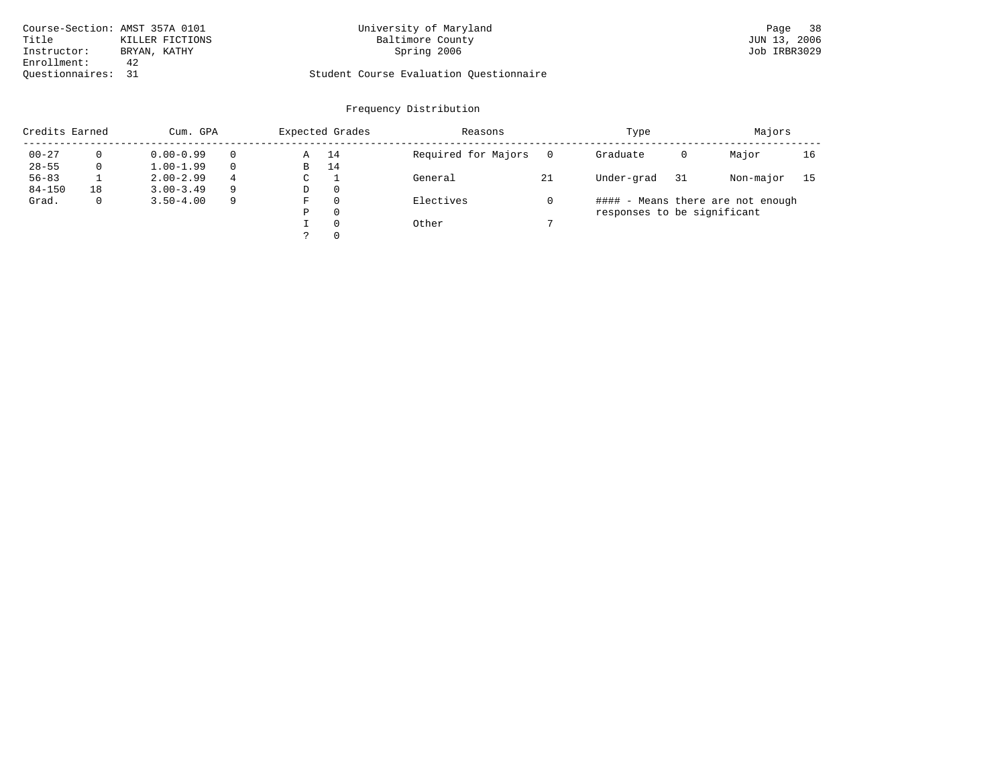| Course-Section: AMST 357A 0101 |                 | University of Maryland                  | 38<br>Page   |
|--------------------------------|-----------------|-----------------------------------------|--------------|
| Title                          | KILLER FICTIONS | Baltimore County                        | JUN 13, 2006 |
| Instructor:                    | BRYAN, KATHY    | Spring 2006                             | Job IRBR3029 |
| Enrollment:                    | 42              |                                         |              |
| Ouestionnaires:                |                 | Student Course Evaluation Ouestionnaire |              |

# University of Maryland Baltimore County (Base 38) 2006 12:387A 2006 2011 2012 2014 2014 2015 2016 2017 2018 20<br>Baltimore County (Baltimore County 2016)

# Questionnaires: 31 Student Course Evaluation Questionnaire

| Credits Earned |              | Cum. GPA      |   |   | Expected Grades | Reasons             |    | Type                        |    | Majors                            |    |
|----------------|--------------|---------------|---|---|-----------------|---------------------|----|-----------------------------|----|-----------------------------------|----|
| $00 - 27$      |              | $0.00 - 0.99$ |   | Α | 14              | Required for Majors |    | Graduate                    | 0  | Major                             | 16 |
| $28 - 55$      | 0            | $1.00 - 1.99$ |   | В | 14              |                     |    |                             |    |                                   |    |
| $56 - 83$      |              | $2.00 - 2.99$ | 4 | C |                 | General             | 21 | Under-grad                  | 31 | Non-major                         | 15 |
| $84 - 150$     | 18           | $3.00 - 3.49$ | 9 | D | $\Omega$        |                     |    |                             |    |                                   |    |
| Grad.          | $\mathbf{0}$ | $3.50 - 4.00$ | 9 | F | $\Omega$        | Electives           |    |                             |    | #### - Means there are not enough |    |
|                |              |               |   | Ρ | $\Omega$        |                     |    | responses to be significant |    |                                   |    |
|                |              |               |   |   | $\Omega$        | Other               |    |                             |    |                                   |    |
|                |              |               |   |   | $\Omega$        |                     |    |                             |    |                                   |    |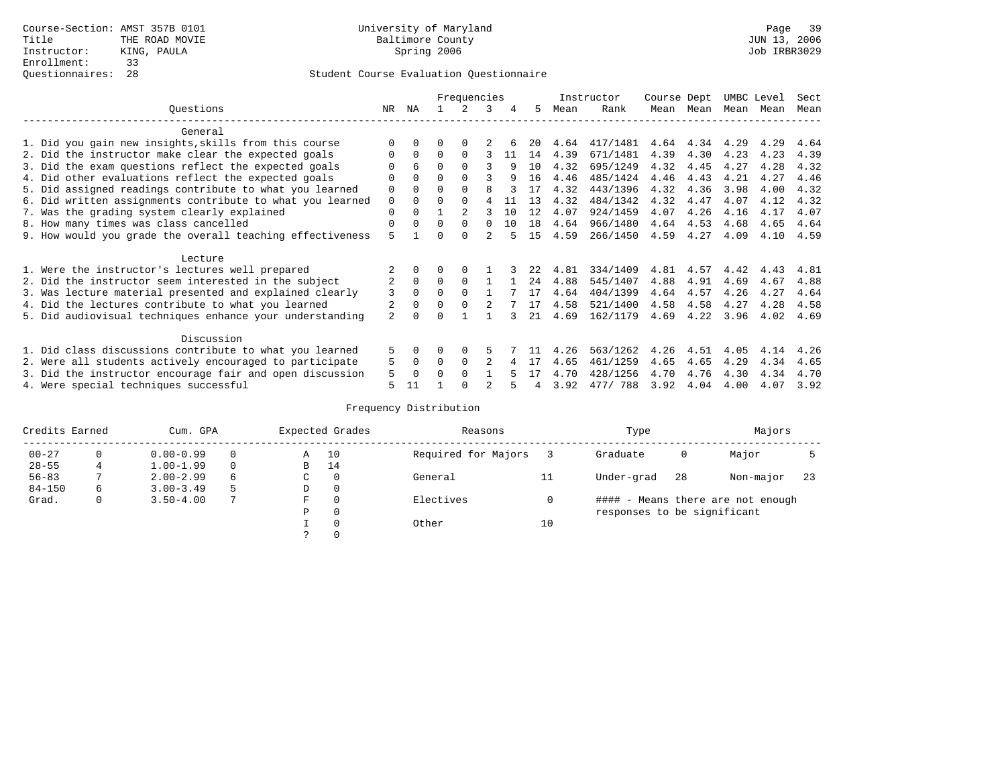|                                                           |                |          |          | Frequencies |          |    |     |      | Instructor | Course Dept |           | UMBC Level |      | Sect |
|-----------------------------------------------------------|----------------|----------|----------|-------------|----------|----|-----|------|------------|-------------|-----------|------------|------|------|
| Ouestions                                                 | NR.            | ΝA       |          |             | 3        | 4  | 5.  | Mean | Rank       |             | Mean Mean | Mean       | Mean | Mean |
| General                                                   |                |          |          |             |          |    |     |      |            |             |           |            |      |      |
| 1. Did you gain new insights, skills from this course     |                | $\Omega$ | O        | $\Omega$    |          |    | 20  | 4.64 | 417/1481   | 4.64        | 4.34      | 4.29       | 4.29 | 4.64 |
| 2. Did the instructor make clear the expected goals       | O              | $\Omega$ | $\Omega$ | $\Omega$    |          | 11 | 14  | 4.39 | 671/1481   | 4.39        | 4.30      | 4.23       | 4.23 | 4.39 |
| 3. Did the exam questions reflect the expected goals      |                | 6        | $\Omega$ | $\Omega$    |          | 9  | 10  | 4.32 | 695/1249   | 4.32        | 4.45      | 4.27       | 4.28 | 4.32 |
| 4. Did other evaluations reflect the expected goals       | O              | $\Omega$ | $\Omega$ | $\Omega$    | ς        | q  | 16  | 4.46 | 485/1424   | 4.46        | 4.43      | 4.21       | 4.27 | 4.46 |
| 5. Did assigned readings contribute to what you learned   | $\mathbf 0$    | $\Omega$ | $\Omega$ | $\Omega$    | R        |    | 17  | 4.32 | 443/1396   | 4.32        | 4.36      | 3.98       | 4.00 | 4.32 |
| 6. Did written assignments contribute to what you learned | $\mathbf 0$    | $\Omega$ | $\Omega$ | $\Omega$    |          | 11 | 13  | 4.32 | 484/1342   | 4.32        | 4.47      | 4.07       | 4.12 | 4.32 |
| 7. Was the grading system clearly explained               | $\mathbf 0$    | $\Omega$ |          |             |          | 10 | 12  | 4.07 | 924/1459   | 4.07        | 4.26      | 4.16       | 4.17 | 4.07 |
| 8. How many times was class cancelled                     | 0              | $\Omega$ | $\Omega$ | $\Omega$    | $\Omega$ | 10 | 18  | 4.64 | 966/1480   | 4.64        | 4.53      | 4.68       | 4.65 | 4.64 |
| 9. How would you grade the overall teaching effectiveness | 5              |          | U        | $\cap$      |          |    | 1.5 | 4.59 | 266/1450   | 4.59        | 4.27      | 4.09       | 4.10 | 4.59 |
| Lecture                                                   |                |          |          |             |          |    |     |      |            |             |           |            |      |      |
| 1. Were the instructor's lectures well prepared           |                |          |          |             |          |    | 22  | 4.81 | 334/1409   | 4.81        | 4.57      | 4.42       | 4.43 | 4.81 |
| 2. Did the instructor seem interested in the subject      | 2              | $\Omega$ | $\Omega$ | $\Omega$    |          |    | 24  | 4.88 | 545/1407   | 4.88        | 4.91      | 4.69       | 4.67 | 4.88 |
| 3. Was lecture material presented and explained clearly   | 3              | $\Omega$ |          | $\Omega$    |          |    | 17  | 4.64 | 404/1399   | 4.64        | 4.57      | 4.26       | 4.27 | 4.64 |
| 4. Did the lectures contribute to what you learned        |                | $\Omega$ | $\Omega$ |             |          |    | 17  | 4.58 | 521/1400   | 4.58        | 4.58      | 4.27       | 4.28 | 4.58 |
| 5. Did audiovisual techniques enhance your understanding  | $\overline{a}$ | $\cap$   |          |             |          |    | 2.1 | 4.69 | 162/1179   | 4.69        | 4.22      | 3.96       | 4.02 | 4.69 |
| Discussion                                                |                |          |          |             |          |    |     |      |            |             |           |            |      |      |
| 1. Did class discussions contribute to what you learned   | 5              | 0        | 0        | $\Omega$    | 5        |    |     | 4.26 | 563/1262   | 4.26        | 4.51      | 4.05       | 4.14 | 4.26 |
| 2. Were all students actively encouraged to participate   |                |          | $\Omega$ | $\Omega$    |          |    |     | 4.65 | 461/1259   | 4.65        | 4.65      | 4.29       | 4.34 | 4.65 |
| 3. Did the instructor encourage fair and open discussion  |                |          | O        | $\Omega$    |          |    |     | 4.70 | 428/1256   | 4.70        | 4.76      | 4.30       | 4.34 | 4.70 |
| 4. Were special techniques successful                     | 5              | 11       |          |             |          |    |     | 3.92 | 477/ 788   | 3.92        | 4.04      | 4.00       | 4.07 | 3.92 |

| Credits Earned |          | Cum. GPA      |    |   | Expected Grades | Reasons             |    | Type                        |    | Majors                            |     |
|----------------|----------|---------------|----|---|-----------------|---------------------|----|-----------------------------|----|-----------------------------------|-----|
| $00 - 27$      | $\Omega$ | $0.00 - 0.99$ |    | Α | 10              | Required for Majors |    | Graduate                    | 0  | Major                             |     |
| $28 - 55$      | 4        | $1.00 - 1.99$ |    | B | 14              |                     |    |                             |    |                                   |     |
| $56 - 83$      |          | $2.00 - 2.99$ | 6  | C | 0               | General             | 11 | Under-grad                  | 28 | Non-major                         | -23 |
| $84 - 150$     | 6        | $3.00 - 3.49$ | .5 | D | 0               |                     |    |                             |    |                                   |     |
| Grad.          | 0        | $3.50 - 4.00$ |    | F | 0               | Electives           |    |                             |    | #### - Means there are not enough |     |
|                |          |               |    | Ρ | 0               |                     |    | responses to be significant |    |                                   |     |
|                |          |               |    |   | $\Omega$        | Other               | 10 |                             |    |                                   |     |
|                |          |               |    |   |                 |                     |    |                             |    |                                   |     |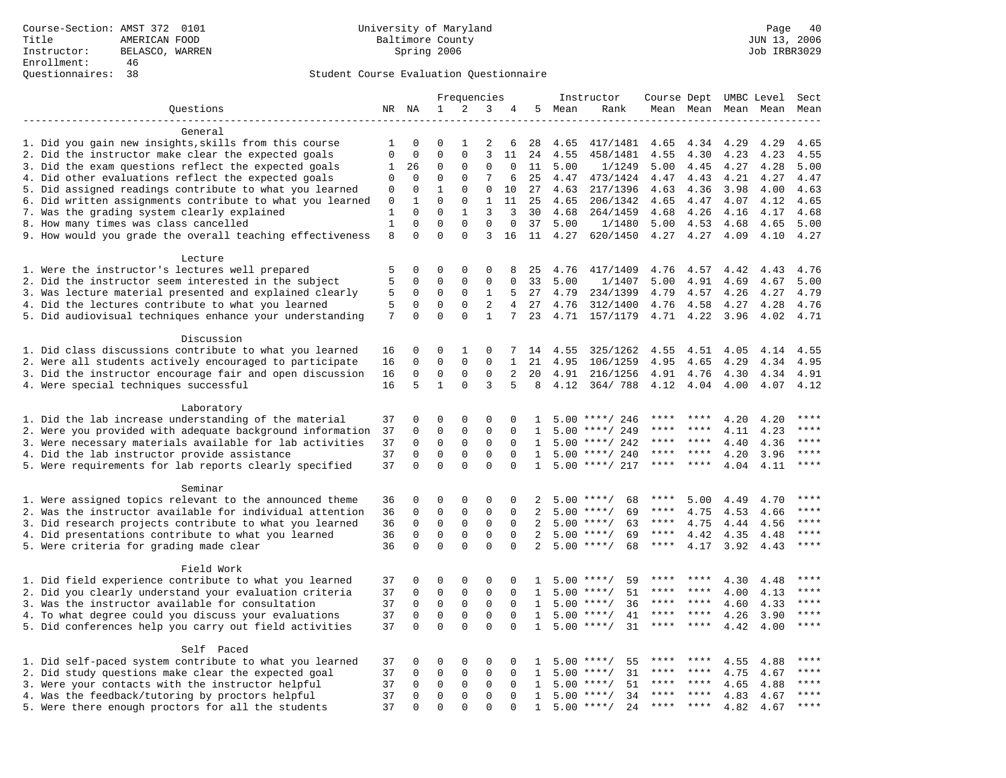|                                                                                                         |              |             |                  | Frequencies  |              |                |                |              | Instructor         | Course Dept UMBC Level |                     |              |              | Sect         |
|---------------------------------------------------------------------------------------------------------|--------------|-------------|------------------|--------------|--------------|----------------|----------------|--------------|--------------------|------------------------|---------------------|--------------|--------------|--------------|
| Questions                                                                                               |              | NR NA       | $\mathbf{1}$     | 2            | 3            | 4              |                | 5 Mean       | Rank               |                        | Mean Mean Mean Mean |              |              | Mean         |
|                                                                                                         |              |             |                  |              |              |                |                |              |                    |                        |                     |              |              |              |
| General                                                                                                 |              |             |                  |              |              |                |                |              |                    |                        |                     |              |              |              |
| 1. Did you gain new insights, skills from this course                                                   | 1            | 0           | $\Omega$         | 1            | 2            | 6              | 28             | 4.65         | 417/1481           | 4.65                   | 4.34                | 4.29         | 4.29         | 4.65         |
| 2. Did the instructor make clear the expected goals                                                     | $\mathbf 0$  | 0           | $\Omega$         | $\mathbf{0}$ | 3            | 11             | 24             | 4.55         | 458/1481           | 4.55                   | 4.30                | 4.23         | 4.23         | 4.55         |
| 3. Did the exam questions reflect the expected goals                                                    | 1            | 26          | 0                | $\Omega$     | 0            | $\Omega$       | 11             | 5.00         | 1/1249             | 5.00                   | 4.45                | 4.27         | 4.28         | 5.00         |
| 4. Did other evaluations reflect the expected goals                                                     | 0            | $\mathbf 0$ | $\mathbf 0$      | $\mathbf{0}$ | 7            | 6              | 25             | 4.47         | 473/1424           | 4.47                   | 4.43                | 4.21         | 4.27         | 4.47         |
| 5. Did assigned readings contribute to what you learned                                                 | $\mathsf 0$  | $\mathbf 0$ | $\mathbf{1}$     | $\mathbf 0$  | $\mathbf 0$  | 10             | 27             | 4.63         | 217/1396           | 4.63                   | 4.36                | 3.98         | 4.00         | 4.63         |
| 6. Did written assignments contribute to what you learned                                               | 0            | 1           | $\mathbf 0$      | $\mathbf 0$  | 1            | 11             | 25             | 4.65         | 206/1342           | 4.65                   | 4.47                | 4.07         | 4.12         | 4.65         |
| 7. Was the grading system clearly explained                                                             | 1            | $\Omega$    | $\Omega$         | $\mathbf{1}$ | 3            | 3              | 30             | 4.68         | 264/1459           | 4.68                   | 4.26                | 4.16         | 4.17         | 4.68         |
| 8. How many times was class cancelled                                                                   | $\mathbf{1}$ | $\Omega$    | $\Omega$         | $\Omega$     | $\Omega$     | $\Omega$       | 37             | 5.00         | 1/1480             | 5.00                   | 4.53                | 4.68         | 4.65         | 5.00         |
| 9. How would you grade the overall teaching effectiveness                                               | 8            | $\Omega$    | $\Omega$         | $\Omega$     | 3            | 16             |                | 11 4.27      | 620/1450           | 4.27                   | 4.27                | 4.09         | 4.10         | 4.27         |
|                                                                                                         |              |             |                  |              |              |                |                |              |                    |                        |                     |              |              |              |
| Lecture                                                                                                 | 5            | $\mathbf 0$ |                  |              |              |                |                |              |                    |                        |                     |              |              |              |
| 1. Were the instructor's lectures well prepared<br>2. Did the instructor seem interested in the subject | 5            | $\mathbf 0$ | 0<br>$\mathbf 0$ | 0<br>0       | 0<br>0       | 8<br>0         | 25<br>33       | 4.76<br>5.00 | 417/1409<br>1/1407 | 4.76<br>5.00           | 4.57<br>4.91        | 4.42<br>4.69 | 4.43<br>4.67 | 4.76<br>5.00 |
| 3. Was lecture material presented and explained clearly                                                 | 5            | 0           | 0                | 0            | 1            | 5              | 27             | 4.79         | 234/1399           | 4.79                   | 4.57                | 4.26         | 4.27         | 4.79         |
| 4. Did the lectures contribute to what you learned                                                      | 5            | 0           | $\mathbf 0$      | $\mathbf{0}$ | 2            | $\overline{4}$ | 27             | 4.76         | 312/1400           | 4.76                   | 4.58                | 4.27         | 4.28         | 4.76         |
| 5. Did audiovisual techniques enhance your understanding                                                | 7            | $\Omega$    | $\Omega$         | $\Omega$     | $\mathbf{1}$ | 7              | 23             | 4.71         | 157/1179           | 4.71                   | 4.22                | 3.96         | 4.02         | 4.71         |
|                                                                                                         |              |             |                  |              |              |                |                |              |                    |                        |                     |              |              |              |
| Discussion                                                                                              |              |             |                  |              |              |                |                |              |                    |                        |                     |              |              |              |
| 1. Did class discussions contribute to what you learned                                                 | 16           | 0           | 0                | 1            | 0            | 7              | 14             | 4.55         | 325/1262           | 4.55                   | 4.51                | 4.05         | 4.14         | 4.55         |
| 2. Were all students actively encouraged to participate                                                 | 16           | 0           | $\mathbf 0$      | $\mathbf 0$  | $\Omega$     | $\mathbf{1}$   | 21             | 4.95         | 106/1259           | 4.95                   | 4.65                | 4.29         | 4.34         | 4.95         |
| 3. Did the instructor encourage fair and open discussion                                                | 16           | $\mathbf 0$ | $\mathbf 0$      | $\mathbf{0}$ | $\mathbf 0$  | 2              | 20             | 4.91         | 216/1256           | 4.91                   | 4.76                | 4.30         | 4.34         | 4.91         |
| 4. Were special techniques successful                                                                   | 16           | 5           | $\mathbf{1}$     | $\Omega$     | 3            | 5              | 8              | 4.12         | 364/788            | 4.12                   | 4.04                | 4.00         | 4.07         | 4.12         |
|                                                                                                         |              |             |                  |              |              |                |                |              |                    |                        |                     |              |              |              |
| Laboratory                                                                                              |              |             |                  |              |              |                |                |              |                    |                        |                     |              |              |              |
| 1. Did the lab increase understanding of the material                                                   | 37           | $\mathbf 0$ | $\Omega$         | $\mathbf{0}$ | $\Omega$     | 0              | 1              |              | $5.00$ ****/ 246   |                        |                     | 4.20         | 4.20         | $***$ * * *  |
| 2. Were you provided with adequate background information                                               | 37           | $\mathbf 0$ | $\mathbf 0$      | $\mathsf 0$  | $\mathbf 0$  | $\Omega$       | 1              | 5.00         | ****/ 249          |                        |                     | 4.11         | 4.23         | ****         |
| 3. Were necessary materials available for lab activities                                                | 37           | 0           | $\mathbf 0$      | 0            | $\mathbf 0$  | $\mathbf 0$    | $\mathbf{1}$   |              | $5.00$ ****/ 242   | ****                   | ****                | 4.40         | 4.36         | $***$ * * *  |
| 4. Did the lab instructor provide assistance                                                            | 37           | $\Omega$    | $\Omega$         | $\Omega$     | $\Omega$     | $\Omega$       | $\mathbf{1}$   |              | $5.00$ ****/ 240   | ****                   | $***$ *             | 4.20         | 3.96         | ****         |
| 5. Were requirements for lab reports clearly specified                                                  | 37           | $\Omega$    | $\Omega$         | $\Omega$     | $\Omega$     | $\Omega$       | $\mathbf{1}$   |              | $5.00$ ****/ 217   | ****                   | ****                | 4.04         | 4.11         | ****         |
|                                                                                                         |              |             |                  |              |              |                |                |              |                    |                        |                     |              |              |              |
| Seminar                                                                                                 |              |             |                  |              |              |                |                |              |                    |                        |                     |              |              |              |
| 1. Were assigned topics relevant to the announced theme                                                 | 36           | 0           | 0                | $\mathbf{0}$ | $\mathbf 0$  | 0              | 2              |              | $5.00$ ****/<br>68 | ****                   | 5.00                | 4.49         | 4.70         | $***$        |
| 2. Was the instructor available for individual attention                                                | 36           | $\mathbf 0$ | $\mathbf 0$      | $\mathsf 0$  | $\mathbf 0$  | $\mathbf 0$    | $\overline{a}$ |              | $5.00$ ****/<br>69 | ****                   | 4.75                | 4.53         | 4.66         | ****         |
| 3. Did research projects contribute to what you learned                                                 | 36           | $\mathbf 0$ | $\mathbf 0$      | $\mathbf 0$  | $\mathbf 0$  | $\mathbf 0$    | 2              |              | $5.00$ ****/<br>63 | ****                   | 4.75                | 4.44         | 4.56         | ****         |
| 4. Did presentations contribute to what you learned                                                     | 36           | $\mathbf 0$ | $\mathbf 0$      | $\mathbf 0$  | $\mathbf 0$  | $\Omega$       | 2              | 5.00         | 69<br>$***$ /      | $***$ * * *            | 4.42                | 4.35         | 4.48         | $***$        |
| 5. Were criteria for grading made clear                                                                 | 36           | $\Omega$    | $\Omega$         | $\Omega$     | $\Omega$     | $\Omega$       | 2              |              | $5.00$ ****/<br>68 | $***$ * * *            | 4.17                | 3.92         | 4.43         | ****         |
|                                                                                                         |              |             |                  |              |              |                |                |              |                    |                        |                     |              |              |              |
| Field Work                                                                                              |              |             |                  |              |              |                |                |              |                    |                        |                     |              |              |              |
| 1. Did field experience contribute to what you learned                                                  | 37           | 0           | 0                | $\mathsf 0$  | 0            | 0              | 1              |              | 59<br>$5.00$ ****/ | ****                   | ****                | 4.30         | 4.48         | ****         |
| 2. Did you clearly understand your evaluation criteria                                                  | 37           | 0           | 0                | $\mathbf 0$  | 0            | $\Omega$       | $\mathbf{1}$   |              | 51<br>$5.00$ ****/ | ****                   | ****                | 4.00         | 4.13         | ****         |
| 3. Was the instructor available for consultation                                                        | 37           | $\mathbf 0$ | $\mathbf 0$      | $\mathbf{0}$ | $\mathbf 0$  | $\Omega$       | $\mathbf{1}$   |              | 36<br>$5.00$ ****/ | ****                   | ****                | 4.60         | 4.33         | ****         |
| 4. To what degree could you discuss your evaluations                                                    | 37           | $\mathbf 0$ | $\mathbf 0$      | $\mathbf 0$  | $\mathbf 0$  | $\Omega$       | $\mathbf{1}$   | 5.00         | $***/$<br>41       | ****                   | ****                | 4.26         | 3.90         | ****         |
| 5. Did conferences help you carry out field activities                                                  | 37           | $\Omega$    | $\Omega$         | $\Omega$     | $\Omega$     | $\Omega$       | $\mathbf{1}$   |              | $5.00$ ****/<br>31 | ****                   | $***$               | 4.42         | 4.00         | ****         |
|                                                                                                         |              |             |                  |              |              |                |                |              |                    |                        |                     |              |              |              |
| Self Paced                                                                                              |              |             |                  |              |              |                |                |              |                    |                        |                     |              |              | $***$ * * *  |
| 1. Did self-paced system contribute to what you learned                                                 | 37           | 0           | 0                | $\mathbf 0$  | $\mathbf 0$  | 0              | 1              | 5.00         | $***$ /<br>55      |                        |                     | 4.55         | 4.88         | ****         |
| 2. Did study questions make clear the expected goal                                                     | 37           | 0           | $\mathbf 0$      | 0            | $\mathbf 0$  | $\mathbf 0$    | 1              | 5.00         | 31<br>$***/$       | ****                   | ****                | 4.75         | 4.67         |              |
| 3. Were your contacts with the instructor helpful                                                       | 37           | $\Omega$    | 0                | 0            | 0            | $\Omega$       | 1              | 5.00         | $* * * * /$<br>51  | ****                   | ****                | 4.65         | 4.88         | ****         |
| 4. Was the feedback/tutoring by proctors helpful                                                        | 37           | $\Omega$    | $\mathbf 0$      | $\mathbf{0}$ | 0            | $\Omega$       | $\mathbf{1}$   |              | $5.00$ ****/<br>34 | ****                   | ****                | 4.83         | 4.67         | ****         |
| 5. Were there enough proctors for all the students                                                      | 37           | $\Omega$    | $\Omega$         | $\Omega$     | $\Omega$     | $\Omega$       | $\mathbf{1}$   |              | $5.00$ ****/<br>24 | ****                   |                     | 4.82         | 4.67         | $***$        |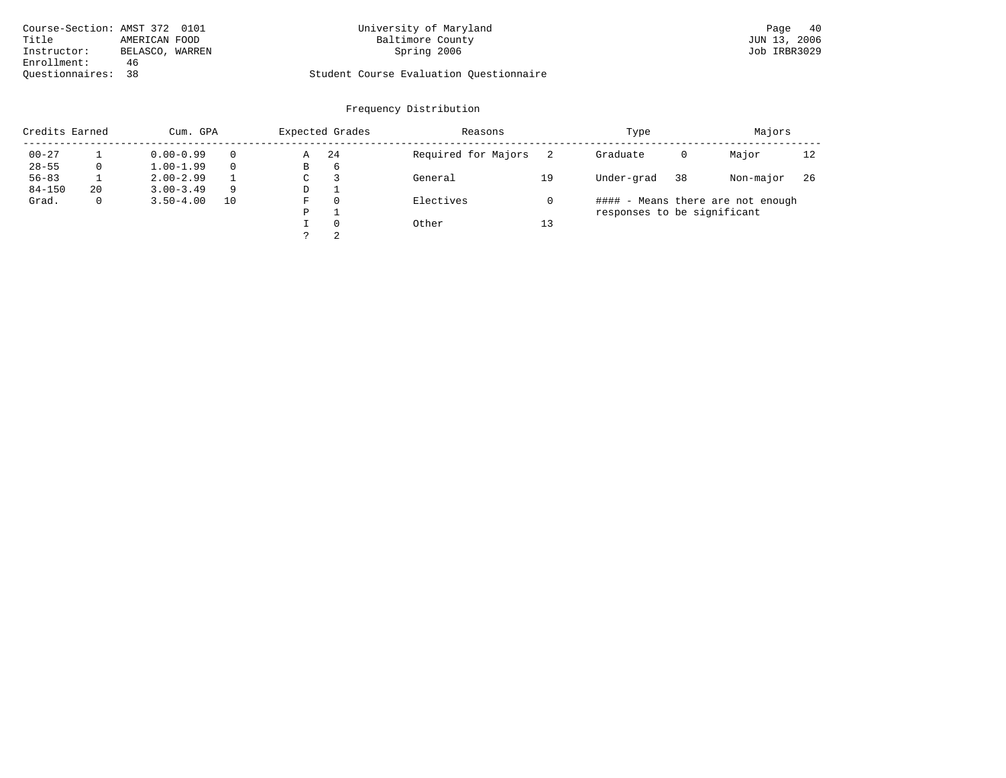| Course-Section: AMST 372 0101 |                 | University of Maryland                  | 40<br>Page   |
|-------------------------------|-----------------|-----------------------------------------|--------------|
| Title                         | AMERICAN FOOD   | Baltimore County                        | JUN 13, 2006 |
| Instructor:                   | BELASCO, WARREN | Spring 2006                             | Job IRBR3029 |
| Enrollment:                   | 46              |                                         |              |
| Ouestionnaires: 38            |                 | Student Course Evaluation Questionnaire |              |

# Baltimore County<br>Spring 2006

| Credits Earned |              | Cum. GPA      |    |   | Expected Grades | Reasons             |    | Type                        |    | Majors                            |     |
|----------------|--------------|---------------|----|---|-----------------|---------------------|----|-----------------------------|----|-----------------------------------|-----|
| $00 - 27$      |              | $0.00 - 0.99$ |    | Α | 24              | Required for Majors |    | Graduate                    | 0  | Major                             | 12  |
| $28 - 55$      | 0            | $1.00 - 1.99$ |    | В | 6               |                     |    |                             |    |                                   |     |
| $56 - 83$      |              | $2.00 - 2.99$ |    | C |                 | General             | 19 | Under-grad                  | 38 | Non-major                         | -26 |
| $84 - 150$     | 20           | $3.00 - 3.49$ | 9  | D |                 |                     |    |                             |    |                                   |     |
| Grad.          | $\mathbf{0}$ | $3.50 - 4.00$ | 10 | F | $\Omega$        | Electives           |    |                             |    | #### - Means there are not enough |     |
|                |              |               |    | P |                 |                     |    | responses to be significant |    |                                   |     |
|                |              |               |    |   | $\Omega$        | Other               | 13 |                             |    |                                   |     |
|                |              |               |    |   | 2               |                     |    |                             |    |                                   |     |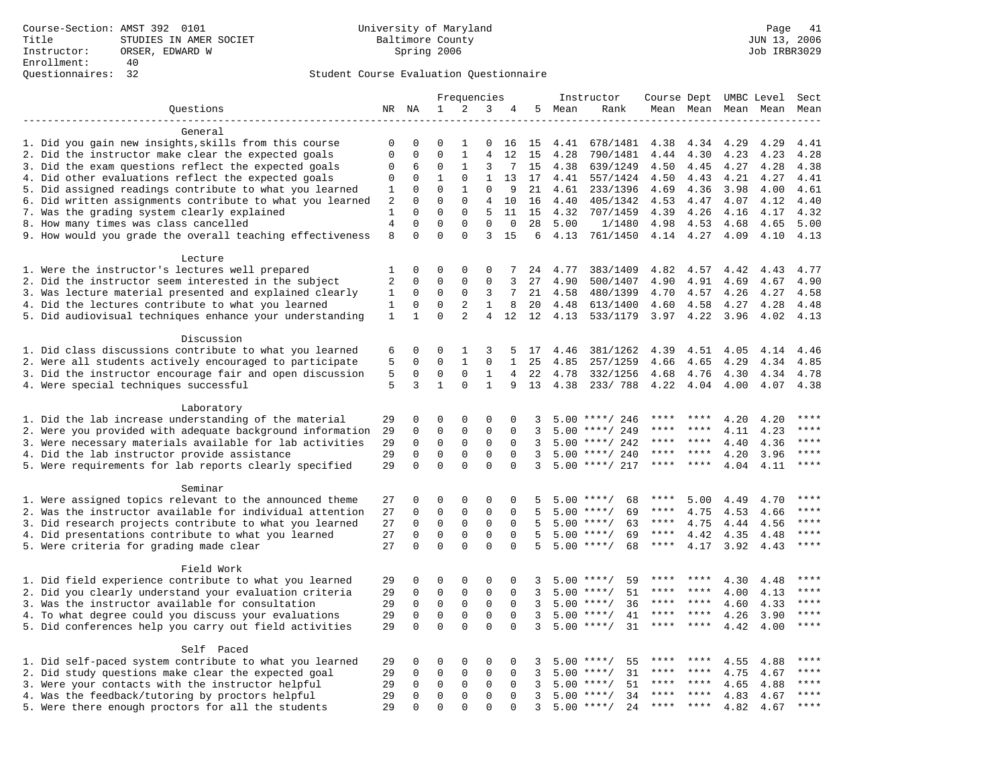|                                                           |                |              |                             | Frequencies    |                |              |    |      | Instructor         | Course Dept UMBC Level |           |      |           | Sect        |
|-----------------------------------------------------------|----------------|--------------|-----------------------------|----------------|----------------|--------------|----|------|--------------------|------------------------|-----------|------|-----------|-------------|
| Questions                                                 |                | NR NA        | $\mathbf{1}$                | 2              | 3              | 4            | 5  | Mean | Rank               |                        | Mean Mean |      | Mean Mean | Mean        |
|                                                           |                |              |                             |                |                |              |    |      |                    |                        |           |      |           |             |
| General                                                   |                |              |                             |                |                |              |    |      |                    |                        |           |      |           |             |
| 1. Did you gain new insights, skills from this course     | 0              | 0            | 0                           | 1              | 0              | 16           | 15 | 4.41 | 678/1481           | 4.38                   | 4.34      | 4.29 | 4.29      | 4.41        |
| 2. Did the instructor make clear the expected goals       | $\mathbf 0$    | $\mathbf 0$  | $\Omega$                    | $\mathbf{1}$   | 4              | 12           | 15 | 4.28 | 790/1481           | 4.44                   | 4.30      | 4.23 | 4.23      | 4.28        |
| 3. Did the exam questions reflect the expected goals      | $\mathbf 0$    | 6            | $\mathbf 0$                 | 1              | 3              | 7            | 15 | 4.38 | 639/1249           | 4.50                   | 4.45      | 4.27 | 4.28      | 4.38        |
| 4. Did other evaluations reflect the expected goals       | $\mathbf 0$    | 0            | $\mathbf{1}$                | $\mathbf 0$    | $\mathbf{1}$   | 13           | 17 | 4.41 | 557/1424           | 4.50                   | 4.43      | 4.21 | 4.27      | 4.41        |
| 5. Did assigned readings contribute to what you learned   | 1              | $\mathbf 0$  | $\mathbf{0}$                | 1              | $\mathbf{0}$   | 9            | 21 | 4.61 | 233/1396           | 4.69                   | 4.36      | 3.98 | 4.00      | 4.61        |
| 6. Did written assignments contribute to what you learned | 2              | $\Omega$     | $\Omega$                    | $\Omega$       | 4              | 10           | 16 | 4.40 | 405/1342           | 4.53                   | 4.47      | 4.07 | 4.12      | 4.40        |
| 7. Was the grading system clearly explained               | 1              | $\Omega$     | $\Omega$                    | $\Omega$       | 5              | 11           | 15 | 4.32 | 707/1459           | 4.39                   | 4.26      | 4.16 | 4.17      | 4.32        |
| 8. How many times was class cancelled                     | $\overline{4}$ | $\mathbf 0$  | $\mathbf{0}$                | $\mathbf 0$    | $\mathbf 0$    | $\mathbf{0}$ | 28 | 5.00 | 1/1480             | 4.98                   | 4.53      | 4.68 | 4.65      | 5.00        |
| 9. How would you grade the overall teaching effectiveness | 8              | $\Omega$     | $\Omega$                    | $\Omega$       | 3              | 15           | 6  | 4.13 | 761/1450           | 4.14 4.27              |           | 4.09 | 4.10      | 4.13        |
|                                                           |                |              |                             |                |                |              |    |      |                    |                        |           |      |           |             |
| Lecture                                                   |                |              |                             |                |                |              |    |      |                    |                        |           |      |           |             |
| 1. Were the instructor's lectures well prepared           | 1              | 0            | $\mathbf 0$<br>$\mathbf{0}$ | $\mathbf 0$    | 0              | 7            | 24 | 4.77 | 383/1409           | 4.82                   | 4.57      | 4.42 | 4.43      | 4.77        |
| 2. Did the instructor seem interested in the subject      | 2              | 0            |                             | $\mathbf 0$    | 0              | 3<br>7       | 27 | 4.90 | 500/1407           | 4.90                   | 4.91      | 4.69 | 4.67      | 4.90        |
| 3. Was lecture material presented and explained clearly   | 1              | 0            | $\mathbf{0}$                | 0              | 3              |              | 21 | 4.58 | 480/1399           | 4.70                   | 4.57      | 4.26 | 4.27      | 4.58        |
| 4. Did the lectures contribute to what you learned        | 1              | $\mathbf 0$  | $\Omega$                    | 2              | $\mathbf{1}$   | 8            | 20 | 4.48 | 613/1400           | 4.60                   | 4.58      | 4.27 | 4.28      | 4.48        |
| 5. Did audiovisual techniques enhance your understanding  | 1              | $\mathbf{1}$ | $\Omega$                    | $\overline{a}$ | $\overline{4}$ | 12           | 12 | 4.13 | 533/1179           | 3.97                   | 4.22      | 3.96 | 4.02      | 4.13        |
| Discussion                                                |                |              |                             |                |                |              |    |      |                    |                        |           |      |           |             |
| 1. Did class discussions contribute to what you learned   |                | 0            | 0                           | 1              | 3              | 5            | 17 | 4.46 | 381/1262           | 4.39                   | 4.51      | 4.05 | 4.14      | 4.46        |
| 2. Were all students actively encouraged to participate   | 6<br>5         | $\mathbf 0$  | $\mathbf 0$                 | $\mathbf{1}$   | $\mathbf 0$    | $\mathbf{1}$ | 25 | 4.85 | 257/1259           | 4.66                   | 4.65      | 4.29 | 4.34      | 4.85        |
|                                                           |                |              | $\mathbf 0$                 | $\mathbf 0$    | 1              | 4            |    |      |                    |                        |           |      |           |             |
| 3. Did the instructor encourage fair and open discussion  | 5<br>5         | 0<br>3       | $\mathbf{1}$                | $\Omega$       | $\mathbf{1}$   | 9            | 22 | 4.78 | 332/1256           | 4.68                   | 4.76      | 4.30 | 4.34      | 4.78        |
| 4. Were special techniques successful                     |                |              |                             |                |                |              | 13 | 4.38 | 233/788            | 4.22                   | 4.04      | 4.00 | 4.07      | 4.38        |
| Laboratory                                                |                |              |                             |                |                |              |    |      |                    |                        |           |      |           |             |
| 1. Did the lab increase understanding of the material     | 29             | $\mathbf 0$  | $\mathbf 0$                 | $\mathbf 0$    | $\mathsf 0$    | $\Omega$     | 3  |      | $5.00$ ****/ 246   |                        |           | 4.20 | 4.20      |             |
| 2. Were you provided with adequate background information | 29             | $\mathbf 0$  | $\mathbf 0$                 | $\mathsf 0$    | $\mathsf 0$    | $\mathbf 0$  | 3  | 5.00 | ****/ 249          | ****                   | ****      | 4.11 | 4.23      | ****        |
| 3. Were necessary materials available for lab activities  | 29             | $\mathbf 0$  | $\mathbf 0$                 | $\mathsf 0$    | $\mathsf 0$    | $\mathbf 0$  | 3  | 5.00 | ****/ 242          | ****                   | ****      | 4.40 | 4.36      | $***$       |
| 4. Did the lab instructor provide assistance              | 29             | $\mathbf 0$  | $\mathbf{0}$                | $\mathbf 0$    | $\mathbf{0}$   | $\Omega$     | 3  | 5.00 | ****/ 240          | ****                   | ****      | 4.20 | 3.96      | $***$       |
| 5. Were requirements for lab reports clearly specified    | 29             | $\mathbf 0$  | $\mathbf{0}$                | $\Omega$       | $\mathbf{0}$   | $\Omega$     | 3  |      | $5.00$ ****/ 217   | ****                   | ****      | 4.04 | 4.11      | ****        |
|                                                           |                |              |                             |                |                |              |    |      |                    |                        |           |      |           |             |
| Seminar                                                   |                |              |                             |                |                |              |    |      |                    |                        |           |      |           |             |
| 1. Were assigned topics relevant to the announced theme   | 27             | 0            | $\mathbf{0}$                | $\Omega$       | $\Omega$       | $\Omega$     | .5 |      | $5.00$ ****/<br>68 | ****                   | 5.00      | 4.49 | 4.70      | ****        |
| 2. Was the instructor available for individual attention  | 27             | $\mathbf 0$  | $\mathbf 0$                 | $\mathbf 0$    | $\mathbf{0}$   | $\mathbf 0$  |    | 5.00 | $***/$<br>69       | ****                   | 4.75      | 4.53 | 4.66      | ****        |
| 3. Did research projects contribute to what you learned   | 27             | $\mathbf 0$  | $\mathbf 0$                 | $\mathsf 0$    | $\mathsf 0$    | $\mathbf 0$  | 5  | 5.00 | $***$ /<br>63      | $***$ * *              | 4.75      | 4.44 | 4.56      | ****        |
| 4. Did presentations contribute to what you learned       | 27             | $\mathbf 0$  | $\mathsf 0$                 | $\mathbf 0$    | $\mathsf 0$    | $\mathbf 0$  | 5  | 5.00 | $***/$<br>69       | $***$ * * *            | 4.42      | 4.35 | 4.48      | $***$       |
| 5. Were criteria for grading made clear                   | 27             | $\Omega$     | $\Omega$                    | $\Omega$       | $\Omega$       | $\Omega$     | 5  |      | $5.00$ ****/<br>68 | ****                   | 4.17      | 3.92 | 4.43      | ****        |
|                                                           |                |              |                             |                |                |              |    |      |                    |                        |           |      |           |             |
| Field Work                                                |                |              |                             |                |                |              |    |      |                    |                        |           |      |           |             |
| 1. Did field experience contribute to what you learned    | 29             | 0            | 0                           | $\mathbf 0$    | 0              | $\mathbf 0$  | 3  | 5.00 | $***$ /<br>59      |                        | ****      | 4.30 | 4.48      | ****        |
| 2. Did you clearly understand your evaluation criteria    | 29             | $\mathbf 0$  | $\mathbf{0}$                | $\mathbf 0$    | $\mathbf{0}$   | $\Omega$     | 3  | 5.00 | 51<br>$***$ /      | ****                   | ****      | 4.00 | 4.13      | ****        |
| 3. Was the instructor available for consultation          | 29             | $\mathbf 0$  | $\mathbf 0$                 | $\mathbf 0$    | $\mathbf 0$    | $\Omega$     | 3  | 5.00 | 36<br>$***/$       | ****                   | ****      | 4.60 | 4.33      | ****        |
| 4. To what degree could you discuss your evaluations      | 29             | $\mathbf 0$  | $\mathbf 0$                 | $\mathbf 0$    | $\mathbf 0$    | $\Omega$     | 3  | 5.00 | $***$ /<br>41      | ****                   | $***$ *   | 4.26 | 3.90      | ****        |
| 5. Did conferences help you carry out field activities    | 29             | $\Omega$     | $\Omega$                    | $\Omega$       | $\Omega$       | $\Omega$     | 3  | 5.00 | $***$ /<br>31      | ****                   | ****      | 4.42 | 4.00      | ****        |
|                                                           |                |              |                             |                |                |              |    |      |                    |                        |           |      |           |             |
| Self Paced                                                |                |              |                             |                |                |              |    |      |                    |                        |           |      |           |             |
| 1. Did self-paced system contribute to what you learned   | 29             | 0            | 0                           | $\mathbf 0$    | 0              | 0            | 3  | 5.00 | 55<br>$***$ /      |                        |           | 4.55 | 4.88      | ****        |
| 2. Did study questions make clear the expected goal       | 29             | 0            | $\mathbf 0$                 | $\mathbf 0$    | $\mathbf{0}$   | $\mathbf 0$  | 3  | 5.00 | 31<br>$***$ /      | ****                   | ****      | 4.75 | 4.67      | ****        |
| 3. Were your contacts with the instructor helpful         | 29             | 0            | $\mathbf{0}$                | $\mathbf 0$    | 0              | $\Omega$     | 3  | 5.00 | 51<br>$***$ /      | ****                   | $* * * *$ | 4.65 | 4.88      | $***$ * * * |
| 4. Was the feedback/tutoring by proctors helpful          | 29             | 0            | $\mathbf{0}$                | $\mathbf 0$    | $\mathbf{0}$   | $\Omega$     | 3  | 5.00 | $***/$<br>34       | ****                   | ****      | 4.83 | 4.67      | ****        |
| 5. Were there enough proctors for all the students        | 29             | $\Omega$     | $\Omega$                    | $\Omega$       | $\Omega$       | $\cap$       | 3  | 5.00 | $***/$<br>24       | ***                    | ****      | 4.82 | 4.67      | ****        |
|                                                           |                |              |                             |                |                |              |    |      |                    |                        |           |      |           |             |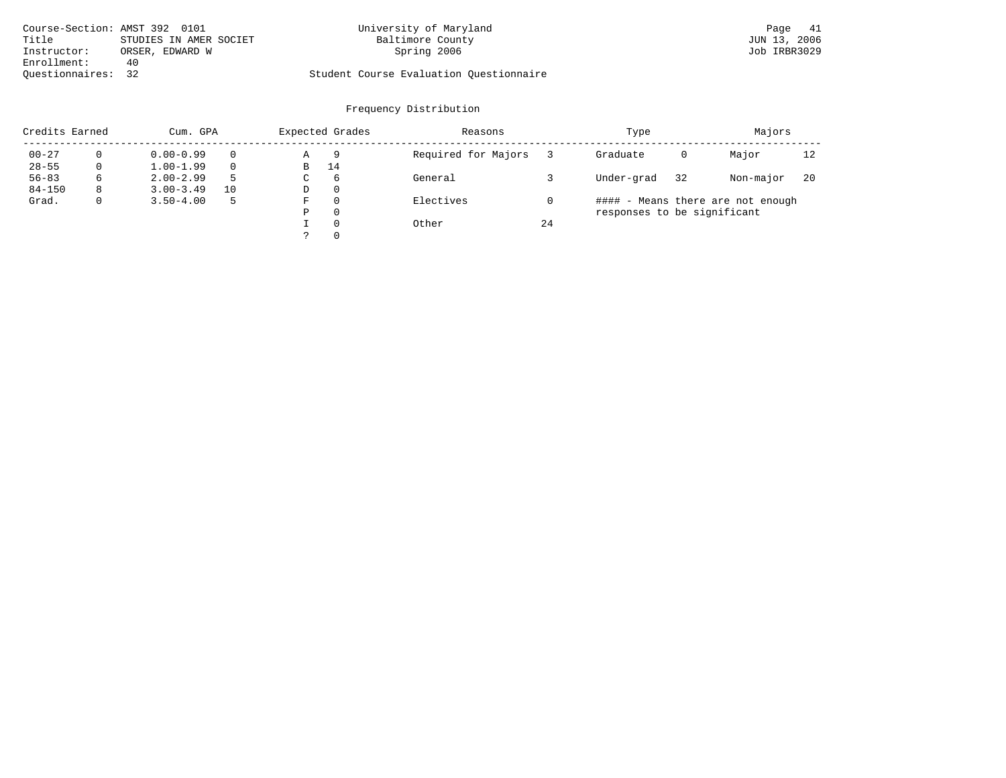| Course-Section: AMST 392 0101 |                        | University of Maryland                  | Page 41      |
|-------------------------------|------------------------|-----------------------------------------|--------------|
| Title                         | STUDIES IN AMER SOCIET | Baltimore County                        | JUN 13, 2006 |
| Instructor:                   | ORSER, EDWARD W        | Spring 2006                             | Job IRBR3029 |
| Enrollment:                   | 40                     |                                         |              |
| Ouestionnaires: 32            |                        | Student Course Evaluation Questionnaire |              |

| Credits Earned |             | Cum. GPA      |    |   | Expected Grades | Reasons             |    | Type                        |    | Majors                            |    |
|----------------|-------------|---------------|----|---|-----------------|---------------------|----|-----------------------------|----|-----------------------------------|----|
| $00 - 27$      |             | $0.00 - 0.99$ |    | Α | 9               | Required for Majors |    | Graduate                    | 0  | Major                             | 12 |
| $28 - 55$      | 0           | $1.00 - 1.99$ |    | В | 14              |                     |    |                             |    |                                   |    |
| $56 - 83$      | 6           | $2.00 - 2.99$ |    | C | 6               | General             |    | Under-grad                  | 32 | Non-major                         | 20 |
| $84 - 150$     | 8           | $3.00 - 3.49$ | 10 | D | $\Omega$        |                     |    |                             |    |                                   |    |
| Grad.          | $\mathbf 0$ | $3.50 - 4.00$ |    | F | $\Omega$        | Electives           |    |                             |    | #### - Means there are not enough |    |
|                |             |               |    | Ρ | $\Omega$        |                     |    | responses to be significant |    |                                   |    |
|                |             |               |    |   | $\Omega$        | Other               | 24 |                             |    |                                   |    |
|                |             |               |    |   | $\Omega$        |                     |    |                             |    |                                   |    |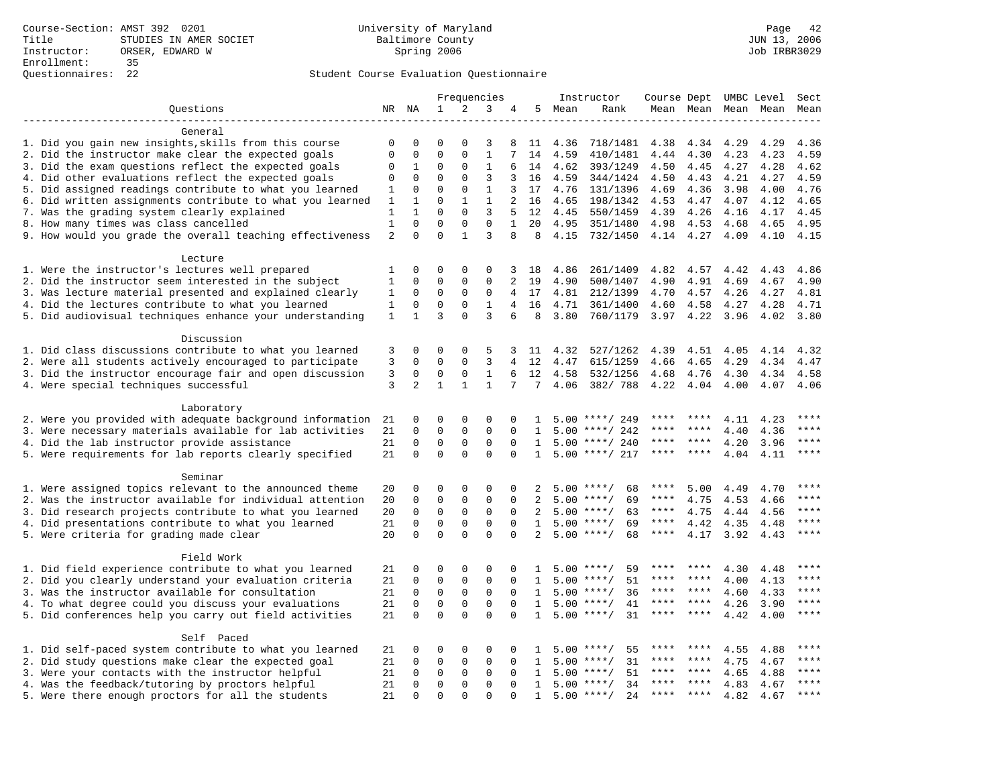|                                                                                                        |                |                         |                            |                              | Frequencies                 |                |              |              | Instructor                   | Course Dept UMBC Level |                     |              |              | Sect                   |
|--------------------------------------------------------------------------------------------------------|----------------|-------------------------|----------------------------|------------------------------|-----------------------------|----------------|--------------|--------------|------------------------------|------------------------|---------------------|--------------|--------------|------------------------|
| Questions                                                                                              |                | NR NA                   | 1                          | $\overline{a}$               | 3                           | 4              | 5            | Mean         | Rank                         |                        | Mean Mean Mean Mean |              |              | Mean                   |
|                                                                                                        |                |                         |                            |                              |                             |                |              |              |                              |                        |                     |              |              |                        |
| General                                                                                                |                |                         |                            |                              |                             |                |              |              |                              |                        |                     |              |              |                        |
| 1. Did you gain new insights, skills from this course                                                  | $\mathbf 0$    | $\Omega$                | $\Omega$                   | $\Omega$                     | 3                           | 8              | 11           | 4.36         | 718/1481                     | 4.38                   | 4.34                | 4.29         | 4.29         | 4.36                   |
| 2. Did the instructor make clear the expected goals                                                    | 0              | 0                       | 0                          | $\mathbf{0}$                 | $\mathbf{1}$                | 7              | 14           | 4.59         | 410/1481                     | 4.44                   | 4.30                | 4.23         | 4.23         | 4.59                   |
| 3. Did the exam questions reflect the expected goals                                                   | 0              | 1                       | $\mathbf 0$                | $\mathbf 0$                  | $\mathbf{1}$                | 6              | 14           | 4.62         | 393/1249                     | 4.50                   | 4.45                | 4.27         | 4.28         | 4.62                   |
| 4. Did other evaluations reflect the expected goals                                                    | 0              | $\mathbf 0$             | 0                          | $\mathbf{0}$                 | 3                           | 3              | 16           | 4.59         | 344/1424                     | 4.50                   | 4.43                | 4.21         | 4.27         | 4.59                   |
| 5. Did assigned readings contribute to what you learned                                                | 1              | $\mathbf{0}$            | $\Omega$                   | $\Omega$                     | $\mathbf{1}$                | 3              | 17           | 4.76         | 131/1396                     | 4.69                   | 4.36                | 3.98         | 4.00         | 4.76                   |
| 6. Did written assignments contribute to what you learned                                              | 1              | 1                       | $\Omega$                   | $\mathbf{1}$                 | $\mathbf{1}$                | 2              | 16           | 4.65         | 198/1342                     | 4.53                   | 4.47                | 4.07         | 4.12         | 4.65                   |
| 7. Was the grading system clearly explained                                                            | $\mathbf{1}$   | $\mathbf{1}$            | $\Omega$                   | $\Omega$                     | 3                           | 5              | 12           | 4.45         | 550/1459                     | 4.39                   | 4.26                | 4.16         | 4.17         | 4.45                   |
| 8. How many times was class cancelled                                                                  | $\mathbf{1}$   | $\mathbf 0$             | $\mathbf 0$                | $\mathbf{0}$                 | $\mathbf 0$                 | $\mathbf{1}$   | 20           | 4.95         | 351/1480                     | 4.98                   | 4.53                | 4.68         | 4.65         | 4.95                   |
| 9. How would you grade the overall teaching effectiveness                                              | $\overline{2}$ | $\Omega$                | $\Omega$                   | $\mathbf{1}$                 | 3                           | 8              | 8            | 4.15         | 732/1450                     |                        | 4.14 4.27           | 4.09         | 4.10         | 4.15                   |
| Lecture                                                                                                |                |                         |                            |                              |                             |                |              |              |                              |                        |                     |              |              |                        |
| 1. Were the instructor's lectures well prepared                                                        | 1              | $\mathbf 0$             | 0                          | $\Omega$                     | 0                           | 3              | 18           | 4.86         | 261/1409                     | 4.82                   | 4.57                | 4.42         | 4.43         | 4.86                   |
| 2. Did the instructor seem interested in the subject                                                   | 1              | $\mathbf 0$             | 0                          | $\mathsf 0$                  | $\mathbf{0}$                | 2              | 19           | 4.90         | 500/1407                     | 4.90                   | 4.91                | 4.69         | 4.67         | 4.90                   |
| 3. Was lecture material presented and explained clearly                                                | $\mathbf{1}$   | $\mathbf 0$             | 0                          | $\mathbf{0}$                 | $\mathbf 0$                 | 4              | 17           | 4.81         | 212/1399                     | 4.70                   | 4.57                | 4.26         | 4.27         | 4.81                   |
| 4. Did the lectures contribute to what you learned                                                     | 1              | 0                       | 0                          | 0                            | 1                           | 4              | 16           | 4.71         | 361/1400                     | 4.60                   | 4.58                | 4.27         | 4.28         | 4.71                   |
| 5. Did audiovisual techniques enhance your understanding                                               | $\mathbf{1}$   | $\mathbf{1}$            | $\overline{3}$             | $\Omega$                     | 3                           | 6              | 8            | 3.80         | 760/1179                     | 3.97                   | 4.22                | 3.96         | 4.02         | 3.80                   |
| Discussion                                                                                             |                |                         |                            |                              |                             |                |              |              |                              |                        |                     |              |              |                        |
| 1. Did class discussions contribute to what you learned                                                | 3              | 0                       | 0                          | $\mathbf 0$                  | 5                           | 3              | 11           | 4.32         | 527/1262                     | 4.39                   | 4.51                | 4.05         | 4.14         | 4.32                   |
| 2. Were all students actively encouraged to participate                                                | 3              | $\Omega$                | $\mathbf 0$                | $\mathbf{0}$                 | 3                           | $\overline{4}$ | 12           | 4.47         | 615/1259                     | 4.66                   | 4.65                | 4.29         | 4.34         | 4.47                   |
| 3. Did the instructor encourage fair and open discussion                                               | 3              | 0                       | 0                          | 0                            | $\mathbf{1}$                | 6              | 12           | 4.58         | 532/1256                     | 4.68                   | 4.76                | 4.30         | 4.34         | 4.58                   |
| 4. Were special techniques successful                                                                  | 3              | 2                       | $\mathbf{1}$               | $\mathbf{1}$                 | $\mathbf{1}$                | 7              | 7            | 4.06         | 382/788                      | 4.22                   | 4.04                | 4.00         | 4.07         | 4.06                   |
|                                                                                                        |                |                         |                            |                              |                             |                |              |              |                              |                        |                     |              |              |                        |
| Laboratory                                                                                             |                |                         |                            |                              |                             |                |              |              |                              |                        |                     |              |              |                        |
| 2. Were you provided with adequate background information                                              | 21             | $\mathbf 0$             | 0                          | $\mathbf 0$                  | $\Omega$                    | 0              | 1.           | 5.00         | ****/ 249                    |                        |                     | 4.11         | 4.23         | ****                   |
| 3. Were necessary materials available for lab activities                                               | 21             | 0                       | 0                          | $\mathsf 0$                  | $\mathbf 0$                 | $\mathbf 0$    | 1            | 5.00         | ****/ 242                    | ****                   | ****                | 4.40         | 4.36         | ****                   |
| 4. Did the lab instructor provide assistance                                                           | 21             | $\mathbf 0$             | $\mathbf 0$                | $\mathbf 0$                  | $\mathbf 0$                 | $\Omega$       | $\mathbf{1}$ |              | $5.00$ ****/ 240             | $***$ * * *            | $* * * *$           | 4.20         | 3.96         | $***$                  |
| 5. Were requirements for lab reports clearly specified                                                 | 21             | $\mathbf 0$             | $\mathbf 0$                | $\Omega$                     | $\mathbf{0}$                | $\Omega$       | $\mathbf{1}$ |              | $5.00$ ****/ 217             | ****                   | $***$ *             | 4.04         | 4.11         | $***$ * * *            |
| Seminar                                                                                                |                |                         |                            |                              |                             |                |              |              |                              |                        |                     |              |              |                        |
| 1. Were assigned topics relevant to the announced theme                                                | 20             | 0                       | $\mathbf 0$                | $\mathbf{0}$                 | $\Omega$                    | $\Omega$       | 2            | 5.00         | $***$ /<br>68                | ****                   | 5.00                | 4.49         | 4.70         |                        |
| 2. Was the instructor available for individual attention                                               | 20             | $\mathbf 0$             | 0                          | $\mathsf 0$                  | $\mathsf 0$                 | 0              | 2            | 5.00         | $***/$<br>69                 | ****                   | 4.75                | 4.53         | 4.66         | ****                   |
| 3. Did research projects contribute to what you learned                                                | 20             | $\mathbf 0$             | $\mathbf 0$                | $\mathbf 0$                  | $\mathbf 0$                 | $\Omega$       | 2            |              | $5.00$ ****/<br>63           | $***$ * * *            | 4.75                | 4.44         | 4.56         | ****                   |
| 4. Did presentations contribute to what you learned                                                    | 21             | $\mathbf 0$             | $\mathbf 0$                | $\mathbf 0$                  | $\mathbf 0$                 | $\mathbf 0$    | $\mathbf{1}$ |              | $5.00$ ****/<br>69           | $***$ * *              | 4.42                | 4.35         | 4.48         | $***$ * * *            |
| 5. Were criteria for grading made clear                                                                | 20             | $\Omega$                | $\Omega$                   | $\Omega$                     | $\Omega$                    | $\Omega$       | 2            |              | $5.00$ ****/<br>68           | ****                   | 4.17                | 3.92         | 4.43         | $***$ * * *            |
| Field Work                                                                                             |                |                         |                            |                              |                             |                |              |              |                              |                        |                     |              |              |                        |
| 1. Did field experience contribute to what you learned                                                 | 21             | $\mathbf 0$             | 0                          | $\mathbf 0$                  | 0                           | 0              | 1.           | 5.00         | $***$ /<br>59                |                        | ****                | 4.30         | 4.48         | ****                   |
| 2. Did you clearly understand your evaluation criteria                                                 | 21             | $\mathbf 0$             | 0                          | $\mathsf 0$                  | $\mathsf 0$                 | 0              | 1            |              | 51<br>$5.00$ ****/           | ****                   | ****                | 4.00         | 4.13         | ****                   |
| 3. Was the instructor available for consultation                                                       | 21             | $\Omega$                | $\mathbf 0$                | $\mathbf{0}$                 | $\mathbf 0$                 | $\Omega$       | $\mathbf{1}$ |              | $5.00$ ****/<br>36           | ****                   | $***$ *             | 4.60         | 4.33         | $***$                  |
| 4. To what degree could you discuss your evaluations                                                   | 21             | $\Omega$                | $\mathbf 0$                | $\mathbf{0}$                 | $\mathbf 0$                 | $\Omega$       | 1            | 5.00         | 41<br>$***$ /                | ****                   | $***$ *             | 4.26         | 3.90         | $\star\star\star\star$ |
| 5. Did conferences help you carry out field activities                                                 | 21             | $\Omega$                | $\Omega$                   | $\Omega$                     | $\Omega$                    | $\Omega$       | $\mathbf{1}$ |              | $5.00$ ****/<br>31           | ****                   | ****                | 4.42         | 4.00         | ****                   |
|                                                                                                        |                |                         |                            |                              |                             |                |              |              |                              |                        |                     |              |              |                        |
| Self Paced                                                                                             |                |                         |                            |                              |                             |                |              |              | $***$ /                      |                        | ****                |              |              | ****                   |
| 1. Did self-paced system contribute to what you learned                                                | 21             | $\mathbf 0$             | 0                          | $\mathbf 0$                  | $\Omega$                    | 0              |              | 5.00         | 55<br>$* * * * /$            | ****                   | ****                | 4.55         | 4.88         | ****                   |
| 2. Did study questions make clear the expected goal                                                    | 21             | $\mathbf 0$<br>$\Omega$ | 0                          | $\mathbf 0$                  | 0                           | 0              | 1            | 5.00<br>5.00 | 31<br>51                     | ****                   | ****                | 4.75         | 4.67         | ****                   |
| 3. Were your contacts with the instructor helpful                                                      | 21<br>21       | $\mathbf 0$             | $\mathbf 0$<br>$\mathbf 0$ | $\mathbf{0}$<br>$\mathbf{0}$ | $\mathbf 0$<br>$\mathbf{0}$ | $\Omega$<br>0  | 1<br>1       |              | $***/$<br>$5.00$ ****/<br>34 | ****                   | ****                | 4.65<br>4.83 | 4.88         | ****                   |
| 4. Was the feedback/tutoring by proctors helpful<br>5. Were there enough proctors for all the students | 21             | $\Omega$                | $\Omega$                   | $\Omega$                     | $\Omega$                    | $\Omega$       | $\mathbf{1}$ |              | $5.00$ ****/<br>2.4          | ****                   | $* * * *$           | 4.82         | 4.67<br>4.67 | ****                   |
|                                                                                                        |                |                         |                            |                              |                             |                |              |              |                              |                        |                     |              |              |                        |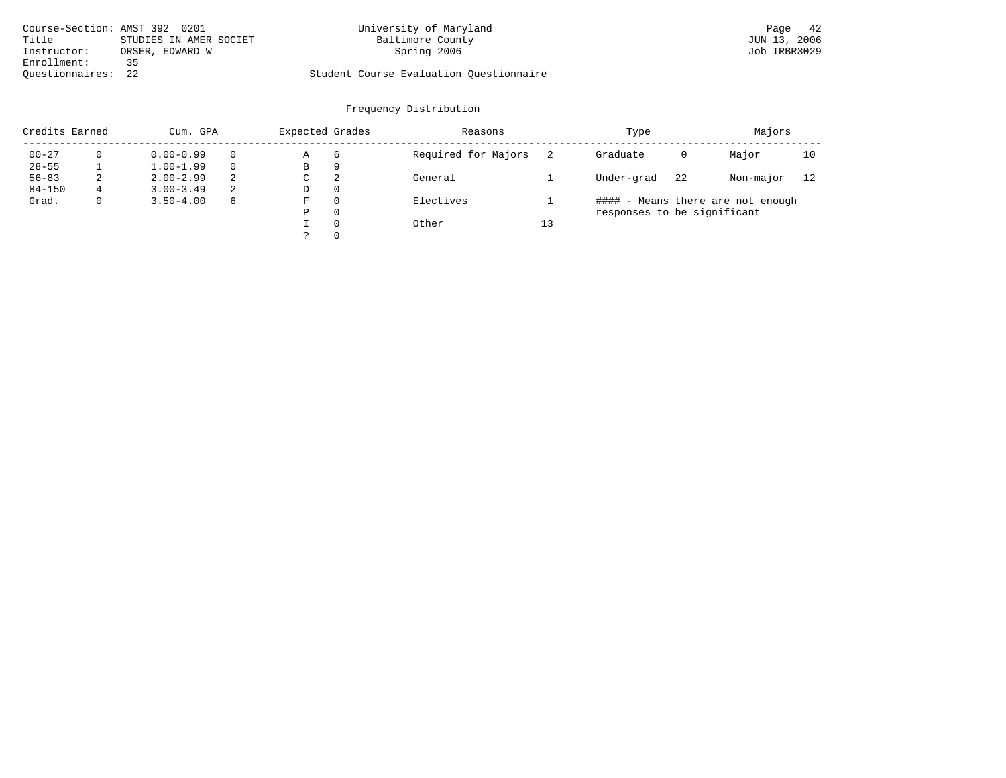| Course-Section: AMST 392 0201 |                        | University of Maryland                  | Page 42      |
|-------------------------------|------------------------|-----------------------------------------|--------------|
| Title                         | STUDIES IN AMER SOCIET | Baltimore County                        | JUN 13, 2006 |
| Instructor:                   | ORSER, EDWARD W        | Spring 2006                             | Job IRBR3029 |
| Enrollment:                   | ふく                     |                                         |              |
| Ouestionnaires: 22            |                        | Student Course Evaluation Questionnaire |              |

| Credits Earned |              | Cum. GPA      |    | Expected Grades |          | Reasons             |    | Type                        |    | Majors                            |    |
|----------------|--------------|---------------|----|-----------------|----------|---------------------|----|-----------------------------|----|-----------------------------------|----|
| $00 - 27$      |              | $0.00 - 0.99$ |    | Α               | 6        | Required for Majors |    | Graduate                    | 0  | Major                             | 10 |
| $28 - 55$      |              | $1.00 - 1.99$ |    | В               | 9        |                     |    |                             |    |                                   |    |
| $56 - 83$      | 2            | $2.00 - 2.99$ | 2  | C               | 2        | General             |    | Under-grad                  | 22 | Non-major                         | 12 |
| $84 - 150$     | 4            | $3.00 - 3.49$ | -2 | D               | $\Omega$ |                     |    |                             |    |                                   |    |
| Grad.          | $\mathbf{0}$ | $3.50 - 4.00$ | 6  | F               | $\Omega$ | Electives           |    |                             |    | #### - Means there are not enough |    |
|                |              |               |    | Ρ               | $\Omega$ |                     |    | responses to be significant |    |                                   |    |
|                |              |               |    |                 | $\Omega$ | Other               | 13 |                             |    |                                   |    |
|                |              |               |    |                 | $\Omega$ |                     |    |                             |    |                                   |    |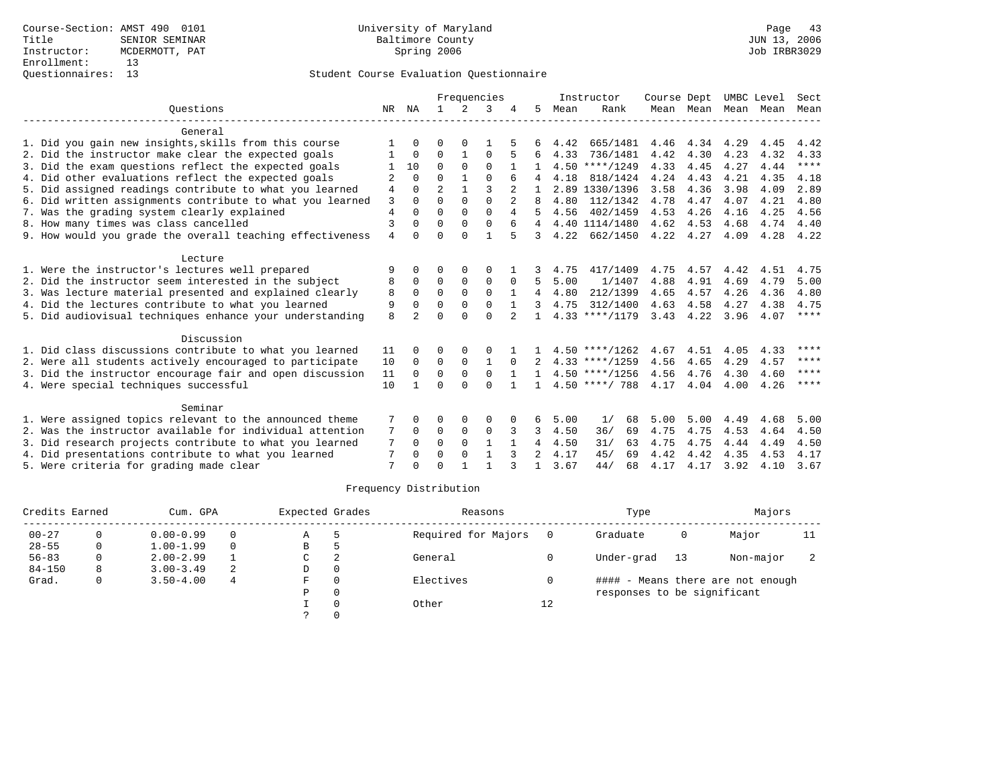|                                                           |                |               | Frequencies    |              |              |                |                |      | Instructor       | Course Dept |           | UMBC Level |      | Sect        |
|-----------------------------------------------------------|----------------|---------------|----------------|--------------|--------------|----------------|----------------|------|------------------|-------------|-----------|------------|------|-------------|
| Ouestions                                                 | NR             | ΝA            | $\mathbf{1}$   | 2            | 3            |                | 5.             | Mean | Rank             |             | Mean Mean | Mean       | Mean | Mean        |
| General                                                   |                |               |                |              |              |                |                |      |                  |             |           |            |      |             |
| 1. Did you gain new insights, skills from this course     |                | U             | O              | $\Omega$     |              |                |                | 4.42 | 665/1481         | 4.46        | 4.34      | 4.29       | 4.45 | 4.42        |
| 2. Did the instructor make clear the expected goals       |                | $\Omega$      | $\Omega$       | $\mathbf{1}$ | $\Omega$     |                | 6              | 4.33 | 736/1481         | 4.42        | 4.30      | 4.23       | 4.32 | 4.33        |
| 3. Did the exam questions reflect the expected goals      |                | 10            | $\Omega$       | $\Omega$     | $\Omega$     |                |                |      | $4.50$ ****/1249 | 4.33        | 4.45      | 4.27       | 4.44 | $***$       |
| 4. Did other evaluations reflect the expected goals       | 2              | $\Omega$      | $\Omega$       | $\mathbf{1}$ | $\Omega$     |                |                | 4.18 | 818/1424         | 4.24        | 4.43      | 4.21       | 4.35 | 4.18        |
| 5. Did assigned readings contribute to what you learned   | 4              | 0             | $\overline{a}$ |              | 3            | 2              |                |      | 2.89 1330/1396   | 3.58        | 4.36      | 3.98       | 4.09 | 2.89        |
| 6. Did written assignments contribute to what you learned | 3              | $\Omega$      | $\cap$         | $\Omega$     | $\Omega$     | $\overline{2}$ | 8              | 4.80 | 112/1342         | 4.78        | 4.47      | 4.07       | 4.21 | 4.80        |
| 7. Was the grading system clearly explained               | $\overline{4}$ | $\Omega$      | $\Omega$       | $\Omega$     | $\Omega$     | 4              |                | 4.56 | 402/1459         | 4.53        | 4.26      | 4.16       | 4.25 | 4.56        |
| 8. How many times was class cancelled                     | $\overline{3}$ | 0             | $\Omega$       | $\Omega$     | $\Omega$     | 6              | 4              |      | 4.40 1114/1480   | 4.62        | 4.53      | 4.68       | 4.74 | 4.40        |
| 9. How would you grade the overall teaching effectiveness | $\overline{4}$ | $\Omega$      | $\Omega$       | $\Omega$     | 1            |                | 3              | 4.22 | 662/1450         | 4.22        | 4.27      | 4.09       | 4.28 | 4.22        |
| Lecture                                                   |                |               |                |              |              |                |                |      |                  |             |           |            |      |             |
| 1. Were the instructor's lectures well prepared           | 9              | 0             | 0              | $\Omega$     | $\Omega$     |                |                | 4.75 | 417/1409         | 4.75        | 4.57      | 4.42       | 4.51 | 4.75        |
| 2. Did the instructor seem interested in the subject      | 8              | 0             | 0              | 0            | $\mathbf 0$  | $\Omega$       | 5              | 5.00 | 1/1407           | 4.88        | 4.91      | 4.69       | 4.79 | 5.00        |
| 3. Was lecture material presented and explained clearly   | 8              | $\Omega$      | $\Omega$       | $\Omega$     | $\Omega$     | 1              | $\overline{4}$ | 4.80 | 212/1399         | 4.65        | 4.57      | 4.26       | 4.36 | 4.80        |
| 4. Did the lectures contribute to what you learned        | 9              | $\Omega$      | $\Omega$       | $\Omega$     | $\Omega$     |                |                | 4.75 | 312/1400         | 4.63        | 4.58      | 4.27       | 4.38 | 4.75        |
| 5. Did audiovisual techniques enhance your understanding  | $\mathsf{R}$   | $\mathcal{D}$ | $\Omega$       | $\cap$       | $\Omega$     |                | $\mathbf{1}$   |      | $4.33$ ****/1179 | 3.43        | 4.22      | 3.96       | 4.07 | $***$ * * * |
| Discussion                                                |                |               |                |              |              |                |                |      |                  |             |           |            |      |             |
| 1. Did class discussions contribute to what you learned   | 11             | 0             | O              | 0            | $\Omega$     |                |                |      | $4.50$ ****/1262 | 4.67        | 4.51      | 4.05       | 4.33 | ****        |
| 2. Were all students actively encouraged to participate   | 10             | $\Omega$      | $\Omega$       | $\Omega$     | 1            | $\Omega$       | $\mathcal{L}$  |      | $4.33$ ****/1259 | 4.56        | 4.65      | 4.29       | 4.57 | ****        |
| 3. Did the instructor encourage fair and open discussion  | 11             | $\Omega$      | $\mathbf 0$    | $\mathbf 0$  | $\mathbf 0$  |                |                |      | $4.50$ ****/1256 | 4.56        | 4.76      | 4.30       | 4.60 | ****        |
| 4. Were special techniques successful                     | 10             |               | $\Omega$       | $\Omega$     | $\cap$       |                | 1.             |      | $4.50$ ****/ 788 | 4.17        | 4.04      | 4.00       | 4.26 | ****        |
| Seminar                                                   |                |               |                |              |              |                |                |      |                  |             |           |            |      |             |
| 1. Were assigned topics relevant to the announced theme   | 7              |               | 0              | 0            | 0            |                | 6              | 5.00 | 1/<br>68         | 5.00        | 5.00      | 4.49       | 4.68 | 5.00        |
| 2. Was the instructor available for individual attention  | 7              | $\Omega$      | 0              | $\mathbf 0$  | $\mathbf 0$  | 3              | 3              | 4.50 | 36/<br>69        | 4.75        | 4.75      | 4.53       | 4.64 | 4.50        |
| 3. Did research projects contribute to what you learned   | 7              | $\Omega$      | $\Omega$       | $\Omega$     | $\mathbf{1}$ |                | 4              | 4.50 | 31/<br>63        | 4.75        | 4.75      | 4.44       | 4.49 | 4.50        |
| 4. Did presentations contribute to what you learned       | 7              | $\Omega$      | $\Omega$       | $\Omega$     | $\mathbf{1}$ | 3              | $\mathfrak{D}$ | 4.17 | 45/<br>69        | 4.42        | 4.42      | 4.35       | 4.53 | 4.17        |
| 5. Were criteria for grading made clear                   | 7              |               | $\Omega$       |              |              | २              |                | 3.67 | 44/<br>68        | 4.17        | 4.17      | 3.92       | 4.10 | 3.67        |

| Credits Earned |   | Cum. GPA      | Expected Grades |    | Reasons  |                     | Type | Majors                      |    |                                   |    |
|----------------|---|---------------|-----------------|----|----------|---------------------|------|-----------------------------|----|-----------------------------------|----|
| $00 - 27$      |   | $0.00 - 0.99$ |                 | Α  | ל        | Required for Majors |      | Graduate                    | 0  | Major                             | 11 |
| $28 - 55$      | 0 | $1.00 - 1.99$ |                 | В  | h        |                     |      |                             |    |                                   |    |
| $56 - 83$      | 0 | $2.00 - 2.99$ |                 | C. | 2        | General             |      | Under-grad                  | 13 | Non-major                         |    |
| $84 - 150$     | 8 | $3.00 - 3.49$ | 2               | D  | 0        |                     |      |                             |    |                                   |    |
| Grad.          | 0 | $3.50 - 4.00$ | 4               | F  | $\Omega$ | Electives           |      |                             |    | #### - Means there are not enough |    |
|                |   |               |                 | Ρ  | 0        |                     |      | responses to be significant |    |                                   |    |
|                |   |               |                 |    | $\Omega$ | Other               | 12   |                             |    |                                   |    |
|                |   |               |                 |    |          |                     |      |                             |    |                                   |    |